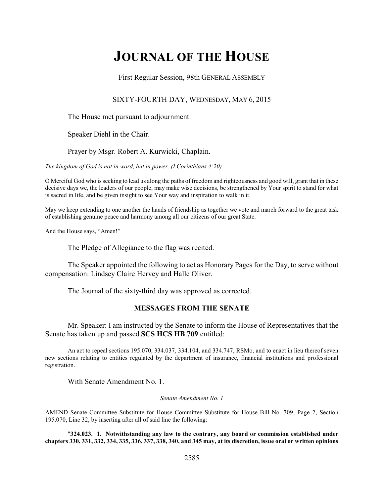# **JOURNAL OF THE HOUSE**

First Regular Session, 98th GENERAL ASSEMBLY

# SIXTY-FOURTH DAY, WEDNESDAY, MAY 6, 2015

The House met pursuant to adjournment.

Speaker Diehl in the Chair.

Prayer by Msgr. Robert A. Kurwicki, Chaplain.

*The kingdom of God is not in word, but in power. (I Corinthians 4:20)*

O Merciful God who is seeking to lead us along the paths of freedom and righteousness and good will, grant that in these decisive days we, the leaders of our people, may make wise decisions, be strengthened by Your spirit to stand for what is sacred in life, and be given insight to see Your way and inspiration to walk in it.

May we keep extending to one another the hands of friendship as together we vote and march forward to the great task of establishing genuine peace and harmony among all our citizens of our great State.

And the House says, "Amen!"

The Pledge of Allegiance to the flag was recited.

The Speaker appointed the following to act as Honorary Pages for the Day, to serve without compensation: Lindsey Claire Hervey and Halle Oliver.

The Journal of the sixty-third day was approved as corrected.

# **MESSAGES FROM THE SENATE**

Mr. Speaker: I am instructed by the Senate to inform the House of Representatives that the Senate has taken up and passed **SCS HCS HB 709** entitled:

An act to repeal sections 195.070, 334.037, 334.104, and 334.747, RSMo, and to enact in lieu thereof seven new sections relating to entities regulated by the department of insurance, financial institutions and professional registration.

With Senate Amendment No. 1.

### *Senate Amendment No. 1*

AMEND Senate Committee Substitute for House Committee Substitute for House Bill No. 709, Page 2, Section 195.070, Line 32, by inserting after all of said line the following:

"**324.023. 1. Notwithstanding any law to the contrary, any board or commission established under chapters 330, 331, 332, 334, 335, 336, 337, 338, 340, and 345 may, at its discretion, issue oral or written opinions**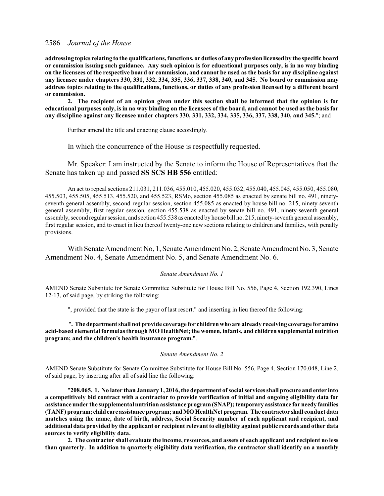**addressing topics relating to the qualifications, functions, or duties of any profession licensedby the specific board or commission issuing such guidance. Any such opinion is for educational purposes only, is in no way binding on the licensees of the respective board or commission, and cannot be used as the basis for any discipline against any licensee under chapters 330, 331, 332, 334, 335, 336, 337, 338, 340, and 345. No board or commission may address topics relating to the qualifications, functions, or duties of any profession licensed by a different board or commission.**

**2. The recipient of an opinion given under this section shall be informed that the opinion is for educational purposes only, is in no way binding on the licensees of the board, and cannot be used as the basis for any discipline against any licensee under chapters 330, 331, 332, 334, 335, 336, 337, 338, 340, and 345.**"; and

Further amend the title and enacting clause accordingly.

In which the concurrence of the House is respectfully requested.

### Mr. Speaker: I am instructed by the Senate to inform the House of Representatives that the Senate has taken up and passed **SS SCS HB 556** entitled:

An act to repeal sections 211.031, 211.036, 455.010, 455.020, 455.032, 455.040, 455.045, 455.050, 455.080, 455.503, 455.505, 455.513, 455.520, and 455.523, RSMo, section 455.085 as enacted by senate bill no. 491, ninetyseventh general assembly, second regular session, section 455.085 as enacted by house bill no. 215, ninety-seventh general assembly, first regular session, section 455.538 as enacted by senate bill no. 491, ninety-seventh general assembly, second regular session, and section 455.538 as enacted by house bill no. 215, ninety-seventh general assembly, first regular session, and to enact in lieu thereof twenty-one new sections relating to children and families, with penalty provisions.

With Senate Amendment No, 1, Senate Amendment No. 2, Senate Amendment No. 3, Senate Amendment No. 4, Senate Amendment No. 5, and Senate Amendment No. 6.

#### *Senate Amendment No. 1*

AMEND Senate Substitute for Senate Committee Substitute for House Bill No. 556, Page 4, Section 192.390, Lines 12-13, of said page, by striking the following:

", provided that the state is the payor of last resort." and inserting in lieu thereof the following:

"**. The department shall not provide coverage for children who are already receiving coverage for amino acid-based elemental formulasthrough MO HealthNet; the women, infants, and children supplemental nutrition program; and the children's health insurance program.**".

### *Senate Amendment No. 2*

AMEND Senate Substitute for Senate Committee Substitute for House Bill No. 556, Page 4, Section 170.048, Line 2, of said page, by inserting after all of said line the following:

"**208.065. 1. No later than January 1, 2016, the department of social services shall procure and enter into a competitively bid contract with a contractor to provide verification of initial and ongoing eligibility data for assistance under the supplemental nutrition assistance program(SNAP); temporary assistance for needy families (TANF) program; childcare assistance program; and MOHealthNet program. The contractor shall conduct data matches using the name, date of birth, address, Social Security number of each applicant and recipient, and additional data provided by the applicant or recipient relevant to eligibility against public records and other data sources to verify eligibility data.**

**2. The contractor shall evaluate the income, resources, and assets of each applicant and recipient no less than quarterly. In addition to quarterly eligibility data verification, the contractor shall identify on a monthly**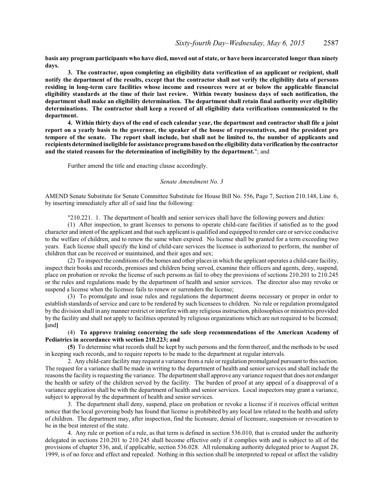**basis any program participants who have died, moved out of state, or have been incarcerated longer than ninety days.**

**3. The contractor, upon completing an eligibility data verification of an applicant or recipient, shall notify the department of the results, except that the contractor shall not verify the eligibility data of persons residing in long-term care facilities whose income and resources were at or below the applicable financial eligibility standards at the time of their last review. Within twenty business days of such notification, the department shall make an eligibility determination. The department shall retain final authority over eligibility determinations. The contractor shall keep a record of all eligibility data verifications communicated to the department.**

**4. Within thirty days of the end of each calendar year, the department and contractor shall file a joint report on a yearly basis to the governor, the speaker of the house of representatives, and the president pro tempore of the senate. The report shall include, but shall not be limited to, the number of applicants and recipients determined ineligible for assistance programsbased on the eligibility data verificationby the contractor and the stated reasons for the determination of ineligibility by the department.**"; and

Further amend the title and enacting clause accordingly.

#### *Senate Amendment No. 3*

AMEND Senate Substitute for Senate Committee Substitute for House Bill No. 556, Page 7, Section 210.148, Line 6, by inserting immediately after all of said line the following:

"210.221. 1. The department of health and senior services shall have the following powers and duties:

(1) After inspection, to grant licenses to persons to operate child-care facilities if satisfied as to the good character and intent of the applicant and that such applicant is qualified and equipped to render care or service conducive to the welfare of children, and to renew the same when expired. No license shall be granted for a term exceeding two years. Each license shall specify the kind of child-care services the licensee is authorized to perform, the number of children that can be received or maintained, and their ages and sex;

(2) To inspect the conditions of the homes and other places in which the applicant operates a child-care facility, inspect their books and records, premises and children being served, examine their officers and agents, deny, suspend, place on probation or revoke the license of such persons as fail to obey the provisions of sections 210.201 to 210.245 or the rules and regulations made by the department of health and senior services. The director also may revoke or suspend a license when the licensee fails to renew or surrenders the license;

(3) To promulgate and issue rules and regulations the department deems necessary or proper in order to establish standards of service and care to be rendered by such licensees to children. No rule or regulation promulgated by the division shall in anymanner restrict or interfere with any religious instruction, philosophies or ministries provided by the facility and shall not apply to facilities operated by religious organizations which are not required to be licensed; **[**and**]**

(4) **To approve training concerning the safe sleep recommendations of the American Academy of Pediatrics in accordance with section 210.223; and**

**(5)** To determine what records shall be kept by such persons and the form thereof, and the methods to be used in keeping such records, and to require reports to be made to the department at regular intervals.

2. Any child-care facilitymay request a variance from a rule or regulation promulgated pursuant to this section. The request for a variance shall be made in writing to the department of health and senior services and shall include the reasonsthe facility is requesting the variance. The department shall approve any variance request that does not endanger the health or safety of the children served by the facility. The burden of proof at any appeal of a disapproval of a variance application shall be with the department of health and senior services. Local inspectors may grant a variance, subject to approval by the department of health and senior services.

3. The department shall deny, suspend, place on probation or revoke a license if it receives official written notice that the local governing body has found that license is prohibited by any local law related to the health and safety of children. The department may, after inspection, find the licensure, denial of licensure, suspension or revocation to be in the best interest of the state.

4. Any rule or portion of a rule, as that term is defined in section 536.010, that is created under the authority delegated in sections 210.201 to 210.245 shall become effective only if it complies with and is subject to all of the provisions of chapter 536, and, if applicable, section 536.028. All rulemaking authority delegated prior to August 28, 1999, is of no force and effect and repealed. Nothing in this section shall be interpreted to repeal or affect the validity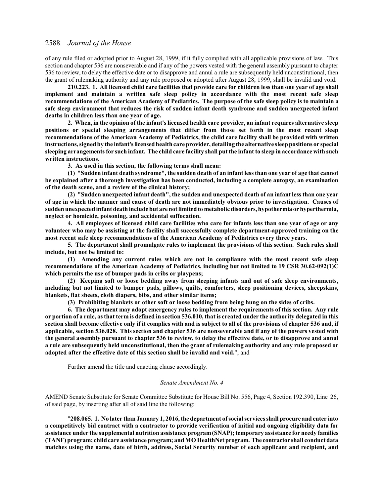of any rule filed or adopted prior to August 28, 1999, if it fully complied with all applicable provisions of law. This section and chapter 536 are nonseverable and if any of the powers vested with the general assembly pursuant to chapter 536 to review, to delay the effective date or to disapprove and annul a rule are subsequently held unconstitutional, then the grant of rulemaking authority and any rule proposed or adopted after August 28, 1999, shall be invalid and void.

**210.223. 1. All licensed child care facilities that provide care for children less than one year of age shall implement and maintain a written safe sleep policy in accordance with the most recent safe sleep recommendations of the American Academy of Pediatrics. The purpose of the safe sleep policy is to maintain a safe sleep environment that reduces the risk of sudden infant death syndrome and sudden unexpected infant deaths in children less than one year of age.**

**2. When, in the opinion of the infant's licensed health care provider, an infant requires alternative sleep positions or special sleeping arrangements that differ from those set forth in the most recent sleep recommendations of the American Academy of Pediatrics, the child care facility shall be provided with written instructions, signed by the infant'slicensedhealth care provider, detailing the alternative sleep positions or special sleeping arrangements for such infant. The child care facility shall put the infant to sleep in accordance with such written instructions.**

**3. As used in this section, the following terms shall mean:**

**(1) "Sudden infant death syndrome", the sudden death of an infant less than one year of age that cannot be explained after a thorough investigation has been conducted, including a complete autopsy, an examination of the death scene, and a review of the clinical history;**

**(2) "Sudden unexpected infant death", the sudden and unexpected death of an infant less than one year of age in which the manner and cause of death are not immediately obvious prior to investigation. Causes of sudden unexpected infant death include but are not limited to metabolic disorders, hypothermia or hyperthermia, neglect or homicide, poisoning, and accidental suffocation.**

**4. All employees of licensed child care facilities who care for infants less than one year of age or any volunteer who may be assisting at the facility shall successfully complete department-approved training on the most recent safe sleep recommendations of the American Academy of Pediatrics every three years.**

**5. The department shall promulgate rules to implement the provisions of this section. Such rules shall include, but not be limited to:**

**(1) Amending any current rules which are not in compliance with the most recent safe sleep recommendations of the American Academy of Pediatrics, including but not limited to 19 CSR 30.62-092(1)C which permits the use of bumper pads in cribs or playpens;**

**(2) Keeping soft or loose bedding away from sleeping infants and out of safe sleep environments, including but not limited to bumper pads, pillows, quilts, comforters, sleep positioning devices, sheepskins, blankets, flat sheets, cloth diapers, bibs, and other similar items;**

**(3) Prohibiting blankets or other soft or loose bedding from being hung on the sides of cribs.**

**6. The department may adopt emergency rules to implement the requirements of this section. Any rule or portion of a rule, as that term is defined in section 536.010, that is created under the authority delegated in this section shall become effective only if it complies with and is subject to all of the provisions of chapter 536 and, if applicable, section 536.028. This section and chapter 536 are nonseverable and if any of the powers vested with the general assembly pursuant to chapter 536 to review, to delay the effective date, or to disapprove and annul a rule are subsequently held unconstitutional, then the grant of rulemaking authority and any rule proposed or adopted after the effective date of this section shall be invalid and void.**"; and

Further amend the title and enacting clause accordingly.

### *Senate Amendment No. 4*

AMEND Senate Substitute for Senate Committee Substitute for House Bill No. 556, Page 4, Section 192.390, Line 26, of said page, by inserting after all of said line the following:

"**208.065. 1. No later than January 1, 2016, the department of social services shall procure and enter into a competitively bid contract with a contractor to provide verification of initial and ongoing eligibility data for assistance under the supplemental nutrition assistance program(SNAP); temporary assistance for needy families (TANF) program; child care assistance program; and MOHealthNet program. The contractor shall conduct data matches using the name, date of birth, address, Social Security number of each applicant and recipient, and**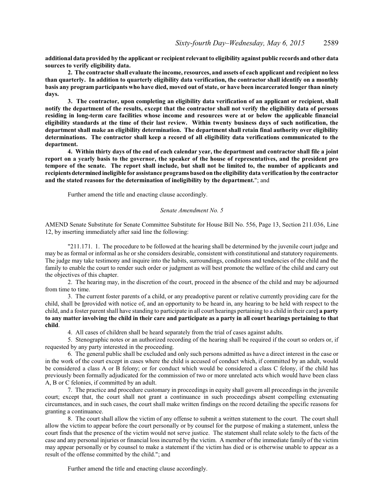**additional data provided by the applicant or recipient relevant to eligibility against public records and other data sources to verify eligibility data.**

**2. The contractor shall evaluate the income, resources, and assets of each applicant and recipient no less than quarterly. In addition to quarterly eligibility data verification, the contractor shall identify on a monthly basis any program participants who have died, moved out of state, or have been incarcerated longer than ninety days.**

**3. The contractor, upon completing an eligibility data verification of an applicant or recipient, shall notify the department of the results, except that the contractor shall not verify the eligibility data of persons residing in long-term care facilities whose income and resources were at or below the applicable financial eligibility standards at the time of their last review. Within twenty business days of such notification, the department shall make an eligibility determination. The department shall retain final authority over eligibility determinations. The contractor shall keep a record of all eligibility data verifications communicated to the department.**

**4. Within thirty days of the end of each calendar year, the department and contractor shall file a joint report on a yearly basis to the governor, the speaker of the house of representatives, and the president pro tempore of the senate. The report shall include, but shall not be limited to, the number of applicants and recipientsdeterminedineligible for assistance programs based on the eligibility data verification by the contractor and the stated reasons for the determination of ineligibility by the department.**"; and

Further amend the title and enacting clause accordingly.

### *Senate Amendment No. 5*

AMEND Senate Substitute for Senate Committee Substitute for House Bill No. 556, Page 13, Section 211.036, Line 12, by inserting immediately after said line the following:

"211.171. 1. The procedure to be followed at the hearing shall be determined by the juvenile court judge and may be as formal or informal as he or she considers desirable, consistent with constitutional and statutory requirements. The judge may take testimony and inquire into the habits, surroundings, conditions and tendencies of the child and the family to enable the court to render such order or judgment as will best promote the welfare of the child and carry out the objectives of this chapter.

2. The hearing may, in the discretion of the court, proceed in the absence of the child and may be adjourned from time to time.

3. The current foster parents of a child, or any preadoptive parent or relative currently providing care for the child, shall be **[**provided with notice of, and an opportunity to be heard in, any hearing to be held with respect to the child, and a foster parent shall have standing to participate in all court hearings pertaining to a child in their care**] a party to any matter involving the child in their care and participate as a party in all court hearings pertaining to that child**.

4. All cases of children shall be heard separately from the trial of cases against adults.

5. Stenographic notes or an authorized recording of the hearing shall be required if the court so orders or, if requested by any party interested in the proceeding.

6. The general public shall be excluded and only such persons admitted as have a direct interest in the case or in the work of the court except in cases where the child is accused of conduct which, if committed by an adult, would be considered a class A or B felony; or for conduct which would be considered a class C felony, if the child has previously been formally adjudicated for the commission of two or more unrelated acts which would have been class A, B or C felonies, if committed by an adult.

7. The practice and procedure customary in proceedings in equity shall govern all proceedings in the juvenile court; except that, the court shall not grant a continuance in such proceedings absent compelling extenuating circumstances, and in such cases, the court shall make written findings on the record detailing the specific reasons for granting a continuance.

8. The court shall allow the victim of any offense to submit a written statement to the court. The court shall allow the victim to appear before the court personally or by counsel for the purpose of making a statement, unless the court finds that the presence of the victim would not serve justice. The statement shall relate solely to the facts of the case and any personal injuries or financial loss incurred by the victim. A member of the immediate family of the victim may appear personally or by counsel to make a statement if the victim has died or is otherwise unable to appear as a result of the offense committed by the child."; and

Further amend the title and enacting clause accordingly.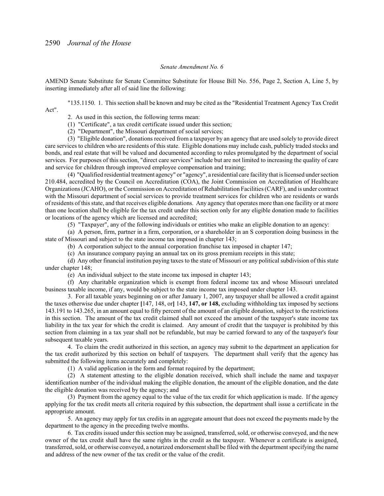### *Senate Amendment No. 6*

AMEND Senate Substitute for Senate Committee Substitute for House Bill No. 556, Page 2, Section A, Line 5, by inserting immediately after all of said line the following:

"135.1150. 1. This section shall be known and may be cited as the "Residential Treatment Agency Tax Credit Act".

2. As used in this section, the following terms mean:

(1) "Certificate", a tax credit certificate issued under this section;

(2) "Department", the Missouri department of social services;

(3) "Eligible donation", donations received from a taxpayer by an agency that are used solely to provide direct care services to children who are residents of this state. Eligible donations may include cash, publicly traded stocks and bonds, and real estate that will be valued and documented according to rules promulgated by the department of social services. For purposes of this section, "direct care services" include but are not limited to increasing the quality of care and service for children through improved employee compensation and training;

(4) "Qualified residential treatment agency" or "agency", a residential care facility that is licensed under section 210.484, accredited by the Council on Accreditation (COA), the Joint Commission on Accreditation of Healthcare Organizations (JCAHO), or the Commission on Accreditation ofRehabilitation Facilities (CARF), and is under contract with the Missouri department of social services to provide treatment services for children who are residents or wards of residents of this state, and that receives eligible donations. Any agency that operates more than one facility or at more than one location shall be eligible for the tax credit under this section only for any eligible donation made to facilities or locations of the agency which are licensed and accredited;

(5) "Taxpayer", any of the following individuals or entities who make an eligible donation to an agency:

(a) A person, firm, partner in a firm, corporation, or a shareholder in an S corporation doing business in the state of Missouri and subject to the state income tax imposed in chapter 143;

(b) A corporation subject to the annual corporation franchise tax imposed in chapter 147;

(c) An insurance company paying an annual tax on its gross premium receipts in this state;

(d) Any other financial institution paying taxes to the state of Missouri or any political subdivision of this state under chapter 148;

(e) An individual subject to the state income tax imposed in chapter 143;

(f) Any charitable organization which is exempt from federal income tax and whose Missouri unrelated business taxable income, if any, would be subject to the state income tax imposed under chapter 143.

3. For all taxable years beginning on or after January 1, 2007, any taxpayer shall be allowed a credit against the taxes otherwise due under chapter **[**147, 148, or**]** 143, **147, or 148,** excluding withholding tax imposed by sections 143.191 to 143.265, in an amount equal to fifty percent of the amount of an eligible donation, subject to the restrictions in this section. The amount of the tax credit claimed shall not exceed the amount of the taxpayer's state income tax liability in the tax year for which the credit is claimed. Any amount of credit that the taxpayer is prohibited by this section from claiming in a tax year shall not be refundable, but may be carried forward to any of the taxpayer's four subsequent taxable years.

4. To claim the credit authorized in this section, an agency may submit to the department an application for the tax credit authorized by this section on behalf of taxpayers. The department shall verify that the agency has submitted the following items accurately and completely:

(1) A valid application in the form and format required by the department;

(2) A statement attesting to the eligible donation received, which shall include the name and taxpayer identification number of the individual making the eligible donation, the amount of the eligible donation, and the date the eligible donation was received by the agency; and

(3) Payment from the agency equal to the value of the tax credit for which application is made. If the agency applying for the tax credit meets all criteria required by this subsection, the department shall issue a certificate in the appropriate amount.

5. An agency may apply for tax credits in an aggregate amount that does not exceed the payments made by the department to the agency in the preceding twelve months.

6. Tax credits issued under this section may be assigned, transferred, sold, or otherwise conveyed, and the new owner of the tax credit shall have the same rights in the credit as the taxpayer. Whenever a certificate is assigned, transferred, sold, or otherwise conveyed, a notarized endorsement shall be filed with the department specifying the name and address of the new owner of the tax credit or the value of the credit.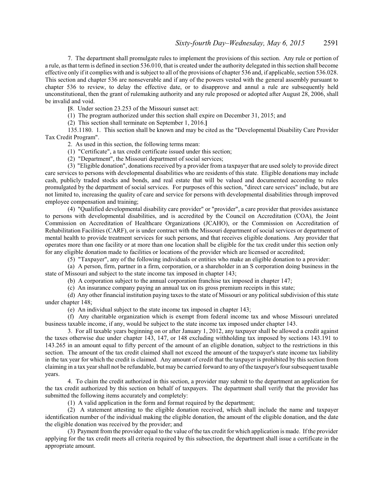7. The department shall promulgate rules to implement the provisions of this section. Any rule or portion of a rule, as that term is defined in section 536.010, that is created under the authority delegated in this section shall become effective only if it complies with and is subject to all of the provisions of chapter 536 and, if applicable, section 536.028. This section and chapter 536 are nonseverable and if any of the powers vested with the general assembly pursuant to chapter 536 to review, to delay the effective date, or to disapprove and annul a rule are subsequently held unconstitutional, then the grant of rulemaking authority and any rule proposed or adopted after August 28, 2006, shall be invalid and void.

**[**8. Under section 23.253 of the Missouri sunset act:

(1) The program authorized under this section shall expire on December 31, 2015; and

(2) This section shall terminate on September 1, 2016.**]**

135.1180. 1. This section shall be known and may be cited as the "Developmental Disability Care Provider Tax Credit Program".

2. As used in this section, the following terms mean:

(1) "Certificate", a tax credit certificate issued under this section;

(2) "Department", the Missouri department of social services;

(3) "Eligible donation", donations received by a provider from a taxpayer that are used solely to provide direct care services to persons with developmental disabilities who are residents of this state. Eligible donations may include cash, publicly traded stocks and bonds, and real estate that will be valued and documented according to rules promulgated by the department of social services. For purposes of this section, "direct care services" include, but are not limited to, increasing the quality of care and service for persons with developmental disabilities through improved employee compensation and training;

(4) "Qualified developmental disability care provider" or "provider", a care provider that provides assistance to persons with developmental disabilities, and is accredited by the Council on Accreditation (COA), the Joint Commission on Accreditation of Healthcare Organizations (JCAHO), or the Commission on Accreditation of Rehabilitation Facilities (CARF), or is under contract with the Missouri department of social services or department of mental health to provide treatment services for such persons, and that receives eligible donations. Any provider that operates more than one facility or at more than one location shall be eligible for the tax credit under this section only for any eligible donation made to facilities or locations of the provider which are licensed or accredited;

(5) "Taxpayer", any of the following individuals or entities who make an eligible donation to a provider:

(a) A person, firm, partner in a firm, corporation, or a shareholder in an S corporation doing business in the state of Missouri and subject to the state income tax imposed in chapter 143;

(b) A corporation subject to the annual corporation franchise tax imposed in chapter 147;

(c) An insurance company paying an annual tax on its gross premium receipts in this state;

(d) Any other financial institution paying taxes to the state of Missouri or any political subdivision of this state under chapter 148;

(e) An individual subject to the state income tax imposed in chapter 143;

(f) Any charitable organization which is exempt from federal income tax and whose Missouri unrelated business taxable income, if any, would be subject to the state income tax imposed under chapter 143.

3. For all taxable years beginning on or after January 1, 2012, any taxpayer shall be allowed a credit against the taxes otherwise due under chapter 143, 147, or 148 excluding withholding tax imposed by sections 143.191 to 143.265 in an amount equal to fifty percent of the amount of an eligible donation, subject to the restrictions in this section. The amount of the tax credit claimed shall not exceed the amount of the taxpayer's state income tax liability in the tax year for which the credit is claimed. Any amount of credit that the taxpayer is prohibited by this section from claiming in a tax year shall not be refundable, but may be carried forward to any ofthe taxpayer's four subsequent taxable years.

4. To claim the credit authorized in this section, a provider may submit to the department an application for the tax credit authorized by this section on behalf of taxpayers. The department shall verify that the provider has submitted the following items accurately and completely:

(1) A valid application in the form and format required by the department;

(2) A statement attesting to the eligible donation received, which shall include the name and taxpayer identification number of the individual making the eligible donation, the amount of the eligible donation, and the date the eligible donation was received by the provider; and

(3) Payment from the provider equal to the value ofthe tax credit for which application is made. If the provider applying for the tax credit meets all criteria required by this subsection, the department shall issue a certificate in the appropriate amount.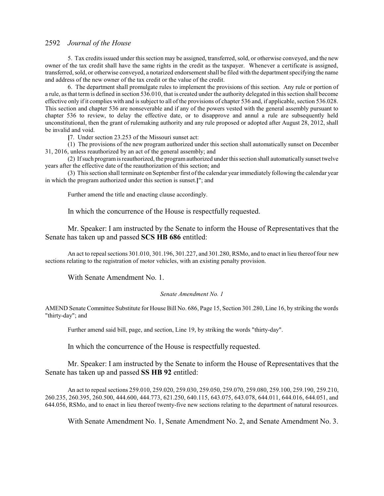5. Tax credits issued under this section may be assigned, transferred, sold, or otherwise conveyed, and the new owner of the tax credit shall have the same rights in the credit as the taxpayer. Whenever a certificate is assigned, transferred, sold, or otherwise conveyed, a notarized endorsement shall be filed with the departmentspecifying the name and address of the new owner of the tax credit or the value of the credit.

6. The department shall promulgate rules to implement the provisions of this section. Any rule or portion of a rule, as that term is defined in section 536.010, that is created under the authority delegated in this section shall become effective only if it complies with and is subject to all of the provisions of chapter 536 and, if applicable, section 536.028. This section and chapter 536 are nonseverable and if any of the powers vested with the general assembly pursuant to chapter 536 to review, to delay the effective date, or to disapprove and annul a rule are subsequently held unconstitutional, then the grant of rulemaking authority and any rule proposed or adopted after August 28, 2012, shall be invalid and void.

**[**7. Under section 23.253 of the Missouri sunset act:

(1) The provisions of the new program authorized under this section shall automatically sunset on December 31, 2016, unless reauthorized by an act of the general assembly; and

(2) Ifsuch programis reauthorized, the programauthorized under this section shall automatically sunset twelve years after the effective date of the reauthorization of this section; and

(3) This section shall terminate on September first ofthe calendar year immediately following the calendar year in which the program authorized under this section is sunset.**]**"; and

Further amend the title and enacting clause accordingly.

In which the concurrence of the House is respectfully requested.

Mr. Speaker: I am instructed by the Senate to inform the House of Representatives that the Senate has taken up and passed **SCS HB 686** entitled:

An act to repeal sections 301.010, 301.196, 301.227, and 301.280, RSMo, and to enact in lieu thereof four new sections relating to the registration of motor vehicles, with an existing penalty provision.

With Senate Amendment No. 1.

### *Senate Amendment No. 1*

AMEND Senate Committee Substitute for House Bill No. 686, Page 15, Section 301.280, Line 16, by striking the words "thirty-day"; and

Further amend said bill, page, and section, Line 19, by striking the words "thirty-day".

In which the concurrence of the House is respectfully requested.

Mr. Speaker: I am instructed by the Senate to inform the House of Representatives that the Senate has taken up and passed **SS HB 92** entitled:

An act to repeal sections 259.010, 259.020, 259.030, 259.050, 259.070, 259.080, 259.100, 259.190, 259.210, 260.235, 260.395, 260.500, 444.600, 444.773, 621.250, 640.115, 643.075, 643.078, 644.011, 644.016, 644.051, and 644.056, RSMo, and to enact in lieu thereof twenty-five new sections relating to the department of natural resources.

With Senate Amendment No. 1, Senate Amendment No. 2, and Senate Amendment No. 3.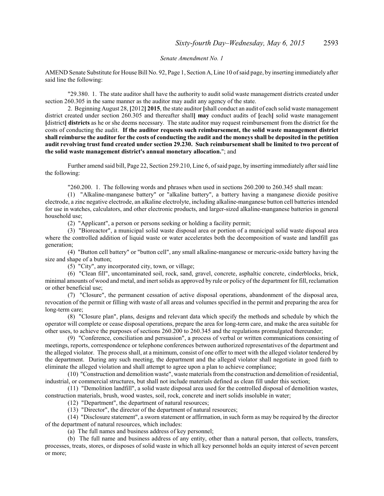*Senate Amendment No. 1*

AMEND Senate Substitute for House Bill No. 92, Page 1, Section A, Line 10 ofsaid page, by inserting immediately after said line the following:

"29.380. 1. The state auditor shall have the authority to audit solid waste management districts created under section 260.305 in the same manner as the auditor may audit any agency of the state.

2. Beginning August 28, **[**2012**] 2015**, the state auditor **[**shall conduct an audit of each solid waste management district created under section 260.305 and thereafter shall**] may** conduct audits of **[**each**]** solid waste management **[**district**] districts** as he or she deems necessary. The state auditor may request reimbursement from the district for the costs of conducting the audit. **If the auditor requests such reimbursement, the solid waste management district shall reimburse the auditor for the costs of conducting the audit and the moneys shall be deposited in the petition audit revolving trust fund created under section 29.230. Such reimbursement shall be limited to two percent of the solid waste management district's annual monetary allocation.**"; and

Further amend said bill, Page 22, Section 259.210, Line 6, ofsaid page, by inserting immediately after said line the following:

"260.200. 1. The following words and phrases when used in sections 260.200 to 260.345 shall mean:

(1) "Alkaline-manganese battery" or "alkaline battery", a battery having a manganese dioxide positive electrode, a zinc negative electrode, an alkaline electrolyte, including alkaline-manganese button cell batteries intended for use in watches, calculators, and other electronic products, and larger-sized alkaline-manganese batteries in general household use;

(2) "Applicant", a person or persons seeking or holding a facility permit;

(3) "Bioreactor", a municipal solid waste disposal area or portion of a municipal solid waste disposal area where the controlled addition of liquid waste or water accelerates both the decomposition of waste and landfill gas generation;

(4) "Button cell battery" or "button cell", any small alkaline-manganese or mercuric-oxide battery having the size and shape of a button;

(5) "City", any incorporated city, town, or village;

(6) "Clean fill", uncontaminated soil, rock, sand, gravel, concrete, asphaltic concrete, cinderblocks, brick, minimal amounts of wood and metal, and inert solids as approved by rule or policy of the department for fill, reclamation or other beneficial use;

(7) "Closure", the permanent cessation of active disposal operations, abandonment of the disposal area, revocation of the permit or filling with waste of all areas and volumes specified in the permit and preparing the area for long-term care;

(8) "Closure plan", plans, designs and relevant data which specify the methods and schedule by which the operator will complete or cease disposal operations, prepare the area for long-term care, and make the area suitable for other uses, to achieve the purposes of sections 260.200 to 260.345 and the regulations promulgated thereunder;

(9) "Conference, conciliation and persuasion", a process of verbal or written communications consisting of meetings, reports, correspondence or telephone conferences between authorized representatives of the department and the alleged violator. The process shall, at a minimum, consist of one offer to meet with the alleged violator tendered by the department. During any such meeting, the department and the alleged violator shall negotiate in good faith to eliminate the alleged violation and shall attempt to agree upon a plan to achieve compliance;

(10) "Construction and demolition waste", waste materials fromthe construction and demolition ofresidential, industrial, or commercial structures, but shall not include materials defined as clean fill under this section;

(11) "Demolition landfill", a solid waste disposal area used for the controlled disposal of demolition wastes, construction materials, brush, wood wastes, soil, rock, concrete and inert solids insoluble in water;

(12) "Department", the department of natural resources;

(13) "Director", the director of the department of natural resources;

(14) "Disclosure statement", a sworn statement or affirmation, in such form as may be required by the director of the department of natural resources, which includes:

(a) The full names and business address of key personnel;

(b) The full name and business address of any entity, other than a natural person, that collects, transfers, processes, treats, stores, or disposes of solid waste in which all key personnel holds an equity interest of seven percent or more;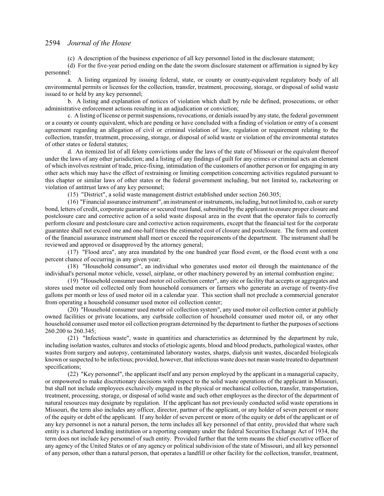(c) A description of the business experience of all key personnel listed in the disclosure statement;

(d) For the five-year period ending on the date the sworn disclosure statement or affirmation is signed by key personnel:

a. A listing organized by issuing federal, state, or county or county-equivalent regulatory body of all environmental permits or licenses for the collection, transfer, treatment, processing, storage, or disposal of solid waste issued to or held by any key personnel;

b. A listing and explanation of notices of violation which shall by rule be defined, prosecutions, or other administrative enforcement actions resulting in an adjudication or conviction;

c. A listing of license or permit suspensions, revocations, or denials issued by any state, the federal government or a county or county equivalent, which are pending or have concluded with a finding of violation or entry of a consent agreement regarding an allegation of civil or criminal violation of law, regulation or requirement relating to the collection, transfer, treatment, processing, storage, or disposal of solid waste or violation of the environmental statutes of other states or federal statutes;

d. An itemized list of all felony convictions under the laws of the state of Missouri or the equivalent thereof under the laws of any other jurisdiction; and a listing of any findings of guilt for any crimes or criminal acts an element of which involves restraint of trade, price-fixing, intimidation of the customers of another person or for engaging in any other acts which may have the effect of restraining or limiting competition concerning activities regulated pursuant to this chapter or similar laws of other states or the federal government including, but not limited to, racketeering or violation of antitrust laws of any key personnel;

(15) "District", a solid waste management district established under section 260.305;

(16) "Financial assurance instrument", an instrument or instruments, including, but not limited to, cash or surety bond, letters of credit, corporate guarantee or secured trust fund, submitted by the applicant to ensure proper closure and postclosure care and corrective action of a solid waste disposal area in the event that the operator fails to correctly perform closure and postclosure care and corrective action requirements, except that the financial test for the corporate guarantee shall not exceed one and one-half times the estimated cost of closure and postclosure. The form and content of the financial assurance instrument shall meet or exceed the requirements of the department. The instrument shall be reviewed and approved or disapproved by the attorney general;

(17) "Flood area", any area inundated by the one hundred year flood event, or the flood event with a one percent chance of occurring in any given year;

(18) "Household consumer", an individual who generates used motor oil through the maintenance of the individual's personal motor vehicle, vessel, airplane, or other machinery powered by an internal combustion engine;

(19) "Household consumer used motor oil collection center", any site or facility that accepts or aggregates and stores used motor oil collected only from household consumers or farmers who generate an average of twenty-five gallons per month or less of used motor oil in a calendar year. This section shall not preclude a commercial generator from operating a household consumer used motor oil collection center;

(20) "Household consumer used motor oil collection system", any used motor oil collection center at publicly owned facilities or private locations, any curbside collection of household consumer used motor oil, or any other household consumer used motor oil collection program determined by the department to further the purposes ofsections 260.200 to 260.345;

(21) "Infectious waste", waste in quantities and characteristics as determined by the department by rule, including isolation wastes, cultures and stocks of etiologic agents, blood and blood products, pathological wastes, other wastes from surgery and autopsy, contaminated laboratory wastes, sharps, dialysis unit wastes, discarded biologicals known or suspected to be infectious; provided, however, that infectious waste does not mean waste treated to department specifications;

(22) "Key personnel", the applicant itself and any person employed by the applicant in a managerial capacity, or empowered to make discretionary decisions with respect to the solid waste operations of the applicant in Missouri, but shall not include employees exclusively engaged in the physical or mechanical collection, transfer, transportation, treatment, processing, storage, or disposal of solid waste and such other employees as the director of the department of natural resources may designate by regulation. If the applicant has not previously conducted solid waste operations in Missouri, the term also includes any officer, director, partner of the applicant, or any holder of seven percent or more of the equity or debt of the applicant. If any holder of seven percent or more of the equity or debt of the applicant or of any key personnel is not a natural person, the term includes all key personnel of that entity, provided that where such entity is a chartered lending institution or a reporting company under the federal Securities Exchange Act of 1934, the term does not include key personnel of such entity. Provided further that the term means the chief executive officer of any agency of the United States or of any agency or political subdivision of the state of Missouri, and all key personnel of any person, other than a natural person, that operates a landfill or other facility for the collection, transfer, treatment,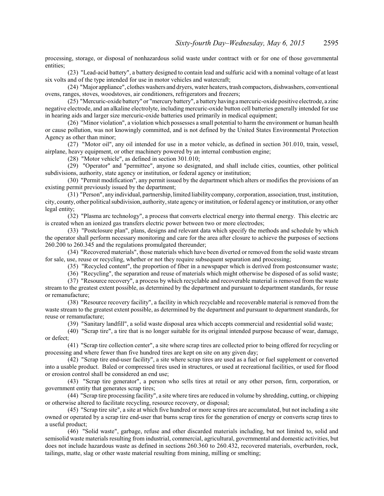processing, storage, or disposal of nonhazardous solid waste under contract with or for one of those governmental entities;

(23) "Lead-acid battery", a battery designed to contain lead and sulfuric acid with a nominal voltage of at least six volts and of the type intended for use in motor vehicles and watercraft;

(24) "Major appliance", clothes washers and dryers, water heaters, trash compactors, dishwashers, conventional ovens, ranges, stoves, woodstoves, air conditioners, refrigerators and freezers;

(25) "Mercuric-oxide battery" or "mercury battery", a battery having a mercuric-oxide positive electrode, a zinc negative electrode, and an alkaline electrolyte, including mercuric-oxide button cell batteries generally intended for use in hearing aids and larger size mercuric-oxide batteries used primarily in medical equipment;

(26) "Minor violation", a violation which possesses a small potential to harm the environment or human health or cause pollution, was not knowingly committed, and is not defined by the United States Environmental Protection Agency as other than minor;

(27) "Motor oil", any oil intended for use in a motor vehicle, as defined in section 301.010, train, vessel, airplane, heavy equipment, or other machinery powered by an internal combustion engine;

(28) "Motor vehicle", as defined in section 301.010;

(29) "Operator" and "permittee", anyone so designated, and shall include cities, counties, other political subdivisions, authority, state agency or institution, or federal agency or institution;

(30) "Permit modification", any permit issued by the department which alters or modifies the provisions of an existing permit previously issued by the department;

(31) "Person", any individual, partnership, limited liabilitycompany, corporation, association, trust, institution, city, county, other political subdivision, authority, state agency or institution, or federal agency or institution, or any other legal entity;

(32) "Plasma arc technology", a process that converts electrical energy into thermal energy. This electric arc is created when an ionized gas transfers electric power between two or more electrodes;

(33) "Postclosure plan", plans, designs and relevant data which specify the methods and schedule by which the operator shall perform necessary monitoring and care for the area after closure to achieve the purposes of sections 260.200 to 260.345 and the regulations promulgated thereunder;

(34) "Recovered materials", those materials which have been diverted or removed from the solid waste stream for sale, use, reuse or recycling, whether or not they require subsequent separation and processing;

(35) "Recycled content", the proportion of fiber in a newspaper which is derived from postconsumer waste;

(36) "Recycling", the separation and reuse of materials which might otherwise be disposed of as solid waste;

(37) "Resource recovery", a process by which recyclable and recoverable material is removed from the waste stream to the greatest extent possible, as determined by the department and pursuant to department standards, for reuse or remanufacture;

(38) "Resource recovery facility", a facility in which recyclable and recoverable material is removed from the waste stream to the greatest extent possible, as determined by the department and pursuant to department standards, for reuse or remanufacture;

(39) "Sanitary landfill", a solid waste disposal area which accepts commercial and residential solid waste;

(40) "Scrap tire", a tire that is no longer suitable for its original intended purpose because of wear, damage, or defect;

(41) "Scrap tire collection center", a site where scrap tires are collected prior to being offered for recycling or processing and where fewer than five hundred tires are kept on site on any given day;

(42) "Scrap tire end-user facility", a site where scrap tires are used as a fuel or fuel supplement or converted into a usable product. Baled or compressed tires used in structures, or used at recreational facilities, or used for flood or erosion control shall be considered an end use;

(43) "Scrap tire generator", a person who sells tires at retail or any other person, firm, corporation, or government entity that generates scrap tires;

(44) "Scrap tire processing facility", a site where tires are reduced in volume by shredding, cutting, or chipping or otherwise altered to facilitate recycling, resource recovery, or disposal;

(45) "Scrap tire site", a site at which five hundred or more scrap tires are accumulated, but not including a site owned or operated by a scrap tire end-user that burns scrap tires for the generation of energy or converts scrap tires to a useful product;

(46) "Solid waste", garbage, refuse and other discarded materials including, but not limited to, solid and semisolid waste materials resulting from industrial, commercial, agricultural, governmental and domestic activities, but does not include hazardous waste as defined in sections 260.360 to 260.432, recovered materials, overburden, rock, tailings, matte, slag or other waste material resulting from mining, milling or smelting;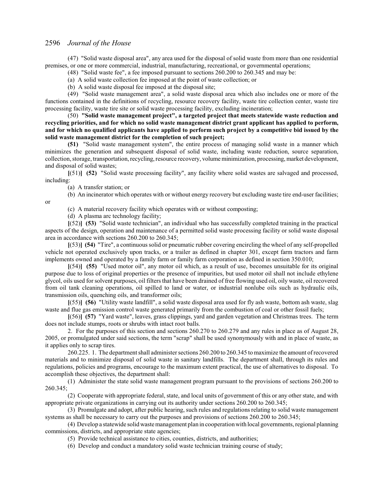(47) "Solid waste disposal area", any area used for the disposal of solid waste from more than one residential premises, or one or more commercial, industrial, manufacturing, recreational, or governmental operations;

(48) "Solid waste fee", a fee imposed pursuant to sections 260.200 to 260.345 and may be:

(a) A solid waste collection fee imposed at the point of waste collection; or

(b) A solid waste disposal fee imposed at the disposal site;

(49) "Solid waste management area", a solid waste disposal area which also includes one or more of the functions contained in the definitions of recycling, resource recovery facility, waste tire collection center, waste tire processing facility, waste tire site or solid waste processing facility, excluding incineration;

(50) **"Solid waste management project", a targeted project that meets statewide waste reduction and recycling priorities, and for which no solid waste management district grant applicant has applied to perform, and for which no qualified applicants have applied to perform such project by a competitive bid issued by the solid waste management district for the completion of such project;**

**(51)** "Solid waste management system", the entire process of managing solid waste in a manner which minimizes the generation and subsequent disposal of solid waste, including waste reduction, source separation, collection, storage, transportation, recycling, resource recovery, volume minimization, processing, market development, and disposal of solid wastes;

**[**(51)**] (52)** "Solid waste processing facility", any facility where solid wastes are salvaged and processed, including:

(a) A transfer station; or

(b) An incinerator which operates with or without energy recovery but excluding waste tire end-user facilities;

or

(c) A material recovery facility which operates with or without composting;

(d) A plasma arc technology facility;

**[**(52)**] (53)** "Solid waste technician", an individual who has successfully completed training in the practical aspects of the design, operation and maintenance of a permitted solid waste processing facility or solid waste disposal area in accordance with sections 260.200 to 260.345;

**[**(53)**] (54)** "Tire", a continuous solid or pneumatic rubber covering encircling the wheel of any self-propelled vehicle not operated exclusively upon tracks, or a trailer as defined in chapter 301, except farm tractors and farm implements owned and operated by a family farm or family farm corporation as defined in section 350.010;

**[**(54)**] (55)** "Used motor oil", any motor oil which, as a result of use, becomes unsuitable for its original purpose due to loss of original properties or the presence of impurities, but used motor oil shall not include ethylene glycol, oils used for solvent purposes, oil filters that have been drained of free flowing used oil, oily waste, oil recovered from oil tank cleaning operations, oil spilled to land or water, or industrial nonlube oils such as hydraulic oils, transmission oils, quenching oils, and transformer oils;

**[**(55)**] (56)** "Utility waste landfill", a solid waste disposal area used for fly ash waste, bottom ash waste, slag waste and flue gas emission control waste generated primarily from the combustion of coal or other fossil fuels;

**[**(56)**] (57)** "Yard waste", leaves, grass clippings, yard and garden vegetation and Christmas trees. The term does not include stumps, roots or shrubs with intact root balls.

2. For the purposes of this section and sections 260.270 to 260.279 and any rules in place as of August 28, 2005, or promulgated under said sections, the term "scrap" shall be used synonymously with and in place of waste, as it applies only to scrap tires.

260.225. 1. The department shall administer sections 260.200 to 260.345 to maximize the amount ofrecovered materials and to minimize disposal of solid waste in sanitary landfills. The department shall, through its rules and regulations, policies and programs, encourage to the maximum extent practical, the use of alternatives to disposal. To accomplish these objectives, the department shall:

(1) Administer the state solid waste management program pursuant to the provisions of sections 260.200 to 260.345;

(2) Cooperate with appropriate federal, state, and local units of government of this or any other state, and with appropriate private organizations in carrying out its authority under sections 260.200 to 260.345;

(3) Promulgate and adopt, after public hearing, such rules and regulations relating to solid waste management systems as shall be necessary to carry out the purposes and provisions of sections 260.200 to 260.345;

(4) Develop a statewide solid waste management plan in cooperationwith local governments, regional planning commissions, districts, and appropriate state agencies;

(5) Provide technical assistance to cities, counties, districts, and authorities;

(6) Develop and conduct a mandatory solid waste technician training course of study;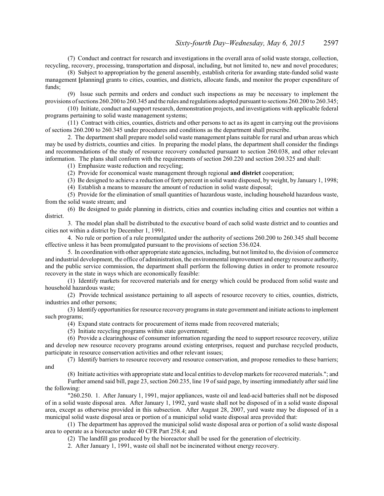(7) Conduct and contract for research and investigations in the overall area of solid waste storage, collection, recycling, recovery, processing, transportation and disposal, including, but not limited to, new and novel procedures;

(8) Subject to appropriation by the general assembly, establish criteria for awarding state-funded solid waste management **[**planning**]** grants to cities, counties, and districts, allocate funds, and monitor the proper expenditure of funds;

(9) Issue such permits and orders and conduct such inspections as may be necessary to implement the provisions ofsections 260.200 to 260.345 and the rules and regulations adopted pursuant to sections 260.200 to 260.345;

(10) Initiate, conduct and support research, demonstration projects, and investigations with applicable federal programs pertaining to solid waste management systems;

(11) Contract with cities, counties, districts and other persons to act as its agent in carrying out the provisions of sections 260.200 to 260.345 under procedures and conditions as the department shall prescribe.

2. The department shall prepare model solid waste management plans suitable for rural and urban areas which may be used by districts, counties and cities. In preparing the model plans, the department shall consider the findings and recommendations of the study of resource recovery conducted pursuant to section 260.038, and other relevant information. The plans shall conform with the requirements of section 260.220 and section 260.325 and shall:

(1) Emphasize waste reduction and recycling;

(2) Provide for economical waste management through regional **and district** cooperation;

(3) Be designed to achieve a reduction of forty percent in solid waste disposed, by weight, by January 1, 1998;

(4) Establish a means to measure the amount of reduction in solid waste disposal;

(5) Provide for the elimination of small quantities of hazardous waste, including household hazardous waste, from the solid waste stream; and

(6) Be designed to guide planning in districts, cities and counties including cities and counties not within a district.

3. The model plan shall be distributed to the executive board of each solid waste district and to counties and cities not within a district by December 1, 1991.

4. No rule or portion of a rule promulgated under the authority of sections 260.200 to 260.345 shall become effective unless it has been promulgated pursuant to the provisions of section 536.024.

5. In coordination with other appropriate state agencies, including, but not limited to, the division of commerce and industrial development, the office of administration, the environmental improvement and energy resource authority, and the public service commission, the department shall perform the following duties in order to promote resource recovery in the state in ways which are economically feasible:

(1) Identify markets for recovered materials and for energy which could be produced from solid waste and household hazardous waste;

(2) Provide technical assistance pertaining to all aspects of resource recovery to cities, counties, districts, industries and other persons;

(3) Identify opportunities for resource recovery programs in state government and initiate actions to implement such programs;

(4) Expand state contracts for procurement of items made from recovered materials;

(5) Initiate recycling programs within state government;

(6) Provide a clearinghouse of consumer information regarding the need to support resource recovery, utilize and develop new resource recovery programs around existing enterprises, request and purchase recycled products, participate in resource conservation activities and other relevant issues;

(7) Identify barriers to resource recovery and resource conservation, and propose remedies to these barriers; and

(8) Initiate activities with appropriate state and local entities to develop markets for recovered materials."; and

Further amend said bill, page 23, section 260.235, line 19 ofsaid page, by inserting immediately after said line the following:

"260.250. 1. After January 1, 1991, major appliances, waste oil and lead-acid batteries shall not be disposed of in a solid waste disposal area. After January 1, 1992, yard waste shall not be disposed of in a solid waste disposal area, except as otherwise provided in this subsection. After August 28, 2007, yard waste may be disposed of in a municipal solid waste disposal area or portion of a municipal solid waste disposal area provided that:

(1) The department has approved the municipal solid waste disposal area or portion of a solid waste disposal area to operate as a bioreactor under 40 CFR Part 258.4; and

(2) The landfill gas produced by the bioreactor shall be used for the generation of electricity.

2. After January 1, 1991, waste oil shall not be incinerated without energy recovery.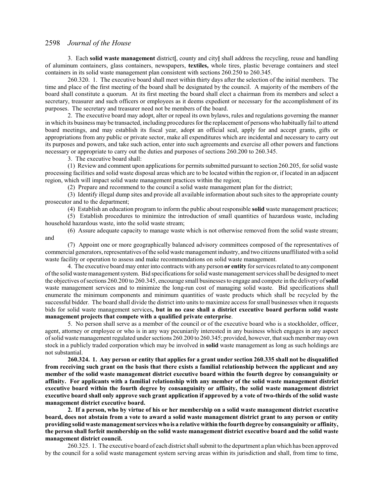3. Each **solid waste management** district**[**, county and city**]** shall address the recycling, reuse and handling of aluminum containers, glass containers, newspapers, **textiles,** whole tires, plastic beverage containers and steel containers in its solid waste management plan consistent with sections 260.250 to 260.345.

260.320. 1. The executive board shall meet within thirty days after the selection of the initial members. The time and place of the first meeting of the board shall be designated by the council. A majority of the members of the board shall constitute a quorum. At its first meeting the board shall elect a chairman from its members and select a secretary, treasurer and such officers or employees as it deems expedient or necessary for the accomplishment of its purposes. The secretary and treasurer need not be members of the board.

2. The executive board may adopt, alter or repeal its own bylaws, rules and regulations governing the manner in which its business may be transacted, including procedures for the replacement of persons who habitually fail to attend board meetings, and may establish its fiscal year, adopt an official seal, apply for and accept grants, gifts or appropriations from any public or private sector, make all expenditures which are incidental and necessary to carry out its purposes and powers, and take such action, enter into such agreements and exercise all other powers and functions necessary or appropriate to carry out the duties and purposes of sections 260.200 to 260.345.

3. The executive board shall:

(1) Review and comment upon applications for permits submitted pursuant to section 260.205, for solid waste processing facilities and solid waste disposal areas which are to be located within the region or, if located in an adjacent region, which will impact solid waste management practices within the region;

(2) Prepare and recommend to the council a solid waste management plan for the district;

(3) Identify illegal dump sites and provide all available information about such sites to the appropriate county prosecutor and to the department;

(4) Establish an education program to inform the public about responsible **solid** waste management practices;

(5) Establish procedures to minimize the introduction of small quantities of hazardous waste, including household hazardous waste, into the solid waste stream;

(6) Assure adequate capacity to manage waste which is not otherwise removed from the solid waste stream; and

(7) Appoint one or more geographically balanced advisory committees composed of the representatives of commercial generators, representatives ofthe solid waste management industry, and two citizens unaffiliated with a solid waste facility or operation to assess and make recommendations on solid waste management.

4. The executive board may enter into contracts with any person **or entity** for services related to any component ofthe solid waste managementsystem. Bid specifications for solid waste management services shall be designed to meet the objectives ofsections 260.200 to 260.345, encourage small businesses to engage and compete in the delivery of**solid** waste management services and to minimize the long-run cost of managing solid waste. Bid specifications shall enumerate the minimum components and minimum quantities of waste products which shall be recycled by the successful bidder. The board shall divide the district into units to maximize access for small businesses when it requests bids for solid waste management services**, but in no case shall a district executive board perform solid waste management projects that compete with a qualified private enterprise**.

5. No person shall serve as a member of the council or of the executive board who is a stockholder, officer, agent, attorney or employee or who is in any way pecuniarily interested in any business which engages in any aspect ofsolid waste management regulated under sections 260.200 to 260.345; provided, however, that suchmember may own stock in a publicly traded corporation which may be involved in **solid** waste management as long as such holdings are not substantial.

**260.324. 1. Any person or entity that applies for a grant under section 260.335 shall not be disqualified from receiving such grant on the basis that there exists a familial relationship between the applicant and any member of the solid waste management district executive board within the fourth degree by consanguinity or affinity. For applicants with a familial relationship with any member of the solid waste management district executive board within the fourth degree by consanguinity or affinity, the solid waste management district executive board shall only approve such grant application if approved by a vote of two-thirds of the solid waste management district executive board.**

**2. If a person, who by virtue of his or her membership on a solid waste management district executive board, does not abstain from a vote to award a solid waste management district grant to any person or entity providing solid waste management services who is a relative within the fourth degree by consanguinity or affinity, the person shall forfeit membership on the solid waste management district executive board and the solid waste management district council.**

260.325. 1. The executive board of each district shall submit to the department a plan which has been approved by the council for a solid waste management system serving areas within its jurisdiction and shall, from time to time,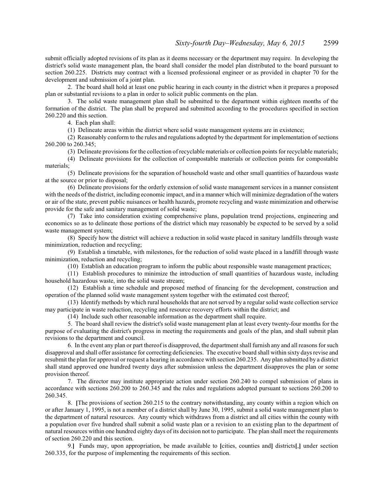submit officially adopted revisions of its plan as it deems necessary or the department may require. In developing the district's solid waste management plan, the board shall consider the model plan distributed to the board pursuant to section 260.225. Districts may contract with a licensed professional engineer or as provided in chapter 70 for the development and submission of a joint plan.

2. The board shall hold at least one public hearing in each county in the district when it prepares a proposed plan or substantial revisions to a plan in order to solicit public comments on the plan.

3. The solid waste management plan shall be submitted to the department within eighteen months of the formation of the district. The plan shall be prepared and submitted according to the procedures specified in section 260.220 and this section.

4. Each plan shall:

(1) Delineate areas within the district where solid waste management systems are in existence;

(2) Reasonably conform to the rules and regulations adopted by the department for implementation ofsections 260.200 to 260.345;

(3) Delineate provisions for the collection of recyclable materials or collection points for recyclable materials;

(4) Delineate provisions for the collection of compostable materials or collection points for compostable materials;

(5) Delineate provisions for the separation of household waste and other small quantities of hazardous waste at the source or prior to disposal;

(6) Delineate provisions for the orderly extension of solid waste management services in a manner consistent with the needs of the district, including economic impact, and in a manner which will minimize degradation of the waters or air of the state, prevent public nuisances or health hazards, promote recycling and waste minimization and otherwise provide for the safe and sanitary management of solid waste;

(7) Take into consideration existing comprehensive plans, population trend projections, engineering and economics so as to delineate those portions of the district which may reasonably be expected to be served by a solid waste management system;

(8) Specify how the district will achieve a reduction in solid waste placed in sanitary landfills through waste minimization, reduction and recycling;

(9) Establish a timetable, with milestones, for the reduction of solid waste placed in a landfill through waste minimization, reduction and recycling;

(10) Establish an education program to inform the public about responsible waste management practices;

(11) Establish procedures to minimize the introduction of small quantities of hazardous waste, including household hazardous waste, into the solid waste stream;

(12) Establish a time schedule and proposed method of financing for the development, construction and operation of the planned solid waste management system together with the estimated cost thereof;

(13) Identify methods by which rural householdsthat are notserved by a regular solid waste collection service may participate in waste reduction, recycling and resource recovery efforts within the district; and

(14) Include such other reasonable information as the department shall require.

5. The board shall review the district's solid waste management plan at least every twenty-four months for the purpose of evaluating the district's progress in meeting the requirements and goals of the plan, and shall submit plan revisions to the department and council.

6. In the event any plan or part thereof is disapproved, the department shall furnish any and all reasons for such disapproval and shall offer assistance for correcting deficiencies. The executive board shall within sixty days revise and resubmit the plan for approval or request a hearing in accordance with section 260.235. Any plan submitted by a district shall stand approved one hundred twenty days after submission unless the department disapproves the plan or some provision thereof.

7. The director may institute appropriate action under section 260.240 to compel submission of plans in accordance with sections 260.200 to 260.345 and the rules and regulations adopted pursuant to sections 260.200 to 260.345.

8. **[**The provisions of section 260.215 to the contrary notwithstanding, any county within a region which on or after January 1, 1995, is not a member of a district shall by June 30, 1995, submit a solid waste management plan to the department of natural resources. Any county which withdraws from a district and all cities within the county with a population over five hundred shall submit a solid waste plan or a revision to an existing plan to the department of natural resources within one hundred eighty days of its decision not to participate. The plan shall meet the requirements of section 260.220 and this section.

9.**]** Funds may, upon appropriation, be made available to **[**cities, counties and**]** districts**[**,**]** under section 260.335, for the purpose of implementing the requirements of this section.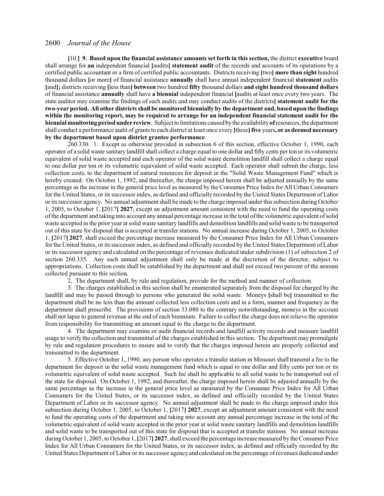**[**10.**] 9. Based upon the financial assistance amounts set forth in this section,** the district **executive** board shall arrange for **an** independent financial **[**audits**] statement audit** of the records and accounts of its operations by a certified public accountant or a firm of certified public accountants. Districts receiving **[**two**] more than eight** hundred thousand dollars **[**or more**]** of financial assistance **annually** shall have annual independent financial **statement** audits **[**and**];** districts receiving **[**less than**] between** two hundred **fifty** thousand dollars **and eight hundred thousand dollars** of financial assistance **annually** shall have **a biennial** independent financial **[**audits at least once every two years. The state auditor may examine the findings of such audits and may conduct audits of the districts**] statement audit for the two-year period. All other districts shall be monitored biennially by the department and, based upon the findings within the monitoring report, may be required to arrange for an independent financial statement audit for the biennial monitoring period under review**. Subject to limitations caused by the availability of resources, the department shall conduct a performance audit of grants to each district at least once every **[**three**] five** years**, or as deemed necessary by the department based upon district grantee performance**.

260.330. 1. Except as otherwise provided in subsection 6 of this section, effective October 1, 1990, each operator of a solid waste sanitary landfill shall collect a charge equal to one dollar and fifty cents per ton or its volumetric equivalent of solid waste accepted and each operator of the solid waste demolition landfill shall collect a charge equal to one dollar per ton or its volumetric equivalent of solid waste accepted. Each operator shall submit the charge, less collection costs, to the department of natural resources for deposit in the "Solid Waste Management Fund" which is hereby created. On October 1, 1992, and thereafter, the charge imposed herein shall be adjusted annually by the same percentage as the increase in the general price level as measured by the Consumer Price Index for All Urban Consumers for the United States, or its successor index, as defined and officially recorded by the United States Department of Labor or its successor agency. No annual adjustment shall be made to the charge imposed under this subsection during October 1, 2005, to October 1, **[**2017**] 2027**, except an adjustment amount consistent with the need to fund the operating costs ofthe department and taking into account any annual percentage increase in the total ofthe volumetric equivalent ofsolid waste accepted in the prior year at solid waste sanitary landfills and demolition landfills and solid waste to be transported out of this state for disposal that is accepted at transfer stations. No annual increase during October 1, 2005, to October 1, **[**2017**] 2027**, shall exceed the percentage increase measured by the Consumer Price Index for All Urban Consumers for the United States, or its successor index, as defined and officially recorded by the United States Department of Labor or its successor agency and calculated on the percentage of revenues dedicated under subdivision (1) of subsection 2 of section 260.335. Any such annual adjustment shall only be made at the discretion of the director, subject to appropriations. Collection costs shall be established by the department and shall not exceed two percent of the amount collected pursuant to this section.

2. The department shall, by rule and regulation, provide for the method and manner of collection.

3. The charges established in this section shall be enumerated separately from the disposal fee charged by the landfill and may be passed through to persons who generated the solid waste. Moneys **[**shall be**]** transmitted to the department shall be no less than the amount collected less collection costs and in a form, manner and frequency as the department shall prescribe. The provisions of section 33.080 to the contrary notwithstanding, moneys in the account shall not lapse to general revenue at the end of each biennium. Failure to collect the charge does not relieve the operator from responsibility for transmitting an amount equal to the charge to the department.

4. The department may examine or audit financial records and landfill activity records and measure landfill usage to verify the collection and transmittal of the charges established in this section. The department may promulgate by rule and regulation procedures to ensure and to verify that the charges imposed herein are properly collected and transmitted to the department.

5. Effective October 1, 1990, any person who operates a transfer station in Missouri shall transmit a fee to the department for deposit in the solid waste management fund which is equal to one dollar and fifty cents per ton or its volumetric equivalent of solid waste accepted. Such fee shall be applicable to all solid waste to be transported out of the state for disposal. On October 1, 1992, and thereafter, the charge imposed herein shall be adjusted annually by the same percentage as the increase in the general price level as measured by the Consumer Price Index for All Urban Consumers for the United States, or its successor index, as defined and officially recorded by the United States Department of Labor or its successor agency. No annual adjustment shall be made to the charge imposed under this subsection during October 1, 2005, to October 1, **[**2017**] 2027**, except an adjustment amount consistent with the need to fund the operating costs of the department and taking into account any annual percentage increase in the total of the volumetric equivalent of solid waste accepted in the prior year at solid waste sanitary landfills and demolition landfills and solid waste to be transported out of this state for disposal that is accepted at transfer stations. No annual increase during October 1, 2005, to October 1, **[**2017**] 2027**, shall exceed the percentage increase measured by the Consumer Price Index for All Urban Consumers for the United States, or its successor index, as defined and officially recorded by the United States Department of Labor or its successor agency and calculated on the percentage ofrevenues dedicated under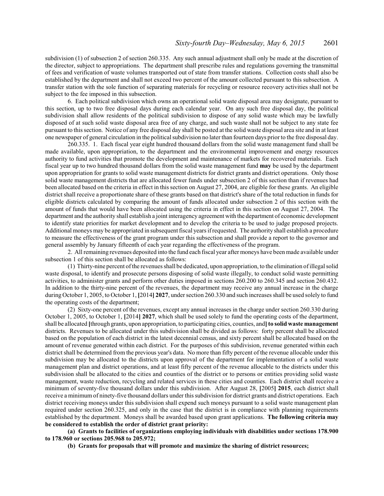subdivision (1) of subsection 2 of section 260.335. Any such annual adjustment shall only be made at the discretion of the director, subject to appropriations. The department shall prescribe rules and regulations governing the transmittal of fees and verification of waste volumes transported out of state from transfer stations. Collection costs shall also be established by the department and shall not exceed two percent of the amount collected pursuant to this subsection. A transfer station with the sole function of separating materials for recycling or resource recovery activities shall not be subject to the fee imposed in this subsection.

6. Each political subdivision which owns an operational solid waste disposal area may designate, pursuant to this section, up to two free disposal days during each calendar year. On any such free disposal day, the political subdivision shall allow residents of the political subdivision to dispose of any solid waste which may be lawfully disposed of at such solid waste disposal area free of any charge, and such waste shall not be subject to any state fee pursuant to this section. Notice of any free disposal day shall be posted at the solid waste disposal area site and in at least one newspaper of general circulation in the political subdivision no later than fourteen days prior to the free disposal day.

260.335. 1. Each fiscal year eight hundred thousand dollars from the solid waste management fund shall be made available, upon appropriation, to the department and the environmental improvement and energy resources authority to fund activities that promote the development and maintenance of markets for recovered materials. Each fiscal year up to two hundred thousand dollars from the solid waste management fund **may** be used by the department upon appropriation for grants to solid waste management districts for district grants and district operations. Only those solid waste management districts that are allocated fewer funds under subsection 2 of this section than if revenues had been allocated based on the criteria in effect in this section on August 27, 2004, are eligible for these grants. An eligible district shall receive a proportionate share of these grants based on that district's share of the total reduction in funds for eligible districts calculated by comparing the amount of funds allocated under subsection 2 of this section with the amount of funds that would have been allocated using the criteria in effect in this section on August 27, 2004. The department and the authority shall establish a joint interagency agreement with the department of economic development to identify state priorities for market development and to develop the criteria to be used to judge proposed projects. Additional moneys may be appropriated in subsequent fiscal years ifrequested. The authority shall establish a procedure to measure the effectiveness of the grant program under this subsection and shall provide a report to the governor and general assembly by January fifteenth of each year regarding the effectiveness of the program.

2. All remaining revenues deposited into the fund each fiscal year after moneys have been made available under subsection 1 of this section shall be allocated as follows:

(1) Thirty-nine percent ofthe revenues shall be dedicated, upon appropriation, to the elimination ofillegal solid waste disposal, to identify and prosecute persons disposing of solid waste illegally, to conduct solid waste permitting activities, to administer grants and perform other duties imposed in sections 260.200 to 260.345 and section 260.432. In addition to the thirty-nine percent of the revenues, the department may receive any annual increase in the charge during October 1, 2005, to October 1, **[**2014**] 2027**, under section 260.330 and such increases shall be used solely to fund the operating costs of the department;

(2) Sixty-one percent of the revenues, except any annual increases in the charge under section 260.330 during October 1, 2005, to October 1, **[**2014**] 2027**, which shall be used solely to fund the operating costs of the department, shall be allocated **[**through grants, upon appropriation, to participating cities, counties, and**] to solid waste management** districts. Revenues to be allocated under this subdivision shall be divided as follows: forty percent shall be allocated based on the population of each district in the latest decennial census, and sixty percent shall be allocated based on the amount of revenue generated within each district. For the purposes of this subdivision, revenue generated within each district shall be determined from the previous year's data. No more than fifty percent of the revenue allocable under this subdivision may be allocated to the districts upon approval of the department for implementation of a solid waste management plan and district operations, and at least fifty percent of the revenue allocable to the districts under this subdivision shall be allocated to the cities and counties of the district or to persons or entities providing solid waste management, waste reduction, recycling and related services in these cities and counties. Each district shall receive a minimum of seventy-five thousand dollars under this subdivision. After August 28, **[**2005**] 2015**, each district shall receive a minimum of ninety-five thousand dollars under this subdivision for district grants and district operations. Each district receiving moneys under this subdivision shall expend such moneys pursuant to a solid waste management plan required under section 260.325, and only in the case that the district is in compliance with planning requirements established by the department. Moneys shall be awarded based upon grant applications. **The following criteria may be considered to establish the order of district grant priority:**

**(a) Grants to facilities of organizations employing individuals with disabilities under sections 178.900 to 178.960 or sections 205.968 to 205.972;**

**(b) Grants for proposals that will promote and maximize the sharing of district resources;**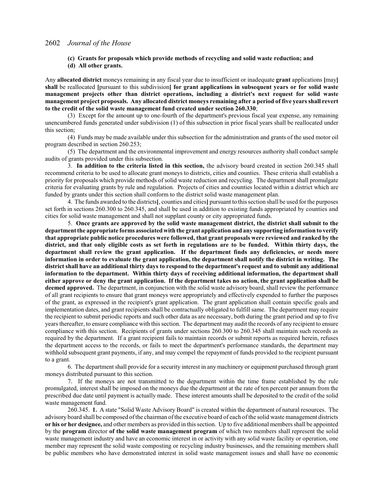- **(c) Grants for proposals which provide methods of recycling and solid waste reduction; and**
- **(d) All other grants.**

Any **allocated district** moneys remaining in any fiscal year due to insufficient or inadequate **grant** applications **[**may**] shall** be reallocated **[**pursuant to this subdivision**] for grant applications in subsequent years or for solid waste management projects other than district operations, including a district's next request for solid waste management project proposals. Any allocated district moneys remaining after a period of five years shall revert to the credit of the solid waste management fund created under section 260.330**;

(3) Except for the amount up to one-fourth of the department's previous fiscal year expense, any remaining unencumbered funds generated under subdivision (1) of this subsection in prior fiscal years shall be reallocated under this section;

(4) Funds may be made available under this subsection for the administration and grants of the used motor oil program described in section 260.253;

(5) The department and the environmental improvement and energy resources authority shall conduct sample audits of grants provided under this subsection.

3. **In addition to the criteria listed in this section,** the advisory board created in section 260.345 shall recommend criteria to be used to allocate grant moneys to districts, cities and counties. These criteria shall establish a priority for proposals which provide methods of solid waste reduction and recycling. The department shall promulgate criteria for evaluating grants by rule and regulation. Projects of cities and counties located within a district which are funded by grants under this section shall conform to the district solid waste management plan.

4. The funds awarded to the districts**[**, counties and cities**]** pursuant to thissection shall be used for the purposes set forth in sections 260.300 to 260.345, and shall be used in addition to existing funds appropriated by counties and cities for solid waste management and shall not supplant county or city appropriated funds.

5. **Once grants are approved by the solid waste management district, the district shall submit to the department the appropriate forms associated with the grant application and any supporting information to verify that appropriate public notice procedures were followed, that grant proposals were reviewed and ranked by the district, and that only eligible costs as set forth in regulations are to be funded. Within thirty days, the department shall review the grant application. If the department finds any deficiencies, or needs more information in order to evaluate the grant application, the department shall notify the district in writing. The district shall have an additional thirty days to respond to the department's request and to submit any additional information to the department. Within thirty days of receiving additional information, the department shall either approve or deny the grant application. If the department takes no action, the grant application shall be deemed approved.** The department, in conjunction with the solid waste advisory board, shall review the performance of all grant recipients to ensure that grant moneys were appropriately and effectively expended to further the purposes of the grant, as expressed in the recipient's grant application. The grant application shall contain specific goals and implementation dates, and grant recipients shall be contractually obligated to fulfill same. The department may require the recipient to submit periodic reports and such other data as are necessary, both during the grant period and up to five years thereafter, to ensure compliance with this section. The department may audit the records of any recipient to ensure compliance with this section. Recipients of grants under sections 260.300 to 260.345 shall maintain such records as required by the department. If a grant recipient fails to maintain records or submit reports as required herein, refuses the department access to the records, or fails to meet the department's performance standards, the department may withhold subsequent grant payments, if any, and may compel the repayment of funds provided to the recipient pursuant to a grant.

6. The department shall provide for a security interest in any machinery or equipment purchased through grant moneys distributed pursuant to this section.

7. If the moneys are not transmitted to the department within the time frame established by the rule promulgated, interest shall be imposed on the moneys due the department at the rate of ten percent per annum from the prescribed due date until payment is actually made. These interest amounts shall be deposited to the credit of the solid waste management fund.

260.345. **1.** A state "Solid Waste Advisory Board" is created within the department of natural resources. The advisory board shall be composed ofthe chairman ofthe executive board of each of the solid waste management districts **or his or her designee,** and other members as provided in this section. Up to five additional members shall be appointed by the **program** director **of the solid waste management program** of which two members shall represent the solid waste management industry and have an economic interest in or activity with any solid waste facility or operation, one member may represent the solid waste composting or recycling industry businesses, and the remaining members shall be public members who have demonstrated interest in solid waste management issues and shall have no economic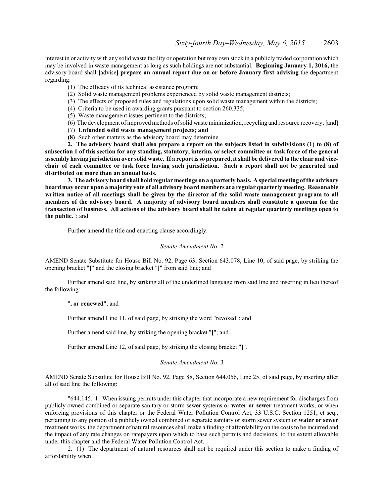interest in or activity with any solid waste facility or operation but may own stock in a publicly traded corporation which may be involved in waste management as long as such holdings are not substantial. **Beginning January 1, 2016,** the advisory board shall **[**advise**] prepare an annual report due on or before January first advising** the department regarding:

- (1) The efficacy of its technical assistance program;
- (2) Solid waste management problems experienced by solid waste management districts;
- (3) The effects of proposed rules and regulations upon solid waste management within the districts;
- (4) Criteria to be used in awarding grants pursuant to section 260.335;
- (5) Waste management issues pertinent to the districts;
- (6) The development ofimproved methods ofsolid waste minimization, recycling and resource recovery; **[**and**]**
- (7) **Unfunded solid waste management projects; and**
- **(8)** Such other matters as the advisory board may determine.

**2. The advisory board shall also prepare a report on the subjects listed in subdivisions (1) to (8) of subsection 1 of this section for any standing, statutory, interim, or select committee or task force of the general assembly having jurisdiction over solid waste. If a report is so prepared, it shall be delivered to the chair and vicechair of each committee or task force having such jurisdiction. Such a report shall not be generated and distributed on more than an annual basis.**

**3. The advisory board shall hold regular meetings on a quarterly basis. A special meeting of the advisory board may occur upon a majority vote of all advisory board members at a regular quarterly meeting. Reasonable written notice of all meetings shall be given by the director of the solid waste management program to all members of the advisory board. A majority of advisory board members shall constitute a quorum for the transaction of business. All actions of the advisory board shall be taken at regular quarterly meetings open to the public.**"; and

Further amend the title and enacting clause accordingly.

#### *Senate Amendment No. 2*

AMEND Senate Substitute for House Bill No. 92, Page 63, Section 643.078, Line 10, of said page, by striking the opening bracket "**[**" and the closing bracket "**]**" from said line; and

Further amend said line, by striking all of the underlined language from said line and inserting in lieu thereof the following:

"**, or renewed**"; and

Further amend Line 11, of said page, by striking the word "revoked"; and

Further amend said line, by striking the opening bracket "**[**"; and

Further amend Line 12, of said page, by striking the closing bracket "**]**".

*Senate Amendment No. 3*

AMEND Senate Substitute for House Bill No. 92, Page 88, Section 644.056, Line 25, of said page, by inserting after all of said line the following:

"644.145. 1. When issuing permits under this chapter that incorporate a new requirement for discharges from publicly owned combined or separate sanitary or storm sewer systems or **water or sewer** treatment works, or when enforcing provisions of this chapter or the Federal Water Pollution Control Act, 33 U.S.C. Section 1251, et seq., pertaining to any portion of a publicly owned combined or separate sanitary or storm sewer system or **water or sewer** treatment works, the department of natural resources shall make a finding of affordability on the costs to be incurred and the impact of any rate changes on ratepayers upon which to base such permits and decisions, to the extent allowable under this chapter and the Federal Water Pollution Control Act.

2. (1) The department of natural resources shall not be required under this section to make a finding of affordability when: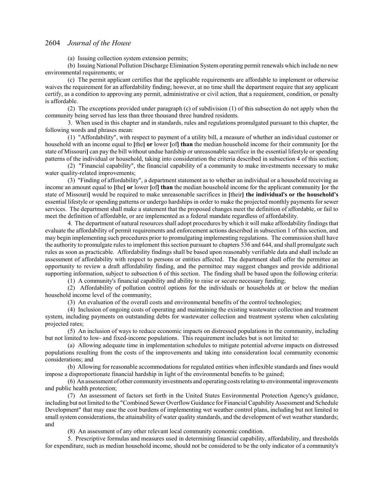(a) Issuing collection system extension permits;

(b) Issuing National Pollution Discharge Elimination System operating permit renewals which include no new environmental requirements; or

(c) The permit applicant certifies that the applicable requirements are affordable to implement or otherwise waives the requirement for an affordability finding; however, at no time shall the department require that any applicant certify, as a condition to approving any permit, administrative or civil action, that a requirement, condition, or penalty is affordable.

(2) The exceptions provided under paragraph (c) of subdivision (1) of this subsection do not apply when the community being served has less than three thousand three hundred residents.

3. When used in this chapter and in standards, rules and regulations promulgated pursuant to this chapter, the following words and phrases mean:

(1) "Affordability", with respect to payment of a utility bill, a measure of whether an individual customer or household with an income equal to **[**the**] or** lower **[**of**] than** the median household income for their community **[**or the state of Missouri**]** can pay the bill without undue hardship or unreasonable sacrifice in the essential lifestyle or spending patterns of the individual or household, taking into consideration the criteria described in subsection 4 of this section;

(2) "Financial capability", the financial capability of a community to make investments necessary to make water quality-related improvements;

(3) "Finding of affordability", a department statement as to whether an individual or a household receiving as income an amount equal to **[**the**] or** lower **[**of**] than** the median household income for the applicant community **[**or the state of Missouri**]** would be required to make unreasonable sacrifices in **[**their**] the individual's or the household's** essential lifestyle or spending patterns or undergo hardships in order to make the projected monthly payments for sewer services. The department shall make a statement that the proposed changes meet the definition of affordable, or fail to meet the definition of affordable, or are implemented as a federal mandate regardless of affordability.

4. The department of natural resources shall adopt procedures by which it will make affordability findings that evaluate the affordability of permit requirements and enforcement actions described in subsection 1 of this section, and may begin implementing such procedures prior to promulgating implementing regulations. The commission shall have the authority to promulgate rules to implement this section pursuant to chapters 536 and 644, and shall promulgate such rules as soon as practicable. Affordability findings shall be based upon reasonably verifiable data and shall include an assessment of affordability with respect to persons or entities affected. The department shall offer the permittee an opportunity to review a draft affordability finding, and the permittee may suggest changes and provide additional supporting information, subject to subsection 6 of this section. The finding shall be based upon the following criteria:

(1) A community's financial capability and ability to raise or secure necessary funding;

(2) Affordability of pollution control options for the individuals or households at or below the median household income level of the community;

(3) An evaluation of the overall costs and environmental benefits of the control technologies;

(4) Inclusion of ongoing costs of operating and maintaining the existing wastewater collection and treatment system, including payments on outstanding debts for wastewater collection and treatment systems when calculating projected rates;

(5) An inclusion of ways to reduce economic impacts on distressed populations in the community, including but not limited to low- and fixed-income populations. This requirement includes but is not limited to:

(a) Allowing adequate time in implementation schedules to mitigate potential adverse impacts on distressed populations resulting from the costs of the improvements and taking into consideration local community economic considerations; and

(b) Allowing for reasonable accommodations for regulated entities when inflexible standards and fines would impose a disproportionate financial hardship in light of the environmental benefits to be gained;

(6) An assessment of other communityinvestments and operating costs relating to environmental improvements and public health protection;

(7) An assessment of factors set forth in the United States Environmental Protection Agency's guidance, including but not limited to the "Combined Sewer Overflow Guidance for Financial Capability Assessment and Schedule Development" that may ease the cost burdens of implementing wet weather control plans, including but not limited to small system considerations, the attainability of water quality standards, and the development of wet weather standards; and

(8) An assessment of any other relevant local community economic condition.

5. Prescriptive formulas and measures used in determining financial capability, affordability, and thresholds for expenditure, such as median household income, should not be considered to be the only indicator of a community's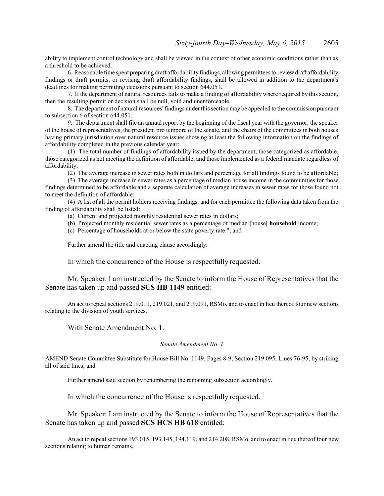ability to implement control technology and shall be viewed in the context of other economic conditions rather than as a threshold to be achieved.

6. Reasonable time spent preparing draft affordability findings, allowing permittees to review draft affordability findings or draft permits, or revising draft affordability findings, shall be allowed in addition to the department's deadlines for making permitting decisions pursuant to section 644.051.

7. If the department of natural resources fails to make a finding of affordability where required by this section, then the resulting permit or decision shall be null, void and unenforceable.

8. The department of natural resources'findings under this section may be appealed to the commission pursuant to subsection 6 of section 644.051.

9. The department shall file an annual report by the beginning of the fiscal year with the governor, the speaker of the house of representatives, the president pro tempore of the senate, and the chairs of the committees in both houses having primary jurisdiction over natural resource issues showing at least the following information on the findings of affordability completed in the previous calendar year:

(1) The total number of findings of affordability issued by the department, those categorized as affordable, those categorized as not meeting the definition of affordable, and those implemented as a federal mandate regardless of affordability;

(2) The average increase in sewer rates both in dollars and percentage for all findings found to be affordable;

(3) The average increase in sewer rates as a percentage of median house income in the communities for those findings determined to be affordable and a separate calculation of average increases in sewer rates for those found not to meet the definition of affordable;

(4) A list of all the permit holders receiving findings, and for each permittee the following data taken from the finding of affordability shall be listed:

(a) Current and projected monthly residential sewer rates in dollars;

(b) Projected monthly residential sewer rates as a percentage of median **[**house**] household** income;

(c) Percentage of households at or below the state poverty rate."; and

Further amend the title and enacting clause accordingly.

In which the concurrence of the House is respectfully requested.

Mr. Speaker: I am instructed by the Senate to inform the House of Representatives that the Senate has taken up and passed **SCS HB 1149** entitled:

An act to repeal sections 219.011, 219.021, and 219.091, RSMo, and to enact in lieu thereof four new sections relating to the division of youth services.

With Senate Amendment No. 1.

### *Senate Amendment No. 1*

AMEND Senate Committee Substitute for House Bill No. 1149, Pages 8-9, Section 219.095, Lines 76-95, by striking all of said lines; and

Further amend said section by renumbering the remaining subsection accordingly.

In which the concurrence of the House is respectfully requested.

Mr. Speaker: I am instructed by the Senate to inform the House of Representatives that the Senate has taken up and passed **SCS HCS HB 618** entitled:

An act to repeal sections 193.015, 193.145, 194.119, and 214.208, RSMo, and to enact in lieu thereof four new sections relating to human remains.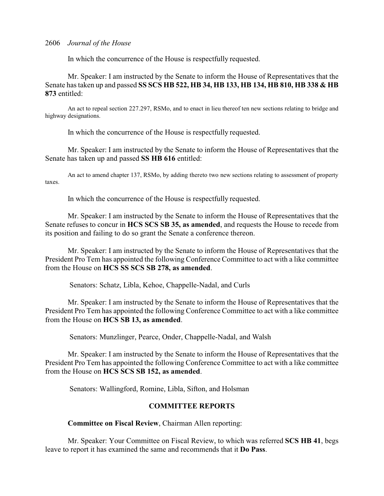In which the concurrence of the House is respectfully requested.

Mr. Speaker: I am instructed by the Senate to inform the House of Representatives that the Senate has taken up and passed **SS SCS HB 522, HB 34, HB 133, HB 134, HB 810, HB 338 & HB 873** entitled:

An act to repeal section 227.297, RSMo, and to enact in lieu thereof ten new sections relating to bridge and highway designations.

In which the concurrence of the House is respectfully requested.

Mr. Speaker: I am instructed by the Senate to inform the House of Representatives that the Senate has taken up and passed **SS HB 616** entitled:

An act to amend chapter 137, RSMo, by adding thereto two new sections relating to assessment of property taxes.

In which the concurrence of the House is respectfully requested.

Mr. Speaker: I am instructed by the Senate to inform the House of Representatives that the Senate refuses to concur in **HCS SCS SB 35, as amended**, and requests the House to recede from its position and failing to do so grant the Senate a conference thereon.

Mr. Speaker: I am instructed by the Senate to inform the House of Representatives that the President Pro Tem has appointed the following Conference Committee to act with a like committee from the House on **HCS SS SCS SB 278, as amended**.

Senators: Schatz, Libla, Kehoe, Chappelle-Nadal, and Curls

Mr. Speaker: I am instructed by the Senate to inform the House of Representatives that the President Pro Tem has appointed the following Conference Committee to act with a like committee from the House on **HCS SB 13, as amended**.

Senators: Munzlinger, Pearce, Onder, Chappelle-Nadal, and Walsh

Mr. Speaker: I am instructed by the Senate to inform the House of Representatives that the President Pro Tem has appointed the following Conference Committee to act with a like committee from the House on **HCS SCS SB 152, as amended**.

Senators: Wallingford, Romine, Libla, Sifton, and Holsman

# **COMMITTEE REPORTS**

# **Committee on Fiscal Review**, Chairman Allen reporting:

Mr. Speaker: Your Committee on Fiscal Review, to which was referred **SCS HB 41**, begs leave to report it has examined the same and recommends that it **Do Pass**.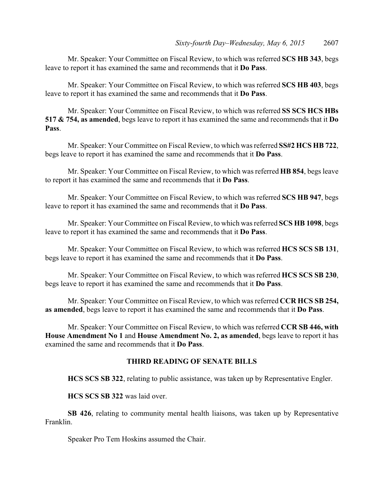Mr. Speaker: Your Committee on Fiscal Review, to which was referred **SCS HB 343**, begs leave to report it has examined the same and recommends that it **Do Pass**.

Mr. Speaker: Your Committee on Fiscal Review, to which was referred **SCS HB 403**, begs leave to report it has examined the same and recommends that it **Do Pass**.

Mr. Speaker: Your Committee on Fiscal Review, to which was referred **SS SCS HCS HBs 517 & 754, as amended**, begs leave to report it has examined the same and recommends that it **Do Pass**.

Mr. Speaker: Your Committee on Fiscal Review, to which was referred **SS#2 HCS HB 722**, begs leave to report it has examined the same and recommends that it **Do Pass**.

Mr. Speaker: Your Committee on Fiscal Review, to which was referred **HB 854**, begs leave to report it has examined the same and recommends that it **Do Pass**.

Mr. Speaker: Your Committee on Fiscal Review, to which was referred **SCS HB 947**, begs leave to report it has examined the same and recommends that it **Do Pass**.

Mr. Speaker: Your Committee on Fiscal Review, to which was referred **SCS HB 1098**, begs leave to report it has examined the same and recommends that it **Do Pass**.

Mr. Speaker: Your Committee on Fiscal Review, to which was referred **HCS SCS SB 131**, begs leave to report it has examined the same and recommends that it **Do Pass**.

Mr. Speaker: Your Committee on Fiscal Review, to which was referred **HCS SCS SB 230**, begs leave to report it has examined the same and recommends that it **Do Pass**.

Mr. Speaker: Your Committee on Fiscal Review, to which was referred **CCR HCS SB 254, as amended**, begs leave to report it has examined the same and recommends that it **Do Pass**.

Mr. Speaker: Your Committee on Fiscal Review, to which was referred **CCR SB 446, with House Amendment No 1** and **House Amendment No. 2, as amended**, begs leave to report it has examined the same and recommends that it **Do Pass**.

# **THIRD READING OF SENATE BILLS**

**HCS SCS SB 322**, relating to public assistance, was taken up by Representative Engler.

**HCS SCS SB 322** was laid over.

**SB 426**, relating to community mental health liaisons, was taken up by Representative Franklin.

Speaker Pro Tem Hoskins assumed the Chair.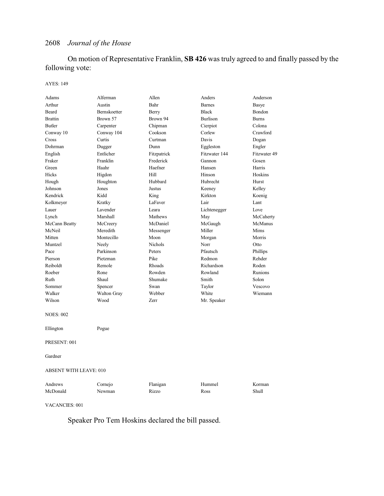On motion of Representative Franklin, **SB 426** was truly agreed to and finally passed by the following vote:

### AYES: 149

| Adams                  | Alferman     | Allen       | Anders          | Anderson     |  |
|------------------------|--------------|-------------|-----------------|--------------|--|
| Arthur                 | Austin       | Bahr        | <b>Barnes</b>   | Basye        |  |
| Beard                  | Bernskoetter | Berry       | <b>Black</b>    | Bondon       |  |
| <b>Brattin</b>         | Brown 57     | Brown 94    | <b>Burlison</b> | <b>Burns</b> |  |
| <b>Butler</b>          | Carpenter    | Chipman     | Cierpiot        | Colona       |  |
| Conway 10              | Conway 104   | Cookson     | Corlew          | Crawford     |  |
| Cross                  | Curtis       | Curtman     | Davis           | Dogan        |  |
| Dohrman                | Dugger       | Dunn        | Eggleston       | Engler       |  |
| English                | Entlicher    | Fitzpatrick | Fitzwater 144   | Fitzwater 49 |  |
| Fraker                 | Franklin     | Frederick   | Gannon          | Gosen        |  |
| Green                  | Haahr        | Haefner     | Hansen          | Harris       |  |
| Hicks                  | Higdon       | Hill        | Hinson          | Hoskins      |  |
| Hough                  | Houghton     | Hubbard     | Hubrecht        | Hurst        |  |
| Johnson                | Jones        | Justus      | Keeney          | Kelley       |  |
| Kendrick               | Kidd         | King        | Kirkton         | Koenig       |  |
| Kolkmeyer              | Kratky       | LaFaver     | Lair            | Lant         |  |
| Lauer                  | Lavender     | Leara       | Lichtenegger    | Love         |  |
| Lynch                  | Marshall     | Mathews     | May             | McCaherty    |  |
| McCann Beatty          | McCreery     | McDaniel    | McGaugh         | McManus      |  |
| McNeil                 | Meredith     | Messenger   | Miller          | Mims         |  |
| Mitten                 | Montecillo   | Moon        | Morgan          | Morris       |  |
| Muntzel                | Neely        | Nichols     | Norr            | Otto         |  |
| Pace                   | Parkinson    | Peters      | Pfautsch        | Phillips     |  |
| Pierson                | Pietzman     | Pike        | Redmon          | Rehder       |  |
| Reiboldt               | Remole       | Rhoads      | Richardson      | Roden        |  |
| Roeber                 | Rone         | Rowden      | Rowland         | Runions      |  |
| Ruth                   | Shaul        | Shumake     | Smith           | Solon        |  |
| Sommer                 | Spencer      | Swan        | Taylor          | Vescovo      |  |
| Walker                 | Walton Gray  | Webber      | White           | Wiemann      |  |
| Wilson                 | Wood         | <b>Zerr</b> | Mr. Speaker     |              |  |
| <b>NOES: 002</b>       |              |             |                 |              |  |
|                        |              |             |                 |              |  |
| Ellington              | Pogue        |             |                 |              |  |
| PRESENT: 001           |              |             |                 |              |  |
| Gardner                |              |             |                 |              |  |
| ABSENT WITH LEAVE: 010 |              |             |                 |              |  |
| Andrews                | Cornejo      | Flanigan    | Hummel          | Korman       |  |
| McDonald               | Newman       | Rizzo       | Ross            | Shull        |  |
|                        |              |             |                 |              |  |
|                        |              |             |                 |              |  |

VACANCIES: 001

Speaker Pro Tem Hoskins declared the bill passed.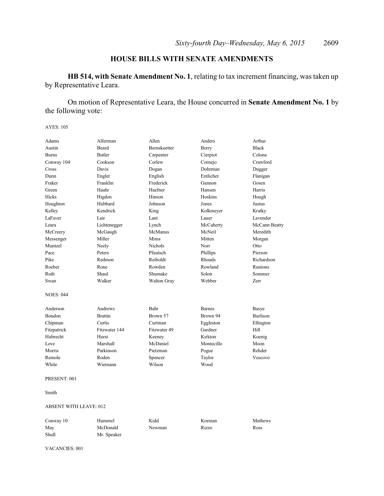# **HOUSE BILLS WITH SENATE AMENDMENTS**

**HB 514, with Senate Amendment No. 1**, relating to tax increment financing, was taken up by Representative Leara.

On motion of Representative Leara, the House concurred in **Senate Amendment No. 1** by the following vote:

AYES: 105

| Adams            | Alferman       | Allen          | Anders        | Arthur          |
|------------------|----------------|----------------|---------------|-----------------|
| Austin           | <b>Beard</b>   | Bernskoetter   | Berry         | <b>Black</b>    |
| <b>Burns</b>     | <b>Butler</b>  | Carpenter      | Cierpiot      | Colona          |
| Conway 104       | Cookson        | Corlew         | Cornejo       | Crawford        |
| Cross            | Davis          | Dogan          | Dohrman       | Dugger          |
| Dunn             | Engler         | English        | Entlicher     | Flanigan        |
| Fraker           | Franklin       | Frederick      | Gannon        | Gosen           |
| Green            | Haahr          | Haefner        | Hansen        | Harris          |
| Hicks            | Higdon         | Hinson         | Hoskins       | Hough           |
| Houghton         | Hubbard        | Johnson        | Jones         | Justus          |
| Kelley           | Kendrick       | King           | Kolkmeyer     | Kratky          |
| LaFaver          | Lair           | Lant           | Lauer         | Lavender        |
| Leara            | Lichtenegger   | Lynch          | McCaherty     | McCann Beatty   |
| McCreery         | McGaugh        | McManus        | McNeil        | Meredith        |
| Messenger        | Miller         | Mims           | Mitten        | Morgan          |
| Muntzel          | Neely          | <b>Nichols</b> | Norr          | Otto            |
| Pace             | Peters         | Pfautsch       | Phillips      | Pierson         |
| Pike             | Redmon         | Reiboldt       | Rhoads        | Richardson      |
| Roeber           | Rone           | Rowden         | Rowland       | Runions         |
| Ruth             | Shaul          | Shumake        | Solon         | Sommer          |
| Swan             | Walker         | Walton Gray    | Webber        | Zerr            |
| <b>NOES: 044</b> |                |                |               |                 |
| Anderson         | Andrews        | Bahr           | <b>Barnes</b> | Basye           |
| Bondon           | <b>Brattin</b> | Brown 57       | Brown 94      | <b>Burlison</b> |
| Chipman          | Curtis         | Curtman        | Eggleston     | Ellington       |
| Fitzpatrick      | Fitzwater 144  | Fitzwater 49   | Gardner       | Hill            |
| Hubrecht         | Hurst          | Keeney         | Kirkton       | Koenig          |
| Love             | Marshall       | McDaniel       | Montecillo    | Moon            |
| Morris           | Parkinson      | Pietzman       | Pogue         | Rehder          |
| Remole           | Roden          | Spencer        | Taylor        | Vescovo         |
| White            | Wiemann        | Wilson         | Wood          |                 |
| PRESENT: 001     |                |                |               |                 |

Smith

### ABSENT WITH LEAVE: 012

| Conway 10 | Hummel      | Kidd   | Korman | Mathews |
|-----------|-------------|--------|--------|---------|
| May       | McDonald    | Newman | Rizzo  | Ross    |
| Shull     | Mr. Speaker |        |        |         |

### VACANCIES: 001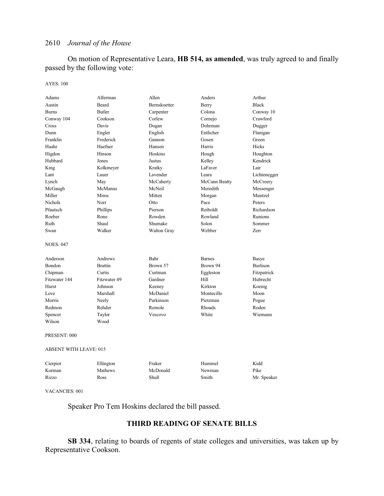On motion of Representative Leara, **HB 514, as amended**, was truly agreed to and finally passed by the following vote:

### AYES: 100

| Adams                         | Alferman       | Allen        | Anders        | Arthur          |
|-------------------------------|----------------|--------------|---------------|-----------------|
| Austin                        | Beard          | Bernskoetter | Berry         | <b>Black</b>    |
| <b>Burns</b>                  | <b>Butler</b>  | Carpenter    | Colona        | Conway 10       |
| Conway 104                    | Cookson        | Corlew       | Cornejo       | Crawford        |
| Cross                         | Davis          | Dogan        | Dohrman       | Dugger          |
| Dunn                          | Engler         | English      | Entlicher     | Flanigan        |
| Franklin                      | Frederick      | Gannon       | Gosen         | Green           |
| Haahr                         | Haefner        | Hansen       | Harris        | Hicks           |
| Higdon                        | Hinson         | Hoskins      | Hough         | Houghton        |
| Hubbard                       | Jones          | Justus       | Kelley        | Kendrick        |
| King                          | Kolkmeyer      | Kratky       | LaFaver       | Lair            |
| Lant                          | Lauer          | Lavender     | I eara        | Lichtenegger    |
| Lynch                         | May            | McCaherty    | McCann Beatty | McCreery        |
| McGaugh                       | McManus        | McNeil       | Meredith      | Messenger       |
| Miller                        | Mims           | Mitten       | Morgan        | Muntzel         |
| <b>Nichols</b>                | Norr           | Otto         | Pace          | Peters          |
| Pfautsch                      | Phillips       | Pierson      | Reiboldt      | Richardson      |
| Roeber                        | Rone           | Rowden       | Rowland       | Runions         |
| Ruth                          | Shaul          | Shumake      | Solon         | Sommer          |
| Swan                          | Walker         | Walton Gray  | Webber        | Zerr            |
| <b>NOES: 047</b>              |                |              |               |                 |
| Anderson                      | Andrews        | Bahr         | <b>Barnes</b> | Basye           |
| Bondon                        | <b>Brattin</b> | Brown 57     | Brown 94      | <b>Burlison</b> |
| Chipman                       | Curtis         | Curtman      | Eggleston     | Fitzpatrick     |
| Fitzwater 144                 | Fitzwater 49   | Gardner      | Hill          | Hubrecht        |
| Hurst                         | Johnson        | Keeney       | Kirkton       | Koenig          |
| Love                          | Marshall       | McDaniel     | Montecillo    | Moon            |
| Morris                        | Neely          | Parkinson    | Pietzman      | Pogue           |
| Redmon                        | Rehder         | Remole       | Rhoads        | Roden           |
| Spencer                       | Taylor         | Vescovo      | White         | Wiemann         |
| Wilson                        | Wood           |              |               |                 |
| PRESENT: 000                  |                |              |               |                 |
| <b>ABSENT WITH LEAVE: 015</b> |                |              |               |                 |
| Cierpiot                      | Ellington      | Fraker       | Hummel        | Kidd            |
| Korman                        | Mathews        | McDonald     | Newman        | Pike            |
| Rizzo                         | Ross           | <b>Shull</b> | Smith         | Mr. Speaker     |
|                               |                |              |               |                 |

VACANCIES: 001

Speaker Pro Tem Hoskins declared the bill passed.

# **THIRD READING OF SENATE BILLS**

**SB 334**, relating to boards of regents of state colleges and universities, was taken up by Representative Cookson.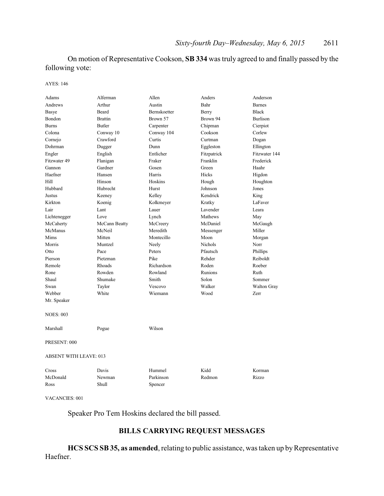On motion of Representative Cookson, **SB 334** was truly agreed to and finally passed by the following vote:

AYES: 146

| Adams                         | Alferman       | Allen        | Anders         | Anderson           |  |
|-------------------------------|----------------|--------------|----------------|--------------------|--|
| Andrews                       | Arthur         | Austin       | Bahr           | <b>Barnes</b>      |  |
| <b>Basye</b>                  | Beard          | Bernskoetter | Berry          | <b>Black</b>       |  |
| Bondon                        | <b>Brattin</b> | Brown 57     | Brown 94       | <b>Burlison</b>    |  |
| <b>Burns</b>                  | <b>Butler</b>  | Carpenter    | Chipman        | Cierpiot           |  |
| Colona                        | Conway 10      | Conway 104   | Cookson        | Corlew             |  |
| Cornejo                       | Crawford       | Curtis       | Curtman        | Dogan              |  |
| Dohrman                       | Dugger         | Dunn         | Eggleston      | Ellington          |  |
| Engler                        | English        | Entlicher    | Fitzpatrick    | Fitzwater 144      |  |
| Fitzwater 49                  | Flanigan       | Fraker       | Franklin       | Frederick          |  |
| Gannon                        | Gardner        | Gosen        | Green          | Haahr              |  |
| Haefner                       | Hansen         | Harris       | Hicks          | Higdon             |  |
| Hill                          | Hinson         | Hoskins      | Hough          | Houghton           |  |
| Hubbard                       | Hubrecht       | Hurst        | Johnson        | Jones              |  |
| Justus                        | Keeney         | Kelley       | Kendrick       | King               |  |
| Kirkton                       | Koenig         | Kolkmeyer    | Kratky         | LaFaver            |  |
| Lair                          | Lant           | Lauer        | Lavender       | Leara              |  |
| Lichtenegger                  | Love           | Lynch        | Mathews        | May                |  |
| McCaherty                     | McCann Beatty  | McCreery     | McDaniel       | McGaugh            |  |
| McManus                       | McNeil         | Meredith     | Messenger      | Miller             |  |
| <b>Mims</b>                   | Mitten         | Montecillo   | Moon           | Morgan             |  |
| Morris                        | Muntzel        | Neely        | <b>Nichols</b> | Norr               |  |
| Otto                          | Pace           | Peters       | Pfautsch       | Phillips           |  |
| Pierson                       | Pietzman       | Pike         | Rehder         | Reiboldt           |  |
| Remole                        | Rhoads         | Richardson   | Roden          | Roeber             |  |
| Rone                          | Rowden         | Rowland      | <b>Runions</b> | Ruth               |  |
| Shaul                         | Shumake        | Smith        | Solon          | Sommer             |  |
| Swan                          | Taylor         | Vescovo      | Walker         | <b>Walton Gray</b> |  |
| Webber                        | White          | Wiemann      | Wood           | Zerr               |  |
| Mr. Speaker                   |                |              |                |                    |  |
| <b>NOES: 003</b>              |                |              |                |                    |  |
| Marshall                      | Pogue          | Wilson       |                |                    |  |
| PRESENT: 000                  |                |              |                |                    |  |
| <b>ABSENT WITH LEAVE: 013</b> |                |              |                |                    |  |
| Cross                         | Davis          | Hummel       | Kidd           | Korman             |  |
| McDonald                      | Newman         | Parkinson    | Redmon         | Rizzo              |  |
| Ross                          | Shull          | Spencer      |                |                    |  |

VACANCIES: 001

Speaker Pro Tem Hoskins declared the bill passed.

# **BILLS CARRYING REQUEST MESSAGES**

HCS SCS SB 35, as amended, relating to public assistance, was taken up by Representative Haefner.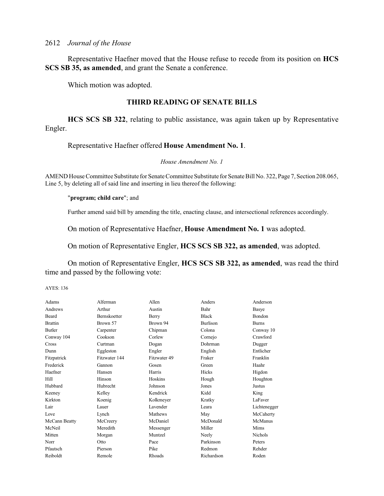Representative Haefner moved that the House refuse to recede from its position on **HCS SCS SB 35, as amended**, and grant the Senate a conference.

Which motion was adopted.

# **THIRD READING OF SENATE BILLS**

**HCS SCS SB 322**, relating to public assistance, was again taken up by Representative Engler.

# Representative Haefner offered **House Amendment No. 1**.

### *House Amendment No. 1*

AMEND House Committee Substitute for Senate Committee Substitute for Senate Bill No. 322, Page 7, Section 208.065, Line 5, by deleting all of said line and inserting in lieu thereof the following:

### "**program; child care**"; and

Further amend said bill by amending the title, enacting clause, and intersectional references accordingly.

On motion of Representative Haefner, **House Amendment No. 1** was adopted.

On motion of Representative Engler, **HCS SCS SB 322, as amended**, was adopted.

On motion of Representative Engler, **HCS SCS SB 322, as amended**, was read the third time and passed by the following vote:

AYES: 136

| Adams          | Alferman            | Allen        | Anders          | Anderson       |
|----------------|---------------------|--------------|-----------------|----------------|
| Andrews        | Arthur              | Austin       | Bahr            | Basye          |
| Beard          | <b>Bernskoetter</b> | Berry        | <b>Black</b>    | <b>Bondon</b>  |
| <b>Brattin</b> | Brown 57            | Brown 94     | <b>Burlison</b> | <b>Burns</b>   |
| <b>Butler</b>  | Carpenter           | Chipman      | Colona          | Conway 10      |
| Conway 104     | Cookson             | Corlew       | Cornejo         | Crawford       |
| Cross          | Curtman             | Dogan        | Dohrman         | Dugger         |
| Dunn           | Eggleston           | Engler       | English         | Entlicher      |
| Fitzpatrick    | Fitzwater 144       | Fitzwater 49 | Fraker          | Franklin       |
| Frederick      | Gannon              | Gosen        | Green           | Haahr          |
| Haefner        | Hansen              | Harris       | Hicks           | Higdon         |
| Hill           | Hinson              | Hoskins      | Hough           | Houghton       |
| Hubbard        | Hubrecht            | Johnson      | Jones           | Justus         |
| Keeney         | Kelley              | Kendrick     | Kidd            | King           |
| Kirkton        | Koenig              | Kolkmeyer    | Kratky          | LaFaver        |
| Lair           | Lauer               | Lavender     | Leara           | Lichtenegger   |
| Love           | Lynch               | Mathews      | May             | McCaherty      |
| McCann Beatty  | McCreery            | McDaniel     | McDonald        | McManus        |
| McNeil         | Meredith            | Messenger    | Miller          | Mims           |
| Mitten         | Morgan              | Muntzel      | Neely           | <b>Nichols</b> |
| Norr           | Otto                | Pace         | Parkinson       | Peters         |
| Pfautsch       | Pierson             | Pike         | Redmon          | Rehder         |
| Reiboldt       | Remole              | Rhoads       | Richardson      | Roden          |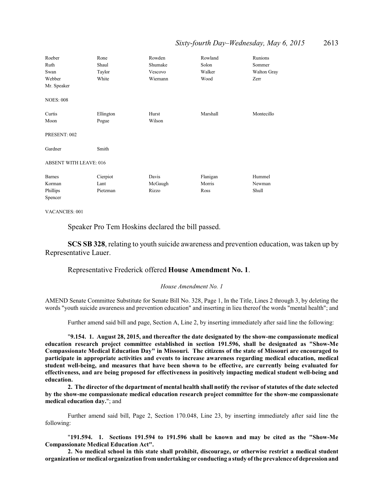### *Sixty-fourth Day–Wednesday, May 6, 2015* 2613

| Roeber<br>Ruth<br>Swan<br>Webber | Rone<br>Shaul<br>Taylor<br>White | Rowden<br>Shumake<br>Vescovo<br>Wiemann | Rowland<br>Solon<br>Walker<br>Wood | Runions<br>Sommer<br>Walton Gray<br>Zerr |
|----------------------------------|----------------------------------|-----------------------------------------|------------------------------------|------------------------------------------|
| Mr. Speaker                      |                                  |                                         |                                    |                                          |
| <b>NOES: 008</b>                 |                                  |                                         |                                    |                                          |
| Curtis                           | Ellington                        | Hurst                                   | Marshall                           | Montecillo                               |
| Moon                             | Pogue                            | Wilson                                  |                                    |                                          |
| PRESENT: 002                     |                                  |                                         |                                    |                                          |
| Gardner                          | Smith                            |                                         |                                    |                                          |
| <b>ABSENT WITH LEAVE: 016</b>    |                                  |                                         |                                    |                                          |
| <b>Barnes</b>                    | Cierpiot                         | Davis                                   | Flanigan                           | Hummel                                   |
| Korman                           | Lant                             | McGaugh                                 | Morris                             | Newman                                   |
| Phillips                         | Pietzman                         | Rizzo                                   | Ross                               | Shull                                    |
| Spencer                          |                                  |                                         |                                    |                                          |

VACANCIES: 001

Speaker Pro Tem Hoskins declared the bill passed.

**SCS SB 328**, relating to youth suicide awareness and prevention education, was taken up by Representative Lauer.

### Representative Frederick offered **House Amendment No. 1**.

### *House Amendment No. 1*

AMEND Senate Committee Substitute for Senate Bill No. 328, Page 1, In the Title, Lines 2 through 3, by deleting the words "youth suicide awareness and prevention education" and inserting in lieu thereof the words "mental health"; and

Further amend said bill and page, Section A, Line 2, by inserting immediately after said line the following:

"**9.154. 1. August 28, 2015, and thereafter the date designated by the show-me compassionate medical education research project committee established in section 191.596, shall be designated as "Show-Me Compassionate Medical Education Day" in Missouri. The citizens of the state of Missouri are encouraged to participate in appropriate activities and events to increase awareness regarding medical education, medical student well-being, and measures that have been shown to be effective, are currently being evaluated for effectiveness, and are being proposed for effectiveness in positively impacting medical student well-being and education.**

**2. The director of the department of mental health shall notify the revisor of statutes of the date selected by the show-me compassionate medical education research project committee for the show-me compassionate medical education day.**"; and

Further amend said bill, Page 2, Section 170.048, Line 23, by inserting immediately after said line the following:

"**191.594. 1. Sections 191.594 to 191.596 shall be known and may be cited as the "Show-Me Compassionate Medical Education Act".**

**2. No medical school in this state shall prohibit, discourage, or otherwise restrict a medical student organization or medical organization fromundertaking or conducting a study of the prevalence of depression and**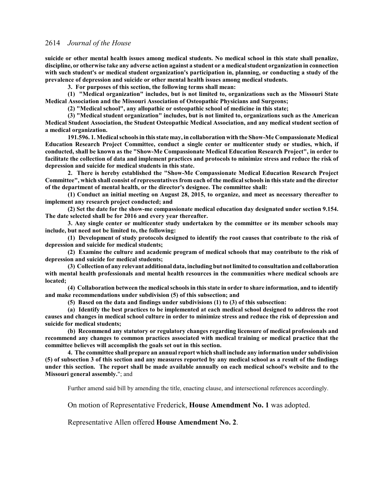**suicide or other mental health issues among medical students. No medical school in this state shall penalize, discipline, or otherwise take any adverse action against a student or a medicalstudent organization in connection with such student's or medical student organization's participation in, planning, or conducting a study of the prevalence of depression and suicide or other mental health issues among medical students.**

**3. For purposes of this section, the following terms shall mean:**

**(1) "Medical organization" includes, but is not limited to, organizations such as the Missouri State Medical Association and the Missouri Association of Osteopathic Physicians and Surgeons;**

**(2) "Medical school", any allopathic or osteopathic school of medicine in this state;**

**(3) "Medical student organization" includes, but is not limited to, organizations such as the American Medical Student Association, the Student Osteopathic Medical Association, and any medical student section of a medical organization.**

**191.596. 1. Medical schools in this state may, in collaboration with the Show-Me Compassionate Medical Education Research Project Committee, conduct a single center or multicenter study or studies, which, if conducted, shall be known as the "Show-Me Compassionate Medical Education Research Project", in order to facilitate the collection of data and implement practices and protocols to minimize stress and reduce the risk of depression and suicide for medical students in this state.**

**2. There is hereby established the "Show-Me Compassionate Medical Education Research Project Committee", which shall consist of representatives from each of the medical schools in this state and the director of the department of mental health, or the director's designee. The committee shall:**

**(1) Conduct an initial meeting on August 28, 2015, to organize, and meet as necessary thereafter to implement any research project conducted; and**

**(2) Set the date for the show-me compassionate medical education day designated under section 9.154. The date selected shall be for 2016 and every year thereafter.**

**3. Any single center or multicenter study undertaken by the committee or its member schools may include, but need not be limited to, the following:**

**(1) Development of study protocols designed to identify the root causes that contribute to the risk of depression and suicide for medical students;**

**(2) Examine the culture and academic program of medical schools that may contribute to the risk of depression and suicide for medical students;**

**(3) Collectionof any relevant additional data, including but not limited to consultation and collaboration with mental health professionals and mental health resources in the communities where medical schools are located;**

**(4) Collaboration between the medical schools in this state in order to share information, and to identify and make recommendations under subdivision (5) of this subsection; and**

**(5) Based on the data and findings under subdivisions (1) to (3) of this subsection:**

**(a) Identify the best practices to be implemented at each medical school designed to address the root causes and changes in medical school culture in order to minimize stress and reduce the risk of depression and suicide for medical students;**

**(b) Recommend any statutory or regulatory changes regarding licensure of medical professionals and recommend any changes to common practices associated with medical training or medical practice that the committee believes will accomplish the goals set out in this section.**

**4. The committee shall prepare an annual report which shall include any information under subdivision (5) of subsection 3 of this section and any measures reported by any medical school as a result of the findings under this section. The report shall be made available annually on each medical school's website and to the Missouri general assembly.**"; and

Further amend said bill by amending the title, enacting clause, and intersectional references accordingly.

On motion of Representative Frederick, **House Amendment No. 1** was adopted.

Representative Allen offered **House Amendment No. 2**.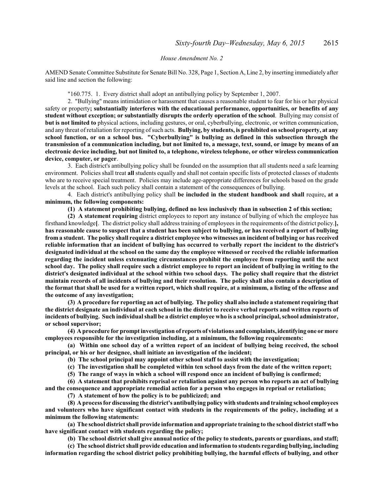### *House Amendment No. 2*

AMEND Senate Committee Substitute for Senate Bill No. 328, Page 1, Section A, Line 2, by inserting immediately after said line and section the following:

### "160.775. 1. Every district shall adopt an antibullying policy by September 1, 2007.

2. "Bullying" means intimidation or harassment that causes a reasonable student to fear for his or her physical safety or property**; substantially interferes with the educational performance, opportunities, or benefits of any student without exception; or substantially disrupts the orderly operation of the school**. Bullying may consist of **but is not limited to** physical actions, including gestures, or oral, cyberbullying, electronic, or written communication, and any threat of retaliation for reporting ofsuch acts. **Bullying, by students, is prohibited on school property, at any school function, or on a school bus. "Cyberbullying" is bullying as defined in this subsection through the transmission of a communication including, but not limited to, a message, text, sound, or image by means of an electronic device including, but not limited to, a telephone, wireless telephone, or other wireless communication device, computer, or pager**.

3. Each district's antibullying policy shall be founded on the assumption that all students need a safe learning environment. Policies shall treat **all** students equally and shall not contain specific lists of protected classes of students who are to receive special treatment. Policies may include age-appropriate differences for schools based on the grade levels at the school. Each such policy shall contain a statement of the consequences of bullying.

4. Each district's antibullying policy shall **be included in the student handbook and shall** require**, at a minimum, the following components:**

### **(1) A statement prohibiting bullying, defined no less inclusively than in subsection 2 of this section;**

**(2) A statement requiring** district employees to report any instance of bullying of which the employee has firsthand knowledge**[**. The district policy shall address training of employees in the requirements of the district policy.**], has reasonable cause to suspect that a student has been subject to bullying, or has received a report of bullying from a student. The policy shall require a district employee who witnesses an incident of bullying or has received reliable information that an incident of bullying has occurred to verbally report the incident to the district's designated individual at the school on the same day the employee witnessed or received the reliable information regarding the incident unless extenuating circumstances prohibit the employee from reporting until the next school day. The policy shall require such a district employee to report an incident of bullying in writing to the district's designated individual at the school within two school days. The policy shall require that the district maintain records of all incidents of bullying and their resolution. The policy shall also contain a description of the format that shall be used for a written report, which shall require, at a minimum, a listing of the offense and the outcome of any investigation;**

**(3) A procedure for reporting an act of bullying. The policy shall also include a statement requiring that the district designate an individual at each school in the district to receive verbal reports and written reports of incidents of bullying. Such individual shall be a district employee who is a school principal, school administrator, or school supervisor;**

**(4) A procedure for prompt investigation of reports of violations and complaints, identifying one or more employees responsible for the investigation including, at a minimum, the following requirements:**

**(a) Within one school day of a written report of an incident of bullying being received, the school principal, or his or her designee, shall initiate an investigation of the incident;**

**(b) The school principal may appoint other school staff to assist with the investigation;**

**(c) The investigation shall be completed within ten school days from the date of the written report;**

**(5) The range of ways in which a school will respond once an incident of bullying is confirmed;**

**(6) A statement that prohibits reprisal or retaliation against any person who reports an act of bullying and the consequence and appropriate remedial action for a person who engages in reprisal or retaliation;**

**(7) A statement of how the policy is to be publicized; and**

**(8) A process for discussing the district's antibullying policy with students and training school employees and volunteers who have significant contact with students in the requirements of the policy, including at a minimum the following statements:**

**(a) The school district shall provide information and appropriate training to the school district staff who have significant contact with students regarding the policy;**

**(b) The school district shall give annual notice of the policy to students, parents or guardians, and staff;**

**(c) The school district shall provide education and information to students regarding bullying, including information regarding the school district policy prohibiting bullying, the harmful effects of bullying, and other**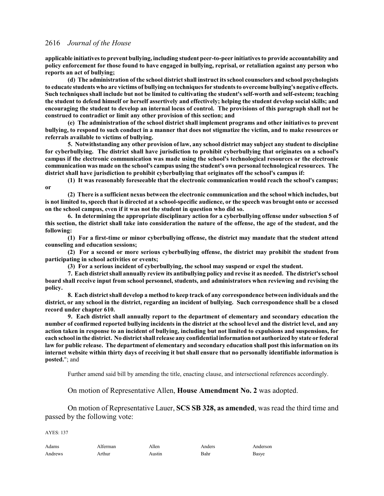**applicable initiatives to prevent bullying, including student peer-to-peer initiatives to provide accountability and policy enforcement for those found to have engaged in bullying, reprisal, or retaliation against any person who reports an act of bullying;**

**(d) The administration of the school district shall instruct its school counselors and school psychologists to educate students who are victims of bullying on techniques for students to overcome bullying's negative effects. Such techniques shall include but not be limited to cultivating the student's self-worth and self-esteem; teaching the student to defend himself or herself assertively and effectively; helping the student develop social skills; and encouraging the student to develop an internal locus of control. The provisions of this paragraph shall not be construed to contradict or limit any other provision of this section; and**

**(e) The administration of the school district shall implement programs and other initiatives to prevent bullying, to respond to such conduct in a manner that does not stigmatize the victim, and to make resources or referrals available to victims of bullying.**

**5. Notwithstanding any other provision of law, any school district may subject any student to discipline for cyberbullying. The district shall have jurisdiction to prohibit cyberbullying that originates on a school's campus if the electronic communication was made using the school's technological resources or the electronic communication was made on the school's campus using the student's own personal technological resources. The district shall have jurisdiction to prohibit cyberbullying that originates off the school's campus if:**

**(1) It was reasonably foreseeable that the electronic communication would reach the school's campus; or**

**(2) There is a sufficient nexus between the electronic communication and the school which includes, but is not limited to, speech that is directed at a school-specific audience, or the speech was brought onto or accessed on the school campus, even if it was not the student in question who did so.**

**6. In determining the appropriate disciplinary action for a cyberbullying offense under subsection 5 of this section, the district shall take into consideration the nature of the offense, the age of the student, and the following:**

**(1) For a first-time or minor cyberbullying offense, the district may mandate that the student attend counseling and education sessions;**

**(2) For a second or more serious cyberbullying offense, the district may prohibit the student from participating in school activities or events;**

**(3) For a serious incident of cyberbullying, the school may suspend or expel the student.**

**7. Each district shall annually review its antibullying policy and revise it as needed. The district's school board shall receive input from school personnel, students, and administrators when reviewing and revising the policy.**

**8. Each district shall develop a method to keep track of any correspondence between individuals and the district, or any school in the district, regarding an incident of bullying. Such correspondence shall be a closed record under chapter 610.**

**9. Each district shall annually report to the department of elementary and secondary education the number of confirmed reported bullying incidents in the district at the school level and the district level, and any action taken in response to an incident of bullying, including but not limited to expulsions and suspensions, for each school in the district. No district shall release any confidential information not authorized by state or federal law for public release. The department of elementary and secondary education shall post this information on its internet website within thirty days of receiving it but shall ensure that no personally identifiable information is posted.**"; and

Further amend said bill by amending the title, enacting clause, and intersectional references accordingly.

On motion of Representative Allen, **House Amendment No. 2** was adopted.

On motion of Representative Lauer, **SCS SB 328, as amended**, was read the third time and passed by the following vote:

 $AYES: 137$ 

| Adams   | Alterman | Allen  | Anders | Ander |
|---------|----------|--------|--------|-------|
| Andrews | Arthur   | Austın | Bahr   | Basye |

Adams Alferman Allen Anders Anderson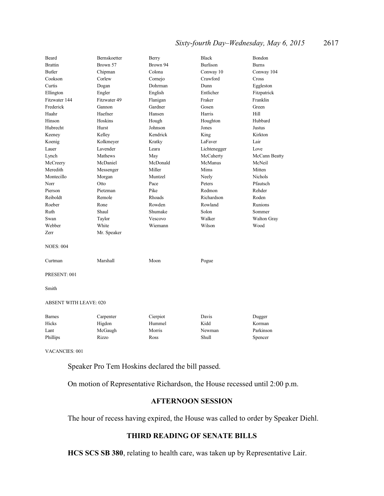# *Sixty-fourth Day–Wednesday, May 6, 2015* 2617

| Beard            | Bernskoetter                  | Berry    | <b>Black</b>    | Bondon         |  |
|------------------|-------------------------------|----------|-----------------|----------------|--|
| <b>Brattin</b>   | Brown 57                      | Brown 94 | <b>Burlison</b> | <b>Burns</b>   |  |
| <b>Butler</b>    | Chipman                       | Colona   | Conway 10       | Conway 104     |  |
| Cookson          | Corlew                        | Cornejo  | Crawford        | Cross          |  |
| Curtis           | Dogan                         | Dohrman  | Dunn            | Eggleston      |  |
| Ellington        | Engler                        | English  | Entlicher       | Fitzpatrick    |  |
| Fitzwater 144    | Fitzwater 49                  | Flanigan | Fraker          | Franklin       |  |
| Frederick        | Gannon                        | Gardner  | Gosen           | Green          |  |
| Haahr            | Haefner                       | Hansen   | Harris          | Hill           |  |
| Hinson           | Hoskins                       | Hough    | Houghton        | Hubbard        |  |
| Hubrecht         | Hurst                         | Johnson  | Jones           | Justus         |  |
| Keeney           | Kelley                        | Kendrick | King            | Kirkton        |  |
| Koenig           | Kolkmeyer                     | Kratky   | LaFaver         | Lair           |  |
| Lauer            | Lavender                      | Leara    | Lichtenegger    | Love           |  |
| Lynch            | Mathews                       | May      | McCaherty       | McCann Beatty  |  |
| McCreery         | McDaniel                      | McDonald | McManus         | McNeil         |  |
| Meredith         | Messenger                     | Miller   | Mims            | Mitten         |  |
| Montecillo       | Morgan                        | Muntzel  | Neely           | <b>Nichols</b> |  |
| Norr             | Otto                          | Pace     | Peters          | Pfautsch       |  |
| Pierson          | Pietzman                      | Pike     | Redmon          | Rehder         |  |
| Reiboldt         | Remole                        | Rhoads   | Richardson      | Roden          |  |
| Roeber           | Rone                          | Rowden   | Rowland         | Runions        |  |
| Ruth             | Shaul                         | Shumake  | Solon           | Sommer         |  |
| Swan             | Taylor                        | Vescovo  | Walker          | Walton Gray    |  |
| Webber           | White                         | Wiemann  | Wilson          | Wood           |  |
| Zerr             | Mr. Speaker                   |          |                 |                |  |
| <b>NOES: 004</b> |                               |          |                 |                |  |
| Curtman          | Marshall                      | Moon     | Pogue           |                |  |
| PRESENT: 001     |                               |          |                 |                |  |
| Smith            |                               |          |                 |                |  |
|                  | <b>ABSENT WITH LEAVE: 020</b> |          |                 |                |  |
| <b>Barnes</b>    | Carpenter                     | Cierpiot | Davis           | Dugger         |  |
| Hicks            | Higdon                        | Hummel   | Kidd            | Korman         |  |
| Lant             | McGaugh                       | Morris   | Newman          | Parkinson      |  |
| Phillips         | Rizzo                         | Ross     | Shull           | Spencer        |  |
|                  |                               |          |                 |                |  |

VACANCIES: 001

Speaker Pro Tem Hoskins declared the bill passed.

On motion of Representative Richardson, the House recessed until 2:00 p.m.

# **AFTERNOON SESSION**

The hour of recess having expired, the House was called to order by Speaker Diehl.

# **THIRD READING OF SENATE BILLS**

**HCS SCS SB 380**, relating to health care, was taken up by Representative Lair.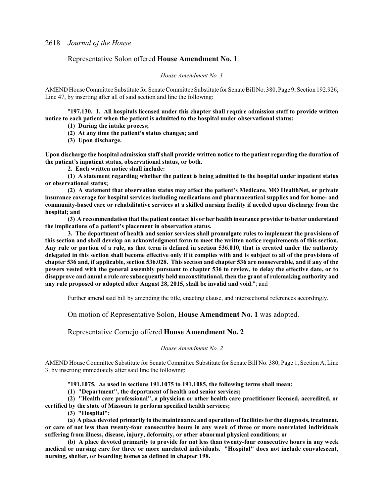### Representative Solon offered **House Amendment No. 1**.

#### *House Amendment No. 1*

AMEND House Committee Substitute for Senate Committee Substitute for Senate Bill No. 380, Page 9, Section 192.926, Line 47, by inserting after all of said section and line the following:

"**197.130. 1. All hospitals licensed under this chapter shall require admission staff to provide written notice to each patient when the patient is admitted to the hospital under observational status:**

**(1) During the intake process;**

**(2) At any time the patient's status changes; and**

**(3) Upon discharge.**

**Upon discharge the hospital admission staff shall provide written notice to the patient regarding the duration of the patient's inpatient status, observational status, or both.**

**2. Each written notice shall include:**

**(1) A statement regarding whether the patient is being admitted to the hospital under inpatient status or observational status;**

**(2) A statement that observation status may affect the patient's Medicare, MO HealthNet, or private insurance coverage for hospital services including medications and pharmaceutical supplies and for home- and community-based care or rehabilitative services at a skilled nursing facility if needed upon discharge from the hospital; and**

**(3) A recommendation that the patient contact his or her health insurance provider to better understand the implications of a patient's placement in observation status.**

**3. The department of health and senior services shall promulgate rules to implement the provisions of this section and shall develop an acknowledgment form to meet the written notice requirements of this section. Any rule or portion of a rule, as that term is defined in section 536.010, that is created under the authority delegated in this section shall become effective only if it complies with and is subject to all of the provisions of chapter 536 and, if applicable, section 536.028. This section and chapter 536 are nonseverable, and if any of the powers vested with the general assembly pursuant to chapter 536 to review, to delay the effective date, or to disapprove and annul a rule are subsequently held unconstitutional, then the grant of rulemaking authority and any rule proposed or adopted after August 28, 2015, shall be invalid and void.**"; and

Further amend said bill by amending the title, enacting clause, and intersectional references accordingly.

On motion of Representative Solon, **House Amendment No. 1** was adopted.

### Representative Cornejo offered **House Amendment No. 2**.

### *House Amendment No. 2*

AMEND House Committee Substitute for Senate Committee Substitute for Senate Bill No. 380, Page 1, Section A, Line 3, by inserting immediately after said line the following:

"**191.1075. As used in sections 191.1075 to 191.1085, the following terms shall mean:**

**(1) "Department", the department of health and senior services;**

**(2) "Health care professional", a physician or other health care practitioner licensed, accredited, or certified by the state of Missouri to perform specified health services;**

**(3) "Hospital":**

**(a) A place devoted primarily to the maintenance and operation of facilities for the diagnosis, treatment, or care of not less than twenty-four consecutive hours in any week of three or more nonrelated individuals suffering from illness, disease, injury, deformity, or other abnormal physical conditions; or**

**(b) A place devoted primarily to provide for not less than twenty-four consecutive hours in any week medical or nursing care for three or more unrelated individuals. "Hospital" does not include convalescent, nursing, shelter, or boarding homes as defined in chapter 198.**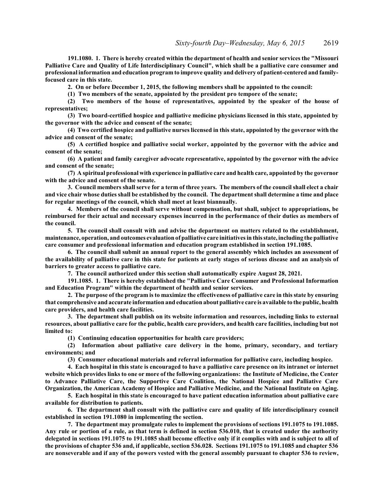**191.1080. 1. There is hereby created within the department of health and senior services the "Missouri Palliative Care and Quality of Life Interdisciplinary Council", which shall be a palliative care consumer and professional information and education program to improve quality and delivery of patient-centered and familyfocused care in this state.**

**2. On or before December 1, 2015, the following members shall be appointed to the council:**

**(1) Two members of the senate, appointed by the president pro tempore of the senate;**

**(2) Two members of the house of representatives, appointed by the speaker of the house of representatives;**

**(3) Two board-certified hospice and palliative medicine physicians licensed in this state, appointed by the governor with the advice and consent of the senate;**

**(4) Two certified hospice and palliative nurses licensed in this state, appointed by the governor with the advice and consent of the senate;**

**(5) A certified hospice and palliative social worker, appointed by the governor with the advice and consent of the senate;**

**(6) A patient and family caregiver advocate representative, appointed by the governor with the advice and consent of the senate;**

**(7) A spiritual professional with experience in palliative care and health care, appointed by the governor with the advice and consent of the senate.**

**3. Council members shall serve for a term of three years. The members of the council shall elect a chair and vice chair whose duties shall be established by the council. The department shall determine a time and place for regular meetings of the council, which shall meet at least biannually.**

**4. Members of the council shall serve without compensation, but shall, subject to appropriations, be reimbursed for their actual and necessary expenses incurred in the performance of their duties as members of the council.**

**5. The council shall consult with and advise the department on matters related to the establishment, maintenance, operation, and outcomes evaluation of palliative care initiatives in this state, including the palliative care consumer and professional information and education program established in section 191.1085.**

**6. The council shall submit an annual report to the general assembly which includes an assessment of the availability of palliative care in this state for patients at early stages of serious disease and an analysis of barriers to greater access to palliative care.**

**7. The council authorized under this section shall automatically expire August 28, 2021.**

**191.1085. 1. There is hereby established the "Palliative Care Consumer and Professional Information and Education Program" within the department of health and senior services.**

**2. The purpose of the program is to maximize the effectiveness of palliative care in this state by ensuring that comprehensive and accurate information and education about palliative care is available to the public, health care providers, and health care facilities.**

**3. The department shall publish on its website information and resources, including links to external resources, about palliative care for the public, health care providers, and health care facilities, including but not limited to:**

**(1) Continuing education opportunities for health care providers;**

**(2) Information about palliative care delivery in the home, primary, secondary, and tertiary environments; and**

**(3) Consumer educational materials and referral information for palliative care, including hospice.**

**4. Each hospital in this state is encouraged to have a palliative care presence on its intranet or internet website which provides links to one or more of the following organizations: the Institute of Medicine, the Center to Advance Palliative Care, the Supportive Care Coalition, the National Hospice and Palliative Care Organization, the American Academy of Hospice and Palliative Medicine, and the National Institute on Aging.**

**5. Each hospital in this state is encouraged to have patient education information about palliative care available for distribution to patients.**

**6. The department shall consult with the palliative care and quality of life interdisciplinary council established in section 191.1080 in implementing the section.**

**7. The department may promulgate rules to implement the provisions of sections 191.1075 to 191.1085. Any rule or portion of a rule, as that term is defined in section 536.010, that is created under the authority delegated in sections 191.1075 to 191.1085 shall become effective only if it complies with and is subject to all of the provisions of chapter 536 and, if applicable, section 536.028. Sections 191.1075 to 191.1085 and chapter 536 are nonseverable and if any of the powers vested with the general assembly pursuant to chapter 536 to review,**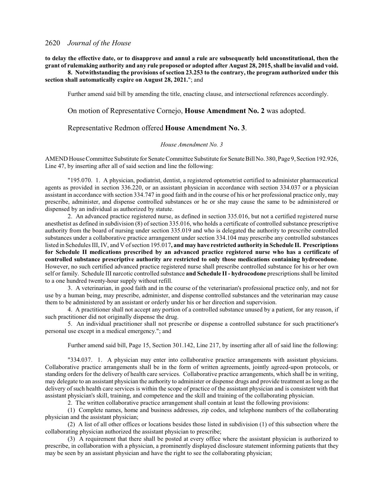**to delay the effective date, or to disapprove and annul a rule are subsequently held unconstitutional, then the grant of rulemaking authority and any rule proposed or adopted after August 28, 2015, shall be invalid and void.**

**8. Notwithstanding the provisions of section 23.253 to the contrary, the program authorized under this section shall automatically expire on August 28, 2021.**"; and

Further amend said bill by amending the title, enacting clause, and intersectional references accordingly.

On motion of Representative Cornejo, **House Amendment No. 2** was adopted.

### Representative Redmon offered **House Amendment No. 3**.

### *House Amendment No. 3*

AMEND House Committee Substitute for Senate Committee Substitute for Senate Bill No. 380, Page 9, Section 192.926, Line 47, by inserting after all of said section and line the following:

"195.070. 1. A physician, podiatrist, dentist, a registered optometrist certified to administer pharmaceutical agents as provided in section 336.220, or an assistant physician in accordance with section 334.037 or a physician assistant in accordance with section 334.747 in good faith and in the course of his or her professional practice only, may prescribe, administer, and dispense controlled substances or he or she may cause the same to be administered or dispensed by an individual as authorized by statute.

2. An advanced practice registered nurse, as defined in section 335.016, but not a certified registered nurse anesthetist as defined in subdivision (8) of section 335.016, who holds a certificate of controlled substance prescriptive authority from the board of nursing under section 335.019 and who is delegated the authority to prescribe controlled substances under a collaborative practice arrangement under section 334.104 may prescribe any controlled substances listed in Schedules III, IV, and V ofsection 195.017**, and may have restricted authority in Schedule II. Prescriptions for Schedule II medications prescribed by an advanced practice registered nurse who has a certificate of controlled substance prescriptive authority are restricted to only those medications containing hydrocodone**. However, no such certified advanced practice registered nurse shall prescribe controlled substance for his or her own self or family. Schedule III narcotic controlled substance **and Schedule II - hydrocodone** prescriptions shall be limited to a one hundred twenty-hour supply without refill.

3. A veterinarian, in good faith and in the course of the veterinarian's professional practice only, and not for use by a human being, may prescribe, administer, and dispense controlled substances and the veterinarian may cause them to be administered by an assistant or orderly under his or her direction and supervision.

4. A practitioner shall not accept any portion of a controlled substance unused by a patient, for any reason, if such practitioner did not originally dispense the drug.

5. An individual practitioner shall not prescribe or dispense a controlled substance for such practitioner's personal use except in a medical emergency."; and

Further amend said bill, Page 15, Section 301.142, Line 217, by inserting after all of said line the following:

"334.037. 1. A physician may enter into collaborative practice arrangements with assistant physicians. Collaborative practice arrangements shall be in the form of written agreements, jointly agreed-upon protocols, or standing orders for the delivery of health care services. Collaborative practice arrangements, which shall be in writing, may delegate to an assistant physician the authority to administer or dispense drugs and provide treatment as long as the delivery of such health care services is within the scope of practice of the assistant physician and is consistent with that assistant physician's skill, training, and competence and the skill and training of the collaborating physician.

2. The written collaborative practice arrangement shall contain at least the following provisions:

(1) Complete names, home and business addresses, zip codes, and telephone numbers of the collaborating physician and the assistant physician;

(2) A list of all other offices or locations besides those listed in subdivision (1) of this subsection where the collaborating physician authorized the assistant physician to prescribe;

(3) A requirement that there shall be posted at every office where the assistant physician is authorized to prescribe, in collaboration with a physician, a prominently displayed disclosure statement informing patients that they may be seen by an assistant physician and have the right to see the collaborating physician;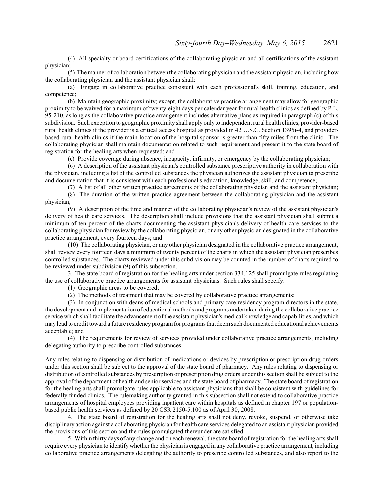(4) All specialty or board certifications of the collaborating physician and all certifications of the assistant physician;

(5) The manner of collaboration between the collaborating physician and the assistant physician, including how the collaborating physician and the assistant physician shall:

(a) Engage in collaborative practice consistent with each professional's skill, training, education, and competence;

(b) Maintain geographic proximity; except, the collaborative practice arrangement may allow for geographic proximity to be waived for a maximum of twenty-eight days per calendar year for rural health clinics as defined by P.L. 95-210, as long as the collaborative practice arrangement includes alternative plans as required in paragraph (c) of this subdivision. Such exception to geographic proximity shall apply only to independent rural health clinics, provider-based rural health clinics if the provider is a critical access hospital as provided in 42 U.S.C. Section 1395i-4, and providerbased rural health clinics if the main location of the hospital sponsor is greater than fifty miles from the clinic. The collaborating physician shall maintain documentation related to such requirement and present it to the state board of registration for the healing arts when requested; and

(c) Provide coverage during absence, incapacity, infirmity, or emergency by the collaborating physician;

(6) A description of the assistant physician's controlled substance prescriptive authority in collaboration with the physician, including a list of the controlled substances the physician authorizes the assistant physician to prescribe and documentation that it is consistent with each professional's education, knowledge, skill, and competence;

(7) A list of all other written practice agreements of the collaborating physician and the assistant physician;

(8) The duration of the written practice agreement between the collaborating physician and the assistant physician;

(9) A description of the time and manner of the collaborating physician's review of the assistant physician's delivery of health care services. The description shall include provisions that the assistant physician shall submit a minimum of ten percent of the charts documenting the assistant physician's delivery of health care services to the collaborating physician for review by the collaborating physician, or any other physician designated in the collaborative practice arrangement, every fourteen days; and

(10) The collaborating physician, or any other physician designated in the collaborative practice arrangement, shall review every fourteen days a minimum of twenty percent of the charts in which the assistant physician prescribes controlled substances. The charts reviewed under this subdivision may be counted in the number of charts required to be reviewed under subdivision (9) of this subsection.

3. The state board of registration for the healing arts under section 334.125 shall promulgate rules regulating the use of collaborative practice arrangements for assistant physicians. Such rules shall specify:

(1) Geographic areas to be covered;

(2) The methods of treatment that may be covered by collaborative practice arrangements;

(3) In conjunction with deans of medical schools and primary care residency program directors in the state, the development and implementation of educational methods and programs undertaken during the collaborative practice service which shall facilitate the advancement ofthe assistant physician's medical knowledge and capabilities, and which may lead to credit toward a future residency programfor programsthat deemsuch documented educational achievements acceptable; and

(4) The requirements for review of services provided under collaborative practice arrangements, including delegating authority to prescribe controlled substances.

Any rules relating to dispensing or distribution of medications or devices by prescription or prescription drug orders under this section shall be subject to the approval of the state board of pharmacy. Any rules relating to dispensing or distribution of controlled substances by prescription or prescription drug orders under this section shall be subject to the approval of the department of health and senior services and the state board of pharmacy. The state board of registration for the healing arts shall promulgate rules applicable to assistant physicians that shall be consistent with guidelines for federally funded clinics. The rulemaking authority granted in this subsection shall not extend to collaborative practice arrangements of hospital employees providing inpatient care within hospitals as defined in chapter 197 or populationbased public health services as defined by 20 CSR 2150-5.100 as of April 30, 2008.

4. The state board of registration for the healing arts shall not deny, revoke, suspend, or otherwise take disciplinary action against a collaborating physician for health care services delegated to an assistant physician provided the provisions of this section and the rules promulgated thereunder are satisfied.

5. Within thirty days of any change and on each renewal, the state board of registration for the healing arts shall require every physician to identifywhether the physician is engaged in any collaborative practice arrangement, including collaborative practice arrangements delegating the authority to prescribe controlled substances, and also report to the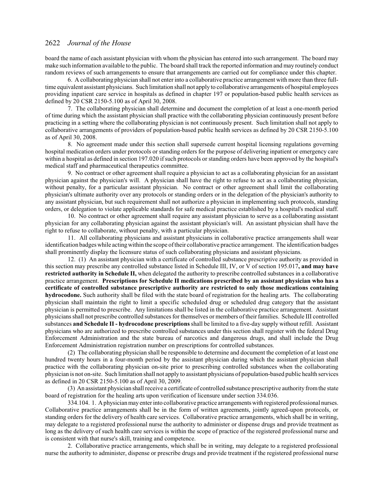board the name of each assistant physician with whom the physician has entered into such arrangement. The board may make such information available to the public. The board shall track the reported information and may routinely conduct random reviews of such arrangements to ensure that arrangements are carried out for compliance under this chapter.

6. A collaborating physician shall not enter into a collaborative practice arrangement with more than three fulltime equivalent assistant physicians. Such limitation shall not apply to collaborative arrangements of hospital employees providing inpatient care service in hospitals as defined in chapter 197 or population-based public health services as defined by 20 CSR 2150-5.100 as of April 30, 2008.

7. The collaborating physician shall determine and document the completion of at least a one-month period of time during which the assistant physician shall practice with the collaborating physician continuously present before practicing in a setting where the collaborating physician is not continuously present. Such limitation shall not apply to collaborative arrangements of providers of population-based public health services as defined by 20 CSR 2150-5.100 as of April 30, 2008.

8. No agreement made under this section shall supersede current hospital licensing regulations governing hospital medication orders under protocols or standing orders for the purpose of delivering inpatient or emergency care within a hospital as defined in section 197.020 if such protocols or standing orders have been approved by the hospital's medical staff and pharmaceutical therapeutics committee.

9. No contract or other agreement shall require a physician to act as a collaborating physician for an assistant physician against the physician's will. A physician shall have the right to refuse to act as a collaborating physician, without penalty, for a particular assistant physician. No contract or other agreement shall limit the collaborating physician's ultimate authority over any protocols or standing orders or in the delegation of the physician's authority to any assistant physician, but such requirement shall not authorize a physician in implementing such protocols, standing orders, or delegation to violate applicable standards for safe medical practice established by a hospital's medical staff.

10. No contract or other agreement shall require any assistant physician to serve as a collaborating assistant physician for any collaborating physician against the assistant physician's will. An assistant physician shall have the right to refuse to collaborate, without penalty, with a particular physician.

11. All collaborating physicians and assistant physicians in collaborative practice arrangements shall wear identification badges while actingwithin the scope oftheir collaborative practice arrangement. The identification badges shall prominently display the licensure status of such collaborating physicians and assistant physicians.

12. (1) An assistant physician with a certificate of controlled substance prescriptive authority as provided in this section may prescribe any controlled substance listed in Schedule III, IV, or V of section 195.017**, and may have restricted authority in Schedule II,** when delegated the authority to prescribe controlled substances in a collaborative practice arrangement. **Prescriptions for Schedule II medications prescribed by an assistant physician who has a certificate of controlled substance prescriptive authority are restricted to only those medications containing hydrocodone.** Such authority shall be filed with the state board of registration for the healing arts. The collaborating physician shall maintain the right to limit a specific scheduled drug or scheduled drug category that the assistant physician is permitted to prescribe. Any limitations shall be listed in the collaborative practice arrangement. Assistant physicians shall not prescribe controlled substances for themselves or members oftheir families. Schedule III controlled substances **and Schedule II - hydrocodone prescriptions**shall be limited to a five-day supply without refill. Assistant physicians who are authorized to prescribe controlled substances under this section shall register with the federal Drug Enforcement Administration and the state bureau of narcotics and dangerous drugs, and shall include the Drug Enforcement Administration registration number on prescriptions for controlled substances.

(2) The collaborating physician shall be responsible to determine and document the completion of at least one hundred twenty hours in a four-month period by the assistant physician during which the assistant physician shall practice with the collaborating physician on-site prior to prescribing controlled substances when the collaborating physician is not on-site. Such limitation shall not apply to assistant physicians of population-based public health services as defined in 20 CSR 2150-5.100 as of April 30, 2009.

(3) An assistant physician shall receive a certificate of controlled substance prescriptive authority fromthe state board of registration for the healing arts upon verification of licensure under section 334.036.

334.104. 1. Aphysicianmay enter into collaborative practice arrangements with registered professional nurses. Collaborative practice arrangements shall be in the form of written agreements, jointly agreed-upon protocols, or standing orders for the delivery of health care services. Collaborative practice arrangements, which shall be in writing, may delegate to a registered professional nurse the authority to administer or dispense drugs and provide treatment as long as the delivery of such health care services is within the scope of practice of the registered professional nurse and is consistent with that nurse's skill, training and competence.

2. Collaborative practice arrangements, which shall be in writing, may delegate to a registered professional nurse the authority to administer, dispense or prescribe drugs and provide treatment if the registered professional nurse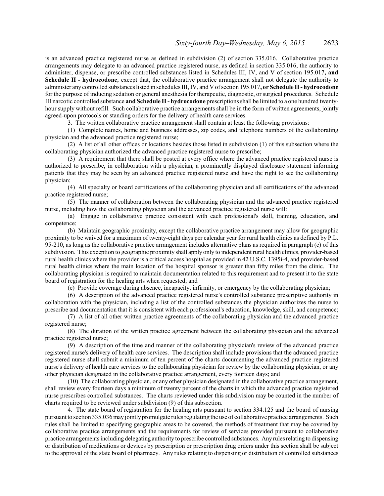is an advanced practice registered nurse as defined in subdivision (2) of section 335.016. Collaborative practice arrangements may delegate to an advanced practice registered nurse, as defined in section 335.016, the authority to administer, dispense, or prescribe controlled substances listed in Schedules III, IV, and V of section 195.017**, and Schedule II - hydrocodone**; except that, the collaborative practice arrangement shall not delegate the authority to administer any controlled substances listed in schedules III, IV, and V ofsection 195.017**, or Schedule II - hydrocodone** for the purpose of inducing sedation or general anesthesia for therapeutic, diagnostic, or surgical procedures. Schedule III narcotic controlled substance **and Schedule II - hydrocodone** prescriptions shall be limited to a one hundred twentyhour supply without refill. Such collaborative practice arrangements shall be in the form of written agreements, jointly agreed-upon protocols or standing orders for the delivery of health care services.

3. The written collaborative practice arrangement shall contain at least the following provisions:

(1) Complete names, home and business addresses, zip codes, and telephone numbers of the collaborating physician and the advanced practice registered nurse;

(2) A list of all other offices or locations besides those listed in subdivision (1) of this subsection where the collaborating physician authorized the advanced practice registered nurse to prescribe;

(3) A requirement that there shall be posted at every office where the advanced practice registered nurse is authorized to prescribe, in collaboration with a physician, a prominently displayed disclosure statement informing patients that they may be seen by an advanced practice registered nurse and have the right to see the collaborating physician;

(4) All specialty or board certifications of the collaborating physician and all certifications of the advanced practice registered nurse;

(5) The manner of collaboration between the collaborating physician and the advanced practice registered nurse, including how the collaborating physician and the advanced practice registered nurse will:

(a) Engage in collaborative practice consistent with each professional's skill, training, education, and competence;

(b) Maintain geographic proximity, except the collaborative practice arrangement may allow for geographic proximity to be waived for a maximum of twenty-eight days per calendar year for rural health clinics as defined by P.L. 95-210, as long as the collaborative practice arrangement includes alternative plans as required in paragraph (c) of this subdivision. This exception to geographic proximity shall apply only to independent rural health clinics, provider-based rural health clinics where the provider is a critical access hospital as provided in 42 U.S.C. 1395i-4, and provider-based rural health clinics where the main location of the hospital sponsor is greater than fifty miles from the clinic. The collaborating physician is required to maintain documentation related to this requirement and to present it to the state board of registration for the healing arts when requested; and

(c) Provide coverage during absence, incapacity, infirmity, or emergency by the collaborating physician;

(6) A description of the advanced practice registered nurse's controlled substance prescriptive authority in collaboration with the physician, including a list of the controlled substances the physician authorizes the nurse to prescribe and documentation that it is consistent with each professional's education, knowledge, skill, and competence;

(7) A list of all other written practice agreements of the collaborating physician and the advanced practice registered nurse;

(8) The duration of the written practice agreement between the collaborating physician and the advanced practice registered nurse;

(9) A description of the time and manner of the collaborating physician's review of the advanced practice registered nurse's delivery of health care services. The description shall include provisions that the advanced practice registered nurse shall submit a minimum of ten percent of the charts documenting the advanced practice registered nurse's delivery of health care services to the collaborating physician for review by the collaborating physician, or any other physician designated in the collaborative practice arrangement, every fourteen days; and

(10) The collaborating physician, or any other physician designated in the collaborative practice arrangement, shall review every fourteen days a minimum of twenty percent of the charts in which the advanced practice registered nurse prescribes controlled substances. The charts reviewed under this subdivision may be counted in the number of charts required to be reviewed under subdivision (9) of this subsection.

4. The state board of registration for the healing arts pursuant to section 334.125 and the board of nursing pursuant to section 335.036may jointly promulgate rules regulating the use of collaborative practice arrangements. Such rules shall be limited to specifying geographic areas to be covered, the methods of treatment that may be covered by collaborative practice arrangements and the requirements for review of services provided pursuant to collaborative practice arrangements including delegating authority to prescribe controlled substances. Anyrules relating to dispensing or distribution of medications or devices by prescription or prescription drug orders under this section shall be subject to the approval of the state board of pharmacy. Any rules relating to dispensing or distribution of controlled substances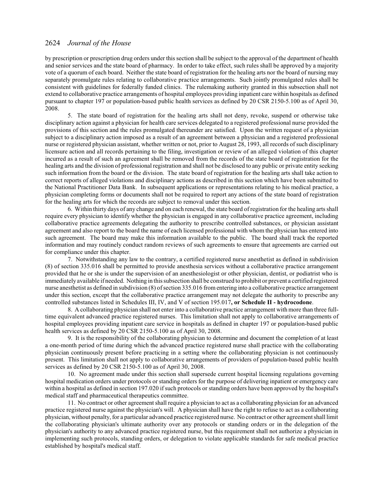by prescription or prescription drug orders under this section shall be subject to the approval of the department of health and senior services and the state board of pharmacy. In order to take effect, such rules shall be approved by a majority vote of a quorum of each board. Neither the state board of registration for the healing arts nor the board of nursing may separately promulgate rules relating to collaborative practice arrangements. Such jointly promulgated rules shall be consistent with guidelines for federally funded clinics. The rulemaking authority granted in this subsection shall not extend to collaborative practice arrangements of hospital employees providing inpatient care within hospitals as defined pursuant to chapter 197 or population-based public health services as defined by 20 CSR 2150-5.100 as of April 30, 2008.

5. The state board of registration for the healing arts shall not deny, revoke, suspend or otherwise take disciplinary action against a physician for health care services delegated to a registered professional nurse provided the provisions of this section and the rules promulgated thereunder are satisfied. Upon the written request of a physician subject to a disciplinary action imposed as a result of an agreement between a physician and a registered professional nurse or registered physician assistant, whether written or not, prior to August 28, 1993, all records of such disciplinary licensure action and all records pertaining to the filing, investigation or review of an alleged violation of this chapter incurred as a result of such an agreement shall be removed from the records of the state board of registration for the healing arts and the division of professional registration and shall not be disclosed to any public or private entity seeking such information from the board or the division. The state board of registration for the healing arts shall take action to correct reports of alleged violations and disciplinary actions as described in this section which have been submitted to the National Practitioner Data Bank. In subsequent applications or representations relating to his medical practice, a physician completing forms or documents shall not be required to report any actions of the state board of registration for the healing arts for which the records are subject to removal under this section.

6. Within thirty days of any change and on each renewal, the state board of registration for the healing arts shall require every physician to identify whether the physician is engaged in any collaborative practice agreement, including collaborative practice agreements delegating the authority to prescribe controlled substances, or physician assistant agreement and also report to the board the name of each licensed professional with whom the physician has entered into such agreement. The board may make this information available to the public. The board shall track the reported information and may routinely conduct random reviews of such agreements to ensure that agreements are carried out for compliance under this chapter.

7. Notwithstanding any law to the contrary, a certified registered nurse anesthetist as defined in subdivision (8) of section 335.016 shall be permitted to provide anesthesia services without a collaborative practice arrangement provided that he or she is under the supervision of an anesthesiologist or other physician, dentist, or podiatrist who is immediately available if needed. Nothing in this subsection shall be construed to prohibit or prevent a certified registered nurse anesthetist as defined in subdivision (8) ofsection 335.016 fromentering into a collaborative practice arrangement under this section, except that the collaborative practice arrangement may not delegate the authority to prescribe any controlled substances listed in Schedules III, IV, and V of section 195.017**, or Schedule II - hydrocodone**.

8. A collaborating physician shall not enter into a collaborative practice arrangement with more than three fulltime equivalent advanced practice registered nurses. This limitation shall not apply to collaborative arrangements of hospital employees providing inpatient care service in hospitals as defined in chapter 197 or population-based public health services as defined by 20 CSR 2150-5.100 as of April 30, 2008.

9. It is the responsibility of the collaborating physician to determine and document the completion of at least a one-month period of time during which the advanced practice registered nurse shall practice with the collaborating physician continuously present before practicing in a setting where the collaborating physician is not continuously present. This limitation shall not apply to collaborative arrangements of providers of population-based public health services as defined by 20 CSR 2150-5.100 as of April 30, 2008.

10. No agreement made under this section shall supersede current hospital licensing regulations governing hospital medication orders under protocols or standing orders for the purpose of delivering inpatient or emergency care within a hospital as defined in section 197.020 if such protocols or standing orders have been approved by the hospital's medical staff and pharmaceutical therapeutics committee.

11. No contract or other agreement shall require a physician to act as a collaborating physician for an advanced practice registered nurse against the physician's will. A physician shall have the right to refuse to act as a collaborating physician, without penalty, for a particular advanced practice registered nurse. No contract or other agreement shall limit the collaborating physician's ultimate authority over any protocols or standing orders or in the delegation of the physician's authority to any advanced practice registered nurse, but this requirement shall not authorize a physician in implementing such protocols, standing orders, or delegation to violate applicable standards for safe medical practice established by hospital's medical staff.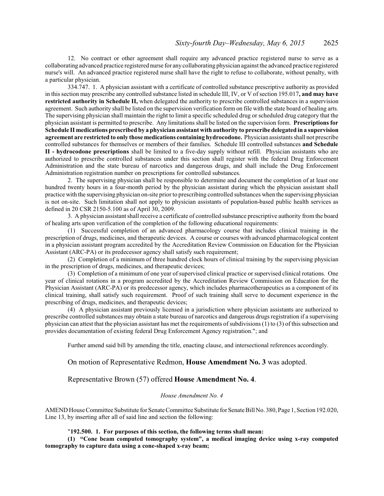12. No contract or other agreement shall require any advanced practice registered nurse to serve as a collaborating advanced practice registered nurse for any collaborating physician against the advanced practice registered nurse's will. An advanced practice registered nurse shall have the right to refuse to collaborate, without penalty, with a particular physician.

334.747. 1. A physician assistant with a certificate of controlled substance prescriptive authority as provided in this section may prescribe any controlled substance listed in schedule III, IV, or V of section 195.017**, and may have restricted authority in Schedule II,** when delegated the authority to prescribe controlled substances in a supervision agreement. Such authority shall be listed on the supervision verification form on file with the state board of healing arts. The supervising physician shall maintain the right to limit a specific scheduled drug or scheduled drug category that the physician assistant is permitted to prescribe. Any limitations shall be listed on the supervision form. **Prescriptions for Schedule II medications prescribed by a physician assistant with authority to prescribe delegated in a supervision agreement are restricted to only those medications containing hydrocodone.** Physician assistants shall not prescribe controlled substances for themselves or members of their families. Schedule III controlled substances **and Schedule II - hydrocodone prescriptions** shall be limited to a five-day supply without refill. Physician assistants who are authorized to prescribe controlled substances under this section shall register with the federal Drug Enforcement Administration and the state bureau of narcotics and dangerous drugs, and shall include the Drug Enforcement Administration registration number on prescriptions for controlled substances.

2. The supervising physician shall be responsible to determine and document the completion of at least one hundred twenty hours in a four-month period by the physician assistant during which the physician assistant shall practice with the supervising physician on-site prior to prescribing controlled substances when the supervising physician is not on-site. Such limitation shall not apply to physician assistants of population-based public health services as defined in 20 CSR 2150-5.100 as of April 30, 2009.

3. A physician assistant shall receive a certificate of controlled substance prescriptive authority from the board of healing arts upon verification of the completion of the following educational requirements:

(1) Successful completion of an advanced pharmacology course that includes clinical training in the prescription of drugs, medicines, and therapeutic devices. A course or courses with advanced pharmacological content in a physician assistant program accredited by the Accreditation Review Commission on Education for the Physician Assistant (ARC-PA) or its predecessor agency shall satisfy such requirement;

(2) Completion of a minimum of three hundred clock hours of clinical training by the supervising physician in the prescription of drugs, medicines, and therapeutic devices;

(3) Completion of a minimum of one year of supervised clinical practice or supervised clinical rotations. One year of clinical rotations in a program accredited by the Accreditation Review Commission on Education for the Physician Assistant (ARC-PA) or its predecessor agency, which includes pharmacotherapeutics as a component of its clinical training, shall satisfy such requirement. Proof of such training shall serve to document experience in the prescribing of drugs, medicines, and therapeutic devices;

(4) A physician assistant previously licensed in a jurisdiction where physician assistants are authorized to prescribe controlled substances may obtain a state bureau of narcotics and dangerous drugs registration if a supervising physician can attest that the physician assistant has met the requirements of subdivisions  $(1)$  to  $(3)$  of this subsection and provides documentation of existing federal Drug Enforcement Agency registration."; and

Further amend said bill by amending the title, enacting clause, and intersectional references accordingly.

On motion of Representative Redmon, **House Amendment No. 3** was adopted.

Representative Brown (57) offered **House Amendment No. 4**.

#### *House Amendment No. 4*

AMEND House Committee Substitute for SenateCommittee Substitute for Senate Bill No. 380, Page 1, Section 192.020, Line 13, by inserting after all of said line and section the following:

### "**192.500. 1. For purposes of this section, the following terms shall mean:**

**(1) "Cone beam computed tomography system", a medical imaging device using x-ray computed tomography to capture data using a cone-shaped x-ray beam;**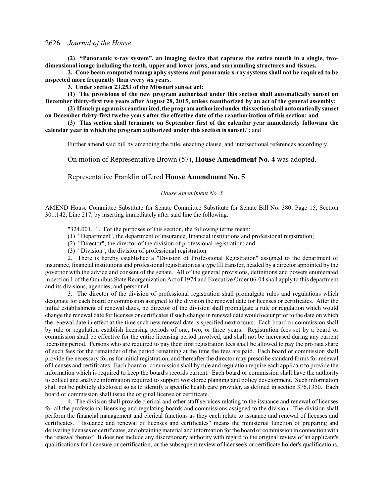**(2) "Panoramic x-ray system", an imaging device that captures the entire mouth in a single, twodimensional image including the teeth, upper and lower jaws, and surrounding structures and tissues.**

**2. Cone beam computed tomography systems and panoramic x-ray systems shall not be required to be inspected more frequently than every six years.**

**3. Under section 23.253 of the Missouri sunset act:**

**(1) The provisions of the new program authorized under this section shall automatically sunset on December thirty-first two years after August 28, 2015, unless reauthorized by an act of the general assembly;**

**(2) If such programis reauthorized, the programauthorizedunder thissection shall automatically sunset on December thirty-first twelve years after the effective date of the reauthorization of this section; and**

**(3) This section shall terminate on September first of the calendar year immediately following the calendar year in which the program authorized under this section is sunset.**"; and

Further amend said bill by amending the title, enacting clause, and intersectional references accordingly.

On motion of Representative Brown (57), **House Amendment No. 4** was adopted.

## Representative Franklin offered **House Amendment No. 5**.

### *House Amendment No. 5*

AMEND House Committee Substitute for Senate Committee Substitute for Senate Bill No. 380, Page 15, Section 301.142, Line 217, by inserting immediately after said line the following:

"324.001. 1. For the purposes of this section, the following terms mean:

- (1) "Department", the department of insurance, financial institutions and professional registration;
- (2) "Director", the director of the division of professional registration; and
- (3) "Division", the division of professional registration.

2. There is hereby established a "Division of Professional Registration" assigned to the department of insurance, financial institutions and professional registration as a type III transfer, headed by a director appointed by the governor with the advice and consent of the senate. All of the general provisions, definitions and powers enumerated in section 1 of the Omnibus State Reorganization Act of 1974 and Executive Order 06-04 shall apply to this department and its divisions, agencies, and personnel.

3. The director of the division of professional registration shall promulgate rules and regulations which designate for each board or commission assigned to the division the renewal date for licenses or certificates. After the initial establishment of renewal dates, no director of the division shall promulgate a rule or regulation which would change the renewal date for licenses or certificates ifsuch change in renewal date would occur prior to the date on which the renewal date in effect at the time such new renewal date is specified next occurs. Each board or commission shall by rule or regulation establish licensing periods of one, two, or three years. Registration fees set by a board or commission shall be effective for the entire licensing period involved, and shall not be increased during any current licensing period. Persons who are required to pay their first registration fees shall be allowed to pay the pro rata share of such fees for the remainder of the period remaining at the time the fees are paid. Each board or commission shall provide the necessary forms for initial registration, and thereafter the director may prescribe standard forms for renewal of licenses and certificates. Each board or commission shall by rule and regulation require each applicant to provide the information which is required to keep the board's records current. Each board or commission shall have the authority to collect and analyze information required to support workforce planning and policy development. Such information shall not be publicly disclosed so as to identify a specific health care provider, as defined in section 376.1350. Each board or commission shall issue the original license or certificate.

4. The division shall provide clerical and other staff services relating to the issuance and renewal of licenses for all the professional licensing and regulating boards and commissions assigned to the division. The division shall perform the financial management and clerical functions as they each relate to issuance and renewal of licenses and certificates. "Issuance and renewal of licenses and certificates" means the ministerial function of preparing and delivering licenses or certificates, and obtaining material and information for the board or commission in connection with the renewal thereof. It does not include any discretionary authority with regard to the original review of an applicant's qualifications for licensure or certification, or the subsequent review of licensee's or certificate holder's qualifications,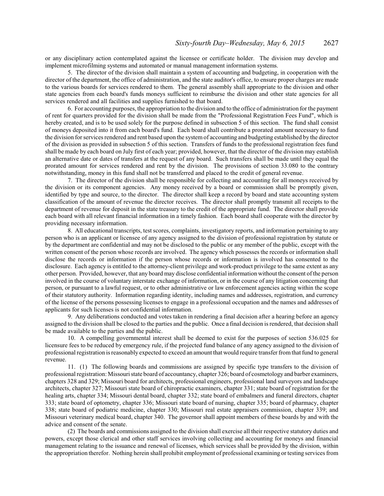or any disciplinary action contemplated against the licensee or certificate holder. The division may develop and implement microfilming systems and automated or manual management information systems.

5. The director of the division shall maintain a system of accounting and budgeting, in cooperation with the director of the department, the office of administration, and the state auditor's office, to ensure proper charges are made to the various boards for services rendered to them. The general assembly shall appropriate to the division and other state agencies from each board's funds moneys sufficient to reimburse the division and other state agencies for all services rendered and all facilities and supplies furnished to that board.

6. For accounting purposes, the appropriation to the division and to the office of administration for the payment of rent for quarters provided for the division shall be made from the "Professional Registration Fees Fund", which is hereby created, and is to be used solely for the purpose defined in subsection 5 of this section. The fund shall consist of moneys deposited into it from each board's fund. Each board shall contribute a prorated amount necessary to fund the division for services rendered and rent based upon the systemof accounting and budgeting established by the director of the division as provided in subsection 5 of this section. Transfers of funds to the professional registration fees fund shall be made by each board on July first of each year; provided, however, that the director of the division may establish an alternative date or dates of transfers at the request of any board. Such transfers shall be made until they equal the prorated amount for services rendered and rent by the division. The provisions of section 33.080 to the contrary notwithstanding, money in this fund shall not be transferred and placed to the credit of general revenue.

7. The director of the division shall be responsible for collecting and accounting for all moneys received by the division or its component agencies. Any money received by a board or commission shall be promptly given, identified by type and source, to the director. The director shall keep a record by board and state accounting system classification of the amount of revenue the director receives. The director shall promptly transmit all receipts to the department of revenue for deposit in the state treasury to the credit of the appropriate fund. The director shall provide each board with all relevant financial information in a timely fashion. Each board shall cooperate with the director by providing necessary information.

8. All educational transcripts, test scores, complaints, investigatory reports, and information pertaining to any person who is an applicant or licensee of any agency assigned to the division of professional registration by statute or by the department are confidential and may not be disclosed to the public or any member of the public, except with the written consent of the person whose records are involved. The agency which possesses the records or information shall disclose the records or information if the person whose records or information is involved has consented to the disclosure. Each agency is entitled to the attorney-client privilege and work-product privilege to the same extent as any other person. Provided, however, that any board may disclose confidential information without the consent ofthe person involved in the course of voluntary interstate exchange of information, or in the course of any litigation concerning that person, or pursuant to a lawful request, or to other administrative or law enforcement agencies acting within the scope of their statutory authority. Information regarding identity, including names and addresses, registration, and currency of the license of the persons possessing licenses to engage in a professional occupation and the names and addresses of applicants for such licenses is not confidential information.

9. Any deliberations conducted and votes taken in rendering a final decision after a hearing before an agency assigned to the division shall be closed to the parties and the public. Once a final decision is rendered, that decision shall be made available to the parties and the public.

10. A compelling governmental interest shall be deemed to exist for the purposes of section 536.025 for licensure fees to be reduced by emergency rule, if the projected fund balance of any agency assigned to the division of professional registration is reasonably expected to exceed an amount that would require transfer fromthat fund to general revenue.

11. (1) The following boards and commissions are assigned by specific type transfers to the division of professional registration: Missouri state board of accountancy, chapter 326; board of cosmetology and barber examiners, chapters 328 and 329; Missouri board for architects, professional engineers, professional land surveyors and landscape architects, chapter 327; Missouri state board of chiropractic examiners, chapter 331; state board of registration for the healing arts, chapter 334; Missouri dental board, chapter 332; state board of embalmers and funeral directors, chapter 333; state board of optometry, chapter 336; Missouri state board of nursing, chapter 335; board of pharmacy, chapter 338; state board of podiatric medicine, chapter 330; Missouri real estate appraisers commission, chapter 339; and Missouri veterinary medical board, chapter 340. The governor shall appoint members of these boards by and with the advice and consent of the senate.

(2) The boards and commissions assigned to the division shall exercise all their respective statutory duties and powers, except those clerical and other staff services involving collecting and accounting for moneys and financial management relating to the issuance and renewal of licenses, which services shall be provided by the division, within the appropriation therefor. Nothing herein shall prohibit employment of professional examining or testing services from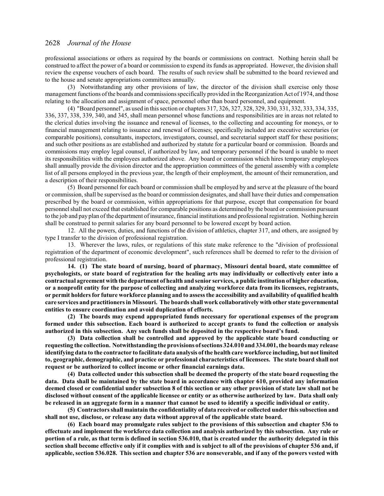professional associations or others as required by the boards or commissions on contract. Nothing herein shall be construed to affect the power of a board or commission to expend its funds as appropriated. However, the division shall review the expense vouchers of each board. The results of such review shall be submitted to the board reviewed and to the house and senate appropriations committees annually.

(3) Notwithstanding any other provisions of law, the director of the division shall exercise only those management functions ofthe boards and commissions specifically provided in the Reorganization Act of 1974, and those relating to the allocation and assignment of space, personnel other than board personnel, and equipment.

(4) "Board personnel", as used in this section or chapters 317, 326, 327, 328, 329, 330, 331, 332, 333, 334, 335, 336, 337, 338, 339, 340, and 345, shall mean personnel whose functions and responsibilities are in areas not related to the clerical duties involving the issuance and renewal of licenses, to the collecting and accounting for moneys, or to financial management relating to issuance and renewal of licenses; specifically included are executive secretaries (or comparable positions), consultants, inspectors, investigators, counsel, and secretarial support staff for these positions; and such other positions as are established and authorized by statute for a particular board or commission. Boards and commissions may employ legal counsel, if authorized by law, and temporary personnel if the board is unable to meet its responsibilities with the employees authorized above. Any board or commission which hires temporary employees shall annually provide the division director and the appropriation committees of the general assembly with a complete list of all persons employed in the previous year, the length of their employment, the amount of their remuneration, and a description of their responsibilities.

(5) Board personnel for each board or commission shall be employed by and serve at the pleasure of the board or commission, shall be supervised as the board or commission designates, and shall have their duties and compensation prescribed by the board or commission, within appropriations for that purpose, except that compensation for board personnel shall not exceed that established for comparable positions as determined by the board or commission pursuant to the job and pay plan ofthe department ofinsurance, financial institutions and professional registration. Nothing herein shall be construed to permit salaries for any board personnel to be lowered except by board action.

12. All the powers, duties, and functions of the division of athletics, chapter 317, and others, are assigned by type I transfer to the division of professional registration.

13. Wherever the laws, rules, or regulations of this state make reference to the "division of professional registration of the department of economic development", such references shall be deemed to refer to the division of professional registration.

**14. (1) The state board of nursing, board of pharmacy, Missouri dental board, state committee of psychologists, or state board of registration for the healing arts may individually or collectively enter into a contractual agreement with the department of health and senior services, a public institution of higher education, or a nonprofit entity for the purpose of collecting and analyzing workforce data from its licensees, registrants, or permit holders for future workforce planning and to assess the accessibility and availability of qualified health care services and practitioners in Missouri. The boards shall work collaboratively with other state governmental entities to ensure coordination and avoid duplication of efforts.**

**(2) The boards may expend appropriated funds necessary for operational expenses of the program formed under this subsection. Each board is authorized to accept grants to fund the collection or analysis authorized in this subsection. Any such funds shall be deposited in the respective board's fund.**

**(3) Data collection shall be controlled and approved by the applicable state board conducting or requesting the collection. Notwithstanding the provisions of sections 324.010 and 334.001, the boards may release identifying data to the contractor to facilitate data analysis of the health care workforce including, but not limited to, geographic, demographic, and practice or professional characteristics of licensees. The state board shall not request or be authorized to collect income or other financial earnings data.**

**(4) Data collected under this subsection shall be deemed the property of the state board requesting the data. Data shall be maintained by the state board in accordance with chapter 610, provided any information deemed closed or confidential under subsection 8 of this section or any other provision of state law shall not be disclosed without consent of the applicable licensee or entity or as otherwise authorized by law. Data shall only be released in an aggregate form in a manner that cannot be used to identify a specific individual or entity.**

**(5) Contractors shall maintain the confidentiality of data received or collected under this subsection and shall not use, disclose, or release any data without approval of the applicable state board.**

**(6) Each board may promulgate rules subject to the provisions of this subsection and chapter 536 to effectuate and implement the workforce data collection and analysis authorized by this subsection. Any rule or portion of a rule, as that term is defined in section 536.010, that is created under the authority delegated in this section shall become effective only if it complies with and is subject to all of the provisions of chapter 536 and, if applicable, section 536.028. This section and chapter 536 are nonseverable, and if any of the powers vested with**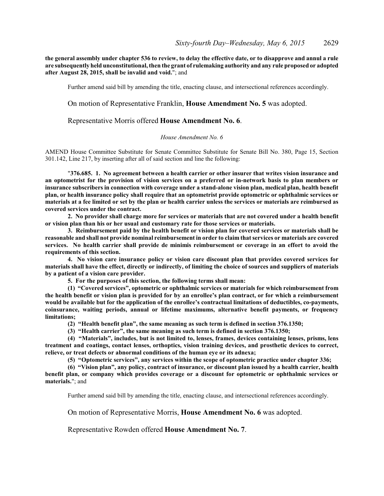**the general assembly under chapter 536 to review, to delay the effective date, or to disapprove and annul a rule are subsequently held unconstitutional, then the grant of rulemaking authority and any rule proposed or adopted after August 28, 2015, shall be invalid and void.**"; and

Further amend said bill by amending the title, enacting clause, and intersectional references accordingly.

## On motion of Representative Franklin, **House Amendment No. 5** was adopted.

Representative Morris offered **House Amendment No. 6**.

#### *House Amendment No. 6*

AMEND House Committee Substitute for Senate Committee Substitute for Senate Bill No. 380, Page 15, Section 301.142, Line 217, by inserting after all of said section and line the following:

"**376.685. 1. No agreement between a health carrier or other insurer that writes vision insurance and an optometrist for the provision of vision services on a preferred or in-network basis to plan members or insurance subscribers in connection with coverage under a stand-alone vision plan, medical plan, health benefit plan, or health insurance policy shall require that an optometrist provide optometric or ophthalmic services or materials at a fee limited or set by the plan or health carrier unless the services or materials are reimbursed as covered services under the contract.**

**2. No provider shall charge more for services or materials that are not covered under a health benefit or vision plan than his or her usual and customary rate for those services or materials.**

**3. Reimbursement paid by the health benefit or vision plan for covered services or materials shall be reasonable and shall not provide nominal reimbursement in order to claim that services or materials are covered services. No health carrier shall provide de minimis reimbursement or coverage in an effort to avoid the requirements of this section.**

**4. No vision care insurance policy or vision care discount plan that provides covered services for materials shall have the effect, directly or indirectly, of limiting the choice of sources and suppliers of materials by a patient of a vision care provider.**

**5. For the purposes of this section, the following terms shall mean:**

**(1) "Covered services", optometric or ophthalmic services or materials for which reimbursement from the health benefit or vision plan is provided for by an enrollee's plan contract, or for which a reimbursement would be available but for the application of the enrollee's contractual limitations of deductibles, co-payments, coinsurance, waiting periods, annual or lifetime maximums, alternative benefit payments, or frequency limitations;**

**(2) "Health benefit plan", the same meaning as such term is defined in section 376.1350;**

**(3) "Health carrier", the same meaning as such term is defined in section 376.1350;**

**(4) "Materials", includes, but is not limited to, lenses, frames, devices containing lenses, prisms, lens treatment and coatings, contact lenses, orthoptics, vision training devices, and prosthetic devices to correct, relieve, or treat defects or abnormal conditions of the human eye or its adnexa;**

**(5) "Optometric services", any services within the scope of optometric practice under chapter 336;**

**(6) "Vision plan", any policy, contract of insurance, or discount plan issued by a health carrier, health benefit plan, or company which provides coverage or a discount for optometric or ophthalmic services or materials.**"; and

Further amend said bill by amending the title, enacting clause, and intersectional references accordingly.

On motion of Representative Morris, **House Amendment No. 6** was adopted.

Representative Rowden offered **House Amendment No. 7**.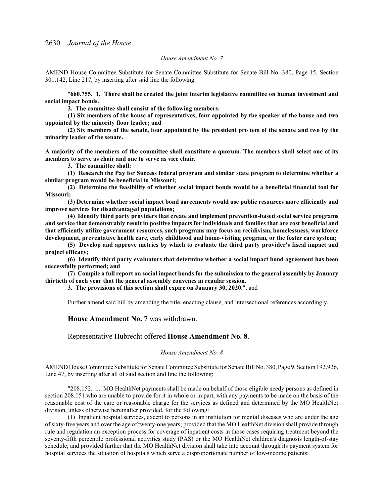### *House Amendment No. 7*

AMEND House Committee Substitute for Senate Committee Substitute for Senate Bill No. 380, Page 15, Section 301.142, Line 217, by inserting after said line the following:

"**660.755. 1. There shall be created the joint interim legislative committee on human investment and social impact bonds.**

**2. The committee shall consist of the following members:**

**(1) Six members of the house of representatives, four appointed by the speaker of the house and two appointed by the minority floor leader; and**

**(2) Six members of the senate, four appointed by the president pro tem of the senate and two by the minority leader of the senate.**

**A majority of the members of the committee shall constitute a quorum. The members shall select one of its members to serve as chair and one to serve as vice chair.**

**3. The committee shall:**

**(1) Research the Pay for Success federal program and similar state program to determine whether a similar program would be beneficial to Missouri;**

**(2) Determine the feasibility of whether social impact bonds would be a beneficial financial tool for Missouri;**

**(3) Determine whether social impact bond agreements would use public resources more efficiently and improve services for disadvantaged populations;**

**(4) Identify third party providers that create and implement prevention-based social service programs and service that demonstrably result in positive impacts for individuals and families that are cost beneficial and that efficiently utilize government resources, such programs may focus on recidivism, homelessness, workforce development, preventative health care, early childhood and home-visiting program, or the foster care system;**

**(5) Develop and approve metrics by which to evaluate the third party provider's fiscal impact and project efficacy;**

**(6) Identify third party evaluators that determine whether a social impact bond agreement has been successfully performed; and**

**(7) Compile a full report on social impact bonds for the submission to the general assembly by January thirtieth of each year that the general assembly convenes in regular session.**

**3. The provisions of this section shall expire on January 30, 2020.**"; and

Further amend said bill by amending the title, enacting clause, and intersectional references accordingly.

#### **House Amendment No. 7** was withdrawn.

Representative Hubrecht offered **House Amendment No. 8**.

## *House Amendment No. 8*

AMEND House Committee Substitute for Senate Committee Substitute for Senate Bill No. 380, Page 9, Section 192.926, Line 47, by inserting after all of said section and line the following:

"208.152. 1. MO HealthNet payments shall be made on behalf of those eligible needy persons as defined in section 208.151 who are unable to provide for it in whole or in part, with any payments to be made on the basis of the reasonable cost of the care or reasonable charge for the services as defined and determined by the MO HealthNet division, unless otherwise hereinafter provided, for the following:

(1) Inpatient hospital services, except to persons in an institution for mental diseases who are under the age ofsixty-five years and over the age of twenty-one years; provided that the MO HealthNet division shall provide through rule and regulation an exception process for coverage of inpatient costs in those cases requiring treatment beyond the seventy-fifth percentile professional activities study (PAS) or the MO HealthNet children's diagnosis length-of-stay schedule; and provided further that the MO HealthNet division shall take into account through its payment system for hospital services the situation of hospitals which serve a disproportionate number of low-income patients;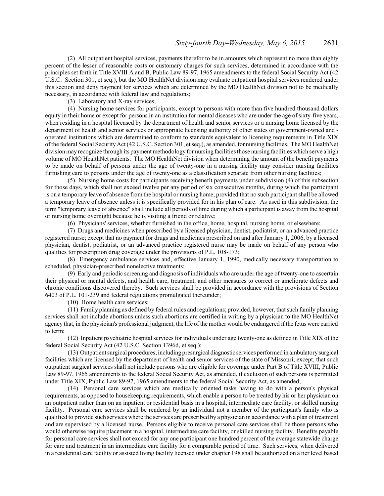(2) All outpatient hospital services, payments therefor to be in amounts which represent no more than eighty percent of the lesser of reasonable costs or customary charges for such services, determined in accordance with the principles set forth in Title XVIII A and B, Public Law 89-97, 1965 amendments to the federal Social Security Act (42 U.S.C. Section 301, et seq.), but the MO HealthNet division may evaluate outpatient hospital services rendered under this section and deny payment for services which are determined by the MO HealthNet division not to be medically necessary, in accordance with federal law and regulations;

(3) Laboratory and X-ray services;

(4) Nursing home services for participants, except to persons with more than five hundred thousand dollars equity in their home or except for persons in an institution for mental diseases who are under the age ofsixty-five years, when residing in a hospital licensed by the department of health and senior services or a nursing home licensed by the department of health and senior services or appropriate licensing authority of other states or government-owned and operated institutions which are determined to conform to standards equivalent to licensing requirements in Title XIX ofthe federal Social SecurityAct (42 U.S.C. Section 301, et seq.), as amended, for nursing facilities. The MO HealthNet division may recognize through its payment methodology for nursing facilities those nursing facilities which serve a high volume of MO HealthNet patients. The MO HealthNet division when determining the amount of the benefit payments to be made on behalf of persons under the age of twenty-one in a nursing facility may consider nursing facilities furnishing care to persons under the age of twenty-one as a classification separate from other nursing facilities;

(5) Nursing home costs for participants receiving benefit payments under subdivision (4) of this subsection for those days, which shall not exceed twelve per any period of six consecutive months, during which the participant is on a temporary leave of absence from the hospital or nursing home, provided that no such participant shall be allowed a temporary leave of absence unless it is specifically provided for in his plan of care. As used in this subdivision, the term "temporary leave of absence" shall include all periods of time during which a participant is away from the hospital or nursing home overnight because he is visiting a friend or relative;

(6) Physicians' services, whether furnished in the office, home, hospital, nursing home, or elsewhere;

(7) Drugs and medicines when prescribed by a licensed physician, dentist, podiatrist, or an advanced practice registered nurse; except that no payment for drugs and medicines prescribed on and after January 1, 2006, by a licensed physician, dentist, podiatrist, or an advanced practice registered nurse may be made on behalf of any person who qualifies for prescription drug coverage under the provisions of P.L. 108-173;

(8) Emergency ambulance services and, effective January 1, 1990, medically necessary transportation to scheduled, physician-prescribed nonelective treatments;

(9) Early and periodic screening and diagnosis of individuals who are under the age of twenty-one to ascertain their physical or mental defects, and health care, treatment, and other measures to correct or ameliorate defects and chronic conditions discovered thereby. Such services shall be provided in accordance with the provisions of Section 6403 of P.L. 101-239 and federal regulations promulgated thereunder;

(10) Home health care services;

(11) Family planning as defined by federal rules and regulations; provided, however, that such family planning services shall not include abortions unless such abortions are certified in writing by a physician to the MO HealthNet agency that, in the physician's professional judgment, the life ofthe mother would be endangered ifthe fetus were carried to term;

(12) Inpatient psychiatric hospital services for individuals under age twenty-one as defined in Title XIX of the federal Social Security Act (42 U.S.C. Section 1396d, et seq.);

(13) Outpatient surgical procedures, including presurgical diagnostic services performed in ambulatory surgical facilities which are licensed by the department of health and senior services of the state of Missouri; except, that such outpatient surgical services shall not include persons who are eligible for coverage under Part B of Title XVIII, Public Law 89-97, 1965 amendments to the federal Social Security Act, as amended, if exclusion of such persons is permitted under Title XIX, Public Law 89-97, 1965 amendments to the federal Social Security Act, as amended;

(14) Personal care services which are medically oriented tasks having to do with a person's physical requirements, as opposed to housekeeping requirements, which enable a person to be treated by his or her physician on an outpatient rather than on an inpatient or residential basis in a hospital, intermediate care facility, or skilled nursing facility. Personal care services shall be rendered by an individual not a member of the participant's family who is qualified to provide such services where the services are prescribed by a physician in accordance with a plan oftreatment and are supervised by a licensed nurse. Persons eligible to receive personal care services shall be those persons who would otherwise require placement in a hospital, intermediate care facility, or skilled nursing facility. Benefits payable for personal care services shall not exceed for any one participant one hundred percent of the average statewide charge for care and treatment in an intermediate care facility for a comparable period of time. Such services, when delivered in a residential care facility or assisted living facility licensed under chapter 198 shall be authorized on a tier level based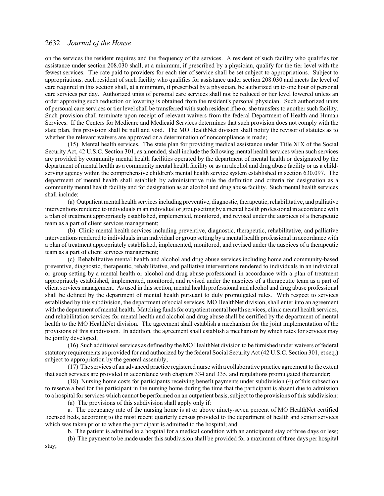on the services the resident requires and the frequency of the services. A resident of such facility who qualifies for assistance under section 208.030 shall, at a minimum, if prescribed by a physician, qualify for the tier level with the fewest services. The rate paid to providers for each tier of service shall be set subject to appropriations. Subject to appropriations, each resident of such facility who qualifies for assistance under section 208.030 and meets the level of care required in this section shall, at a minimum, if prescribed by a physician, be authorized up to one hour of personal care services per day. Authorized units of personal care services shall not be reduced or tier level lowered unless an order approving such reduction or lowering is obtained from the resident's personal physician. Such authorized units of personal care services or tier level shall be transferred with such resident if he or she transfers to another such facility. Such provision shall terminate upon receipt of relevant waivers from the federal Department of Health and Human Services. If the Centers for Medicare and Medicaid Services determines that such provision does not comply with the state plan, this provision shall be null and void. The MO HealthNet division shall notify the revisor of statutes as to whether the relevant waivers are approved or a determination of noncompliance is made;

(15) Mental health services. The state plan for providing medical assistance under Title XIX of the Social Security Act, 42 U.S.C. Section 301, as amended, shall include the following mental health services when such services are provided by community mental health facilities operated by the department of mental health or designated by the department of mental health as a community mental health facility or as an alcohol and drug abuse facility or as a childserving agency within the comprehensive children's mental health service system established in section 630.097. The department of mental health shall establish by administrative rule the definition and criteria for designation as a community mental health facility and for designation as an alcohol and drug abuse facility. Such mental health services shall include:

(a) Outpatientmental health services including preventive, diagnostic, therapeutic, rehabilitative, and palliative interventions rendered to individuals in an individual or group setting by a mental health professional in accordance with a plan of treatment appropriately established, implemented, monitored, and revised under the auspices of a therapeutic team as a part of client services management;

(b) Clinic mental health services including preventive, diagnostic, therapeutic, rehabilitative, and palliative interventions rendered to individuals in an individual or group setting by a mental health professional in accordance with a plan of treatment appropriately established, implemented, monitored, and revised under the auspices of a therapeutic team as a part of client services management;

(c) Rehabilitative mental health and alcohol and drug abuse services including home and community-based preventive, diagnostic, therapeutic, rehabilitative, and palliative interventions rendered to individuals in an individual or group setting by a mental health or alcohol and drug abuse professional in accordance with a plan of treatment appropriately established, implemented, monitored, and revised under the auspices of a therapeutic team as a part of client services management. As used in this section, mental health professional and alcohol and drug abuse professional shall be defined by the department of mental health pursuant to duly promulgated rules. With respect to services established by this subdivision, the department ofsocial services, MO HealthNet division, shall enter into an agreement with the department of mental health. Matching funds for outpatient mental health services, clinic mental health services, and rehabilitation services for mental health and alcohol and drug abuse shall be certified by the department of mental health to the MO HealthNet division. The agreement shall establish a mechanism for the joint implementation of the provisions of this subdivision. In addition, the agreement shall establish a mechanism by which rates for services may be jointly developed;

(16) Such additional services as defined by the MO HealthNet division to be furnished under waivers offederal statutory requirements as provided for and authorized by the federal Social Security Act (42 U.S.C. Section 301, et seq.) subject to appropriation by the general assembly;

(17) The services of an advanced practice registered nurse with a collaborative practice agreement to the extent that such services are provided in accordance with chapters 334 and 335, and regulations promulgated thereunder;

(18) Nursing home costs for participants receiving benefit payments under subdivision (4) of this subsection to reserve a bed for the participant in the nursing home during the time that the participant is absent due to admission to a hospital for services which cannot be performed on an outpatient basis, subject to the provisions of this subdivision:

(a) The provisions of this subdivision shall apply only if:

a. The occupancy rate of the nursing home is at or above ninety-seven percent of MO HealthNet certified licensed beds, according to the most recent quarterly census provided to the department of health and senior services which was taken prior to when the participant is admitted to the hospital; and

b. The patient is admitted to a hospital for a medical condition with an anticipated stay of three days or less;

(b) The payment to be made under this subdivision shall be provided for a maximum of three days per hospital

stay;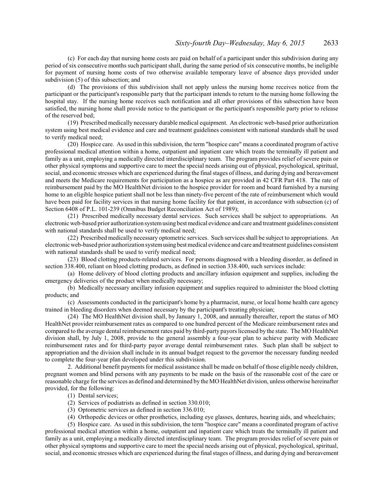(c) For each day that nursing home costs are paid on behalf of a participant under this subdivision during any period of six consecutive months such participant shall, during the same period of six consecutive months, be ineligible for payment of nursing home costs of two otherwise available temporary leave of absence days provided under subdivision (5) of this subsection; and

(d) The provisions of this subdivision shall not apply unless the nursing home receives notice from the participant or the participant's responsible party that the participant intends to return to the nursing home following the hospital stay. If the nursing home receives such notification and all other provisions of this subsection have been satisfied, the nursing home shall provide notice to the participant or the participant's responsible party prior to release of the reserved bed;

(19) Prescribed medically necessary durable medical equipment. An electronic web-based prior authorization system using best medical evidence and care and treatment guidelines consistent with national standards shall be used to verify medical need;

(20) Hospice care. As used in this subdivision, the term "hospice care" means a coordinated program of active professional medical attention within a home, outpatient and inpatient care which treats the terminally ill patient and family as a unit, employing a medically directed interdisciplinary team. The program provides relief of severe pain or other physical symptoms and supportive care to meet the special needs arising out of physical, psychological, spiritual, social, and economic stresses which are experienced during the final stages ofillness, and during dying and bereavement and meets the Medicare requirements for participation as a hospice as are provided in 42 CFR Part 418. The rate of reimbursement paid by the MO HealthNet division to the hospice provider for room and board furnished by a nursing home to an eligible hospice patient shall not be less than ninety-five percent of the rate of reimbursement which would have been paid for facility services in that nursing home facility for that patient, in accordance with subsection (c) of Section 6408 of P.L. 101-239 (Omnibus Budget Reconciliation Act of 1989);

(21) Prescribed medically necessary dental services. Such services shall be subject to appropriations. An electronic web-based prior authorization systemusing best medical evidence and care and treatment guidelines consistent with national standards shall be used to verify medical need;

(22) Prescribed medically necessary optometric services. Such services shall be subject to appropriations. An electronic web-based prior authorization systemusing best medical evidence and care and treatment guidelines consistent with national standards shall be used to verify medical need;

(23) Blood clotting products-related services. For persons diagnosed with a bleeding disorder, as defined in section 338.400, reliant on blood clotting products, as defined in section 338.400, such services include:

(a) Home delivery of blood clotting products and ancillary infusion equipment and supplies, including the emergency deliveries of the product when medically necessary;

(b) Medically necessary ancillary infusion equipment and supplies required to administer the blood clotting products; and

(c) Assessments conducted in the participant's home by a pharmacist, nurse, or local home health care agency trained in bleeding disorders when deemed necessary by the participant's treating physician;

(24) The MO HealthNet division shall, by January 1, 2008, and annually thereafter, report the status of MO HealthNet provider reimbursement rates as compared to one hundred percent of the Medicare reimbursement rates and compared to the average dental reimbursement rates paid by third-party payors licensed by the state. The MO HealthNet division shall, by July 1, 2008, provide to the general assembly a four-year plan to achieve parity with Medicare reimbursement rates and for third-party payor average dental reimbursement rates. Such plan shall be subject to appropriation and the division shall include in its annual budget request to the governor the necessary funding needed to complete the four-year plan developed under this subdivision.

2. Additional benefit payments for medical assistance shall be made on behalf of those eligible needy children, pregnant women and blind persons with any payments to be made on the basis of the reasonable cost of the care or reasonable charge for the services as defined and determined by the MO HealthNet division, unless otherwise hereinafter provided, for the following:

- (1) Dental services;
- (2) Services of podiatrists as defined in section 330.010;
- (3) Optometric services as defined in section 336.010;
- (4) Orthopedic devices or other prosthetics, including eye glasses, dentures, hearing aids, and wheelchairs;

(5) Hospice care. As used in this subdivision, the term "hospice care" means a coordinated program of active professional medical attention within a home, outpatient and inpatient care which treats the terminally ill patient and family as a unit, employing a medically directed interdisciplinary team. The program provides relief of severe pain or other physical symptoms and supportive care to meet the special needs arising out of physical, psychological, spiritual, social, and economic stresses which are experienced during the final stages ofillness, and during dying and bereavement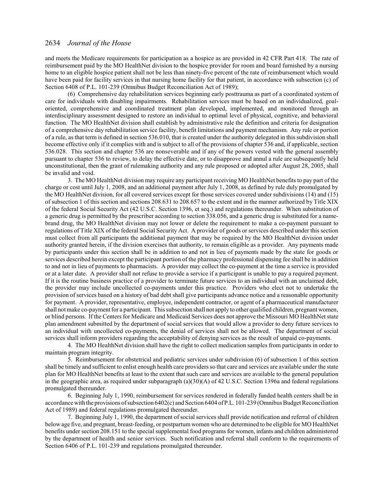and meets the Medicare requirements for participation as a hospice as are provided in 42 CFR Part 418. The rate of reimbursement paid by the MO HealthNet division to the hospice provider for room and board furnished by a nursing home to an eligible hospice patient shall not be less than ninety-five percent of the rate of reimbursement which would have been paid for facility services in that nursing home facility for that patient, in accordance with subsection (c) of Section 6408 of P.L. 101-239 (Omnibus Budget Reconciliation Act of 1989);

(6) Comprehensive day rehabilitation services beginning early posttrauma as part of a coordinated system of care for individuals with disabling impairments. Rehabilitation services must be based on an individualized, goaloriented, comprehensive and coordinated treatment plan developed, implemented, and monitored through an interdisciplinary assessment designed to restore an individual to optimal level of physical, cognitive, and behavioral function. The MO HealthNet division shall establish by administrative rule the definition and criteria for designation of a comprehensive day rehabilitation service facility, benefit limitations and payment mechanism. Any rule or portion of a rule, as that term is defined in section 536.010, that is created under the authority delegated in this subdivision shall become effective only if it complies with and is subject to all of the provisions of chapter 536 and, if applicable, section 536.028. This section and chapter 536 are nonseverable and if any of the powers vested with the general assembly pursuant to chapter 536 to review, to delay the effective date, or to disapprove and annul a rule are subsequently held unconstitutional, then the grant of rulemaking authority and any rule proposed or adopted after August 28, 2005, shall be invalid and void.

3. The MO HealthNet division may require any participant receiving MO HealthNet benefits to pay part of the charge or cost until July 1, 2008, and an additional payment after July 1, 2008, as defined by rule duly promulgated by the MO HealthNet division, for all covered services except for those services covered under subdivisions (14) and (15) of subsection 1 of this section and sections 208.631 to 208.657 to the extent and in the manner authorized by Title XIX of the federal Social Security Act (42 U.S.C. Section 1396, et seq.) and regulations thereunder. When substitution of a generic drug is permitted by the prescriber according to section 338.056, and a generic drug is substituted for a namebrand drug, the MO HealthNet division may not lower or delete the requirement to make a co-payment pursuant to regulations of Title XIX of the federal Social Security Act. A provider of goods or services described under this section must collect from all participants the additional payment that may be required by the MO HealthNet division under authority granted herein, if the division exercises that authority, to remain eligible as a provider. Any payments made by participants under this section shall be in addition to and not in lieu of payments made by the state for goods or services described herein except the participant portion of the pharmacy professional dispensing fee shall be in addition to and not in lieu of payments to pharmacists. A provider may collect the co-payment at the time a service is provided or at a later date. A provider shall not refuse to provide a service if a participant is unable to pay a required payment. If it is the routine business practice of a provider to terminate future services to an individual with an unclaimed debt, the provider may include uncollected co-payments under this practice. Providers who elect not to undertake the provision ofservices based on a history of bad debt shall give participants advance notice and a reasonable opportunity for payment. A provider, representative, employee, independent contractor, or agent of a pharmaceutical manufacturer shall not make co-payment for a participant. This subsection shall not apply to other qualified children, pregnant women, or blind persons. If the Centers for Medicare and Medicaid Services does not approve the Missouri MO HealthNet state plan amendment submitted by the department of social services that would allow a provider to deny future services to an individual with uncollected co-payments, the denial of services shall not be allowed. The department of social services shall inform providers regarding the acceptability of denying services as the result of unpaid co-payments.

4. The MO HealthNet division shall have the right to collect medication samples from participants in order to maintain program integrity.

5. Reimbursement for obstetrical and pediatric services under subdivision (6) of subsection 1 of this section shall be timely and sufficient to enlist enough health care providers so that care and services are available under the state plan for MO HealthNet benefits at least to the extent that such care and services are available to the general population in the geographic area, as required under subparagraph (a)(30)(A) of 42 U.S.C. Section 1396a and federal regulations promulgated thereunder.

6. Beginning July 1, 1990, reimbursement for services rendered in federally funded health centers shall be in accordance with the provisions ofsubsection 6402(c) and Section 6404 ofP.L. 101-239 (Omnibus Budget Reconciliation Act of 1989) and federal regulations promulgated thereunder.

7. Beginning July 1, 1990, the department ofsocial services shall provide notification and referral of children below age five, and pregnant, breast-feeding, or postpartumwomen who are determined to be eligible for MO HealthNet benefits under section 208.151 to the special supplemental food programs for women, infants and children administered by the department of health and senior services. Such notification and referral shall conform to the requirements of Section 6406 of P.L. 101-239 and regulations promulgated thereunder.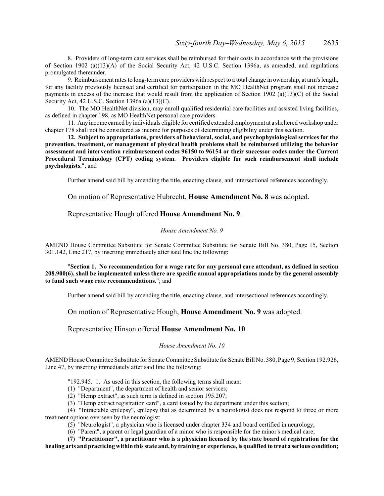8. Providers of long-term care services shall be reimbursed for their costs in accordance with the provisions of Section 1902 (a)(13)(A) of the Social Security Act, 42 U.S.C. Section 1396a, as amended, and regulations promulgated thereunder.

9. Reimbursement rates to long-term care providers with respect to a total change in ownership, at arm's length, for any facility previously licensed and certified for participation in the MO HealthNet program shall not increase payments in excess of the increase that would result from the application of Section 1902 (a)(13)(C) of the Social Security Act, 42 U.S.C. Section 1396a (a)(13)(C).

10. The MO HealthNet division, may enroll qualified residential care facilities and assisted living facilities, as defined in chapter 198, as MO HealthNet personal care providers.

11. Any income earned by individuals eligible for certified extended employment at a sheltered workshop under chapter 178 shall not be considered as income for purposes of determining eligibility under this section.

**12. Subject to appropriations, providers of behavioral, social, and psychophysiological services for the prevention, treatment, or management of physical health problems shall be reimbursed utilizing the behavior assessment and intervention reimbursement codes 96150 to 96154 or their successor codes under the Current Procedural Terminology (CPT) coding system. Providers eligible for such reimbursement shall include psychologists.**"; and

Further amend said bill by amending the title, enacting clause, and intersectional references accordingly.

On motion of Representative Hubrecht, **House Amendment No. 8** was adopted.

Representative Hough offered **House Amendment No. 9**.

#### *House Amendment No. 9*

AMEND House Committee Substitute for Senate Committee Substitute for Senate Bill No. 380, Page 15, Section 301.142, Line 217, by inserting immediately after said line the following:

"**Section 1. No recommendation for a wage rate for any personal care attendant, as defined in section 208.900(6), shall be implemented unless there are specific annual appropriations made by the general assembly to fund such wage rate recommendations.**"; and

Further amend said bill by amending the title, enacting clause, and intersectional references accordingly.

On motion of Representative Hough, **House Amendment No. 9** was adopted.

Representative Hinson offered **House Amendment No. 10**.

#### *House Amendment No. 10*

AMEND House Committee Substitute for Senate Committee Substitute for Senate Bill No. 380, Page 9, Section 192.926, Line 47, by inserting immediately after said line the following:

"192.945. 1. As used in this section, the following terms shall mean:

(1) "Department", the department of health and senior services;

(2) "Hemp extract", as such term is defined in section 195.207;

(3) "Hemp extract registration card", a card issued by the department under this section;

(4) "Intractable epilepsy", epilepsy that as determined by a neurologist does not respond to three or more treatment options overseen by the neurologist;

(5) "Neurologist", a physician who is licensed under chapter 334 and board certified in neurology;

(6) "Parent", a parent or legal guardian of a minor who is responsible for the minor's medical care;

**(7) "Practitioner", a practitioner who is a physician licensed by the state board of registration for the healing arts and practicing within this state and, by training or experience, is qualified to treat a serious condition;**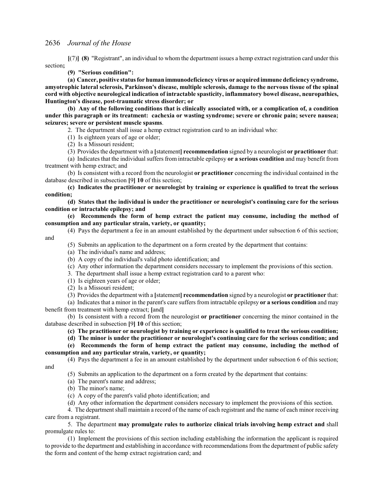**[**(7)**] (8)** "Registrant", an individual to whom the department issues a hemp extract registration card under this section**;**

**(9) "Serious condition":**

**(a) Cancer, positive status for human immunodeficiency virus or acquired immune deficiency syndrome, amyotrophic lateral sclerosis, Parkinson's disease, multiple sclerosis, damage to the nervous tissue of the spinal cord with objective neurological indication of intractable spasticity, inflammatory bowel disease, neuropathies, Huntington's disease, post-traumatic stress disorder; or**

**(b) Any of the following conditions that is clinically associated with, or a complication of, a condition under this paragraph or its treatment: cachexia or wasting syndrome; severe or chronic pain; severe nausea; seizures; severe or persistent muscle spasms**.

2. The department shall issue a hemp extract registration card to an individual who:

(1) Is eighteen years of age or older;

(2) Is a Missouri resident;

(3) Provides the department with a **[**statement**] recommendation** signed by a neurologist **or practitioner** that:

(a) Indicates that the individual suffers from intractable epilepsy **or a serious condition** and may benefit from treatment with hemp extract; and

(b) Is consistent with a record from the neurologist **or practitioner** concerning the individual contained in the database described in subsection **[**9**] 10** of this section;

**(c) Indicates the practitioner or neurologist by training or experience is qualified to treat the serious condition;**

**(d) States that the individual is under the practitioner or neurologist's continuing care for the serious condition or intractable epilepsy; and**

**(e) Recommends the form of hemp extract the patient may consume, including the method of consumption and any particular strain, variety, or quantity;**

- (4) Pays the department a fee in an amount established by the department under subsection 6 of this section;
	- (5) Submits an application to the department on a form created by the department that contains:

(a) The individual's name and address;

(b) A copy of the individual's valid photo identification; and

(c) Any other information the department considers necessary to implement the provisions of this section.

3. The department shall issue a hemp extract registration card to a parent who:

(1) Is eighteen years of age or older;

(2) Is a Missouri resident;

and

(3) Provides the department with a **[**statement**] recommendation** signed by a neurologist **or practitioner** that:

(a) Indicates that a minor in the parent's care suffers from intractable epilepsy **or a serious condition** and may benefit from treatment with hemp extract; **[**and**]**

(b) Is consistent with a record from the neurologist **or practitioner** concerning the minor contained in the database described in subsection **[**9**] 10** of this section;

**(c) The practitioner or neurologist by training or experience is qualified to treat the serious condition;**

**(d) The minor is under the practitioner or neurologist's continuing care for the serious condition; and**

**(e) Recommends the form of hemp extract the patient may consume, including the method of**

**consumption and any particular strain, variety, or quantity;**

(4) Pays the department a fee in an amount established by the department under subsection 6 of this section; and

(5) Submits an application to the department on a form created by the department that contains:

- (a) The parent's name and address;
- (b) The minor's name;
- (c) A copy of the parent's valid photo identification; and

(d) Any other information the department considers necessary to implement the provisions of this section.

4. The department shall maintain a record of the name of each registrant and the name of each minor receiving care from a registrant.

5. The department **may promulgate rules to authorize clinical trials involving hemp extract and** shall promulgate rules to:

(1) Implement the provisions of this section including establishing the information the applicant is required to provide to the department and establishing in accordance with recommendations from the department of public safety the form and content of the hemp extract registration card; and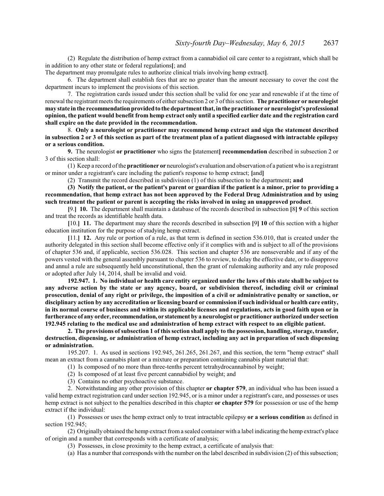(2) Regulate the distribution of hemp extract from a cannabidiol oil care center to a registrant, which shall be in addition to any other state or federal regulations**[**; and

The department may promulgate rules to authorize clinical trials involving hemp extract**]**.

6. The department shall establish fees that are no greater than the amount necessary to cover the cost the department incurs to implement the provisions of this section.

7. The registration cards issued under this section shall be valid for one year and renewable if at the time of renewal the registrantmeets the requirements of either subsection 2 or 3 ofthis section. **The practitioner or neurologist may state in the recommendationprovidedto the department that, in the practitioner or neurologist's professional opinion, the patient would benefit from hemp extract only until a specified earlier date and the registration card shall expire on the date provided in the recommendation.**

8. **Only a neurologist or practitioner may recommend hemp extract and sign the statement described in subsection 2 or 3 of this section as part of the treatment plan of a patient diagnosed with intractable epilepsy or a serious condition.**

**9.** The neurologist **or practitioner** who signs the **[**statement**] recommendation** described in subsection 2 or 3 of this section shall:

(1) Keep a record ofthe **practitioner or** neurologist's evaluation and observation of a patient who is a registrant or minor under a registrant's care including the patient's response to hemp extract; **[**and**]**

(2) Transmit the record described in subdivision (1) of this subsection to the department**; and**

**(3) Notify the patient, or the patient's parent or guardian if the patient is a minor, prior to providing a recommendation, that hemp extract has not been approved by the Federal Drug Administration and by using such treatment the patient or parent is accepting the risks involved in using an unapproved product**.

**[**9.**] 10.** The department shall maintain a database of the records described in subsection **[**8**] 9** of this section and treat the records as identifiable health data.

**[**10.**] 11.** The department may share the records described in subsection **[**9**] 10** of this section with a higher education institution for the purpose of studying hemp extract.

**[**11.**] 12.** Any rule or portion of a rule, as that term is defined in section 536.010, that is created under the authority delegated in this section shall become effective only if it complies with and is subject to all of the provisions of chapter 536 and, if applicable, section 536.028. This section and chapter 536 are nonseverable and if any of the powers vested with the general assembly pursuant to chapter 536 to review, to delay the effective date, or to disapprove and annul a rule are subsequently held unconstitutional, then the grant of rulemaking authority and any rule proposed or adopted after July 14, 2014, shall be invalid and void.

**192.947. 1. No individual or health care entity organized under the laws of this state shall be subject to any adverse action by the state or any agency, board, or subdivision thereof, including civil or criminal prosecution, denial of any right or privilege, the imposition of a civil or administrative penalty or sanction, or disciplinary action by any accreditation or licensing board or commission if such individual or health care entity, in its normal course of business and within its applicable licenses and regulations, acts in good faith upon or in furtherance of any order, recommendation, or statement by a neurologist or practitioner authorized under section 192.945 relating to the medical use and administration of hemp extract with respect to an eligible patient.**

**2. The provisions of subsection 1 of this section shall apply to the possession, handling, storage, transfer, destruction, dispensing, or administration of hemp extract, including any act in preparation of such dispensing or administration.**

195.207. 1. As used in sections 192.945, 261.265, 261.267, and this section, the term "hemp extract" shall mean an extract from a cannabis plant or a mixture or preparation containing cannabis plant material that:

(1) Is composed of no more than three-tenths percent tetrahydrocannabinol by weight;

(2) Is composed of at least five percent cannabidiol by weight; and

(3) Contains no other psychoactive substance.

2. Notwithstanding any other provision of this chapter **or chapter 579**, an individual who has been issued a valid hemp extract registration card under section 192.945, or is a minor under a registrant's care, and possesses or uses hemp extract is not subject to the penalties described in this chapter **or chapter 579** for possession or use of the hemp extract if the individual:

(1) Possesses or uses the hemp extract only to treat intractable epilepsy **or a serious condition** as defined in section 192.945;

(2) Originally obtained the hemp extract froma sealed container with a label indicating the hemp extract's place of origin and a number that corresponds with a certificate of analysis;

(3) Possesses, in close proximity to the hemp extract, a certificate of analysis that:

(a) Has a number that corresponds with the number on the label described in subdivision (2) of thissubsection;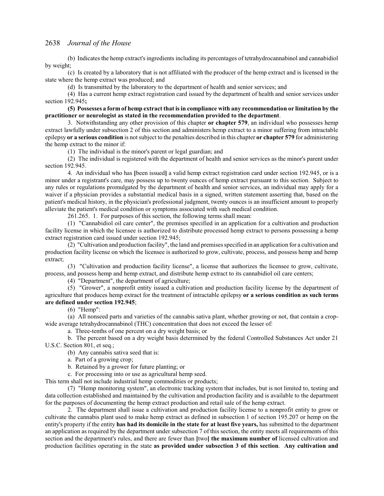(b) Indicates the hemp extract's ingredients including its percentages of tetrahydrocannabinol and cannabidiol by weight;

(c) Is created by a laboratory that is not affiliated with the producer of the hemp extract and is licensed in the state where the hemp extract was produced; and

(d) Is transmitted by the laboratory to the department of health and senior services; and

(4) Has a current hemp extract registration card issued by the department of health and senior services under section 192.945**;**

**(5) Possesses a form of hemp extract that is in compliance with any recommendation or limitation by the practitioner or neurologist as stated in the recommendation provided to the department**.

3. Notwithstanding any other provision of this chapter **or chapter 579**, an individual who possesses hemp extract lawfully under subsection 2 of this section and administers hemp extract to a minor suffering from intractable epilepsy **or a serious condition** is notsubject to the penalties described in this chapter **or chapter 579** for administering the hemp extract to the minor if:

(1) The individual is the minor's parent or legal guardian; and

(2) The individual is registered with the department of health and senior services as the minor's parent under section 192.945.

4. An individual who has **[**been issued**]** a valid hemp extract registration card under section 192.945, or is a minor under a registrant's care, may possess up to twenty ounces of hemp extract pursuant to this section. Subject to any rules or regulations promulgated by the department of health and senior services, an individual may apply for a waiver if a physician provides a substantial medical basis in a signed, written statement asserting that, based on the patient's medical history, in the physician's professional judgment, twenty ounces is an insufficient amount to properly alleviate the patient's medical condition or symptoms associated with such medical condition.

261.265. 1. For purposes of this section, the following terms shall mean:

(1) "Cannabidiol oil care center", the premises specified in an application for a cultivation and production facility license in which the licensee is authorized to distribute processed hemp extract to persons possessing a hemp extract registration card issued under section 192.945;

(2) "Cultivation and production facility", the land and premises specified in an application for a cultivation and production facility license on which the licensee is authorized to grow, cultivate, process, and possess hemp and hemp extract;

(3) "Cultivation and production facility license", a license that authorizes the licensee to grow, cultivate, process, and possess hemp and hemp extract, and distribute hemp extract to its cannabidiol oil care centers;

(4) "Department", the department of agriculture;

(5) "Grower", a nonprofit entity issued a cultivation and production facility license by the department of agriculture that produces hemp extract for the treatment of intractable epilepsy **or a serious condition as such terms are defined under section 192.945**;

(6) "Hemp":

(a) All nonseed parts and varieties of the cannabis sativa plant, whether growing or not, that contain a cropwide average tetrahydrocannabinol (THC) concentration that does not exceed the lesser of:

a. Three-tenths of one percent on a dry weight basis; or

b. The percent based on a dry weight basis determined by the federal Controlled Substances Act under 21 U.S.C. Section 801, et seq.;

(b) Any cannabis sativa seed that is:

a. Part of a growing crop;

b. Retained by a grower for future planting; or

c. For processing into or use as agricultural hemp seed.

This term shall not include industrial hemp commodities or products;

(7) "Hemp monitoring system", an electronic tracking system that includes, but is not limited to, testing and data collection established and maintained by the cultivation and production facility and is available to the department for the purposes of documenting the hemp extract production and retail sale of the hemp extract.

2. The department shall issue a cultivation and production facility license to a nonprofit entity to grow or cultivate the cannabis plant used to make hemp extract as defined in subsection 1 of section 195.207 or hemp on the entity's property if the entity **has had its domicile in the state for at least five years,** has submitted to the department an application as required by the department under subsection 7 of this section, the entity meets all requirements of this section and the department's rules, and there are fewer than **[**two**] the maximum number of** licensed cultivation and production facilities operating in the state **as provided under subsection 3 of this section**. **Any cultivation and**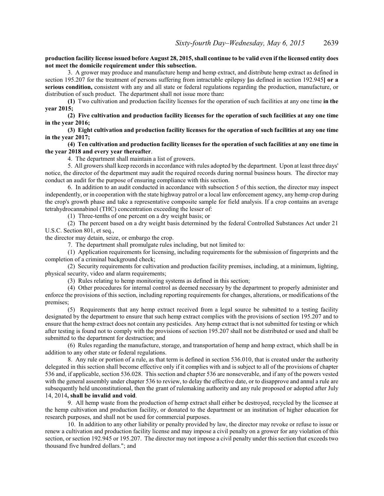## **production facility license issued before August 28, 2015, shall continue to be valid even if the licensed entity does not meet the domicile requirement under this subsection.**

3. A grower may produce and manufacture hemp and hemp extract, and distribute hemp extract as defined in section 195.207 for the treatment of persons suffering from intractable epilepsy **[**as defined in section 192.945**] or a serious condition,** consistent with any and all state or federal regulations regarding the production, manufacture, or distribution of such product. The department shall not issue more than**:**

**(1)** Two cultivation and production facility licenses for the operation of such facilities at any one time **in the year 2015;**

**(2) Five cultivation and production facility licenses for the operation of such facilities at any one time in the year 2016;**

**(3) Eight cultivation and production facility licenses for the operation of such facilities at any one time in the year 2017;**

**(4) Ten cultivation and production facility licenses for the operation of such facilities at any one time in the year 2018 and every year thereafter**.

4. The department shall maintain a list of growers.

5. All growers shall keep records in accordance with rules adopted by the department. Upon at least three days' notice, the director of the department may audit the required records during normal business hours. The director may conduct an audit for the purpose of ensuring compliance with this section.

6. In addition to an audit conducted in accordance with subsection 5 of this section, the director may inspect independently, or in cooperation with the state highway patrol or a local law enforcement agency, any hemp crop during the crop's growth phase and take a representative composite sample for field analysis. If a crop contains an average tetrahydrocannabinol (THC) concentration exceeding the lesser of:

(1) Three-tenths of one percent on a dry weight basis; or

(2) The percent based on a dry weight basis determined by the federal Controlled Substances Act under 21 U.S.C. Section 801, et seq.,

the director may detain, seize, or embargo the crop.

7. The department shall promulgate rules including, but not limited to:

(1) Application requirements for licensing, including requirements for the submission of fingerprints and the completion of a criminal background check;

(2) Security requirements for cultivation and production facility premises, including, at a minimum, lighting, physical security, video and alarm requirements;

(3) Rules relating to hemp monitoring systems as defined in this section;

(4) Other procedures for internal control as deemed necessary by the department to properly administer and enforce the provisions of this section, including reporting requirements for changes, alterations, or modifications of the premises;

(5) Requirements that any hemp extract received from a legal source be submitted to a testing facility designated by the department to ensure that such hemp extract complies with the provisions of section 195.207 and to ensure that the hemp extract does not contain any pesticides. Any hemp extract that is not submitted for testing or which after testing is found not to comply with the provisions of section 195.207 shall not be distributed or used and shall be submitted to the department for destruction; and

(6) Rules regarding the manufacture, storage, and transportation of hemp and hemp extract, which shall be in addition to any other state or federal regulations.

8. Any rule or portion of a rule, as that term is defined in section 536.010, that is created under the authority delegated in this section shall become effective only if it complies with and is subject to all of the provisions of chapter 536 and, if applicable, section 536.028. This section and chapter 536 are nonseverable, and if any of the powers vested with the general assembly under chapter 536 to review, to delay the effective date, or to disapprove and annul a rule are subsequently held unconstitutional, then the grant of rulemaking authority and any rule proposed or adopted after July 14, 2014**, shall be invalid and void**.

9. All hemp waste from the production of hemp extract shall either be destroyed, recycled by the licensee at the hemp cultivation and production facility, or donated to the department or an institution of higher education for research purposes, and shall not be used for commercial purposes.

10. In addition to any other liability or penalty provided by law, the director may revoke or refuse to issue or renew a cultivation and production facility license and may impose a civil penalty on a grower for any violation of this section, or section 192.945 or 195.207. The director may not impose a civil penalty under this section that exceeds two thousand five hundred dollars."; and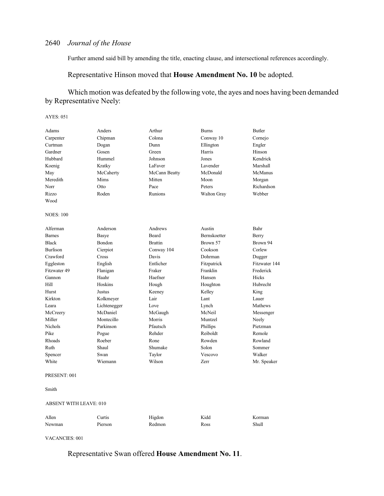Further amend said bill by amending the title, enacting clause, and intersectional references accordingly.

## Representative Hinson moved that **House Amendment No. 10** be adopted.

# Which motion was defeated by the following vote, the ayes and noes having been demanded by Representative Neely:

#### AYES: 051

| Adams            | Anders        | Arthur         | <b>Burns</b> | <b>Butler</b> |
|------------------|---------------|----------------|--------------|---------------|
| Carpenter        | Chipman       | Colona         | Conway 10    | Cornejo       |
| Curtman          | Dogan         | Dunn           | Ellington    | Engler        |
| Gardner          | Gosen         | Green          | Harris       | Hinson        |
| Hubbard          | Hummel        | Johnson        | Jones        | Kendrick      |
| Koenig           | Kratky        | LaFaver        | Lavender     | Marshall      |
| May              | McCaherty     | McCann Beatty  | McDonald     | McManus       |
| Meredith         | Mims          | Mitten         | Moon         | Morgan        |
| Norr             | Otto          | Pace           | Peters       | Richardson    |
| Rizzo            | Roden         | Runions        | Walton Gray  | Webber        |
| Wood             |               |                |              |               |
| <b>NOES: 100</b> |               |                |              |               |
| Alferman         | Anderson      | Andrews        | Austin       | Bahr          |
| <b>Barnes</b>    | <b>Basye</b>  | <b>Beard</b>   | Bernskoetter | Berry         |
| <b>Black</b>     | <b>Bondon</b> | <b>Brattin</b> | Brown 57     | Brown 94      |
| <b>Burlison</b>  | Cierpiot      | Conway 104     | Cookson      | Corlew        |
| Crawford         | Cross         | Davis          | Dohrman      | Dugger        |
| Eggleston        | English       | Entlicher      | Fitzpatrick  | Fitzwater 144 |
| Fitzwater 49     | Flanigan      | Fraker         | Franklin     | Frederick     |
| Gannon           | Haahr         | Haefner        | Hansen       | Hicks         |
| Hill             | Hoskins       | Hough          | Houghton     | Hubrecht      |
| Hurst            | Justus        | Keeney         | Kelley       | King          |
| Kirkton          | Kolkmeyer     | Lair           | Lant         | Lauer         |
| Leara            | Lichtenegger  | Love           | Lynch        | Mathews       |
| McCreery         | McDaniel      | McGaugh        | McNeil       | Messenger     |
| Miller           | Montecillo    | Morris         | Muntzel      | Neely         |
| <b>Nichols</b>   | Parkinson     | Pfautsch       | Phillips     | Pietzman      |
| Pike             | Pogue         | Rehder         | Reiboldt     | Remole        |
| Rhoads           | Roeber        | Rone           | Rowden       | Rowland       |
| Ruth             | Shaul         | Shumake        | Solon        | Sommer        |
| Spencer          | Swan          | Taylor         | Vescovo      | Walker        |
| White            | Wiemann       | Wilson         | Zerr         | Mr. Speaker   |
|                  |               |                |              |               |

#### PRESENT: 001

#### Smith

#### ABSENT WITH LEAVE: 010

| Allen  | Curtis  | Higdon | Kidd | Korman |
|--------|---------|--------|------|--------|
| Newman | Pierson | Redmon | Ross | Shull  |

VACANCIES: 001

## Representative Swan offered **House Amendment No. 11**.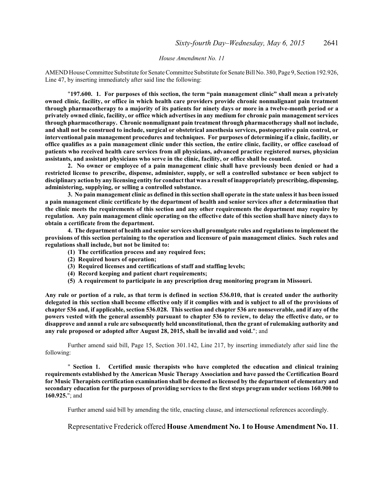#### *House Amendment No. 11*

AMEND House Committee Substitute for Senate Committee Substitute for Senate Bill No. 380, Page 9, Section 192.926, Line 47, by inserting immediately after said line the following:

"**197.600. 1. For purposes of this section, the term "pain management clinic" shall mean a privately owned clinic, facility, or office in which health care providers provide chronic nonmalignant pain treatment through pharmacotherapy to a majority of its patients for ninety days or more in a twelve-month period or a privately owned clinic, facility, or office which advertises in any medium for chronic pain management services through pharmacotherapy. Chronic nonmalignant pain treatment through pharmacotherapy shall not include, and shall not be construed to include, surgical or obstetrical anesthesia services, postoperative pain control, or interventional pain management procedures and techniques. For purposes of determining if a clinic, facility, or office qualifies as a pain management clinic under this section, the entire clinic, facility, or office caseload of patients who received health care services from all physicians, advanced practice registered nurses, physician assistants, and assistant physicians who serve in the clinic, facility, or office shall be counted.**

**2. No owner or employee of a pain management clinic shall have previously been denied or had a restricted license to prescribe, dispense, administer, supply, or sell a controlled substance or been subject to disciplinary action by any licensing entity for conduct that was a result of inappropriately prescribing,dispensing, administering, supplying, or selling a controlled substance.**

**3. No pain management clinic as defined in this section shall operate in the state unless it has been issued a pain management clinic certificate by the department of health and senior services after a determination that the clinic meets the requirements of this section and any other requirements the department may require by regulation. Any pain management clinic operating on the effective date of this section shall have ninety days to obtain a certificate from the department.**

**4. The department of health and senior services shall promulgate rules and regulations to implement the provisions of this section pertaining to the operation and licensure of pain management clinics. Such rules and regulations shall include, but not be limited to:**

- **(1) The certification process and any required fees;**
- **(2) Required hours of operation;**
- **(3) Required licenses and certifications of staff and staffing levels;**
- **(4) Record keeping and patient chart requirements;**
- **(5) A requirement to participate in any prescription drug monitoring program in Missouri.**

**Any rule or portion of a rule, as that term is defined in section 536.010, that is created under the authority delegated in this section shall become effective only if it complies with and is subject to all of the provisions of chapter 536 and, if applicable, section 536.028. This section and chapter 536 are nonseverable, and if any of the powers vested with the general assembly pursuant to chapter 536 to review, to delay the effective date, or to disapprove and annul a rule are subsequently held unconstitutional, then the grant of rulemaking authority and any rule proposed or adopted after August 28, 2015, shall be invalid and void.**"; and

Further amend said bill, Page 15, Section 301.142, Line 217, by inserting immediately after said line the following:

" **Section 1. Certified music therapists who have completed the education and clinical training requirements established by the American Music Therapy Association and have passed the Certification Board for Music Therapists certification examination shall be deemed as licensed by the department of elementary and secondary education for the purposes of providing services to the first steps program under sections 160.900 to 160.925.**"; and

Further amend said bill by amending the title, enacting clause, and intersectional references accordingly.

Representative Frederick offered **House Amendment No. 1 to House Amendment No. 11**.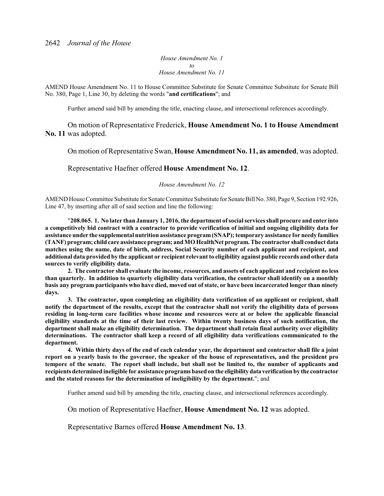*House Amendment No. 1 to House Amendment No. 11*

AMEND House Amendment No. 11 to House Committee Substitute for Senate Committee Substitute for Senate Bill No. 380, Page 1, Line 30, by deleting the words "**and certifications**"; and

Further amend said bill by amending the title, enacting clause, and intersectional references accordingly.

On motion of Representative Frederick, **House Amendment No. 1 to House Amendment No. 11** was adopted.

On motion of Representative Swan, **House Amendment No. 11, as amended**, was adopted.

Representative Haefner offered **House Amendment No. 12**.

*House Amendment No. 12*

AMEND House Committee Substitute for Senate Committee Substitute for Senate Bill No. 380, Page 9, Section 192.926, Line 47, by inserting after all of said section and line the following:

"**208.065. 1. No later than January 1, 2016, the department of social services shall procure and enter into a competitively bid contract with a contractor to provide verification of initial and ongoing eligibility data for assistance under the supplemental nutrition assistance program(SNAP); temporary assistance for needy families (TANF) program; child care assistanceprogram; and MOHealthNet program. The contractor shall conduct data matches using the name, date of birth, address, Social Security number of each applicant and recipient, and additional data provided by the applicant or recipient relevant to eligibility against public records and other data sources to verify eligibility data.**

**2. The contractor shall evaluate the income, resources, and assets of each applicant and recipient no less than quarterly. In addition to quarterly eligibility data verification, the contractor shall identify on a monthly basis any program participants who have died, moved out of state, or have been incarcerated longer than ninety days.**

**3. The contractor, upon completing an eligibility data verification of an applicant or recipient, shall notify the department of the results, except that the contractor shall not verify the eligibility data of persons residing in long-term care facilities whose income and resources were at or below the applicable financial eligibility standards at the time of their last review. Within twenty business days of such notification, the department shall make an eligibility determination. The department shall retain final authority over eligibility determinations. The contractor shall keep a record of all eligibility data verifications communicated to the department.**

**4. Within thirty days of the end of each calendar year, the department and contractor shall file a joint report on a yearly basis to the governor, the speaker of the house of representatives, and the president pro tempore of the senate. The report shall include, but shall not be limited to, the number of applicants and recipients determined ineligible for assistance programsbased on the eligibilitydata verification by the contractor and the stated reasons for the determination of ineligibility by the department.**"; and

Further amend said bill by amending the title, enacting clause, and intersectional references accordingly.

On motion of Representative Haefner, **House Amendment No. 12** was adopted.

Representative Barnes offered **House Amendment No. 13**.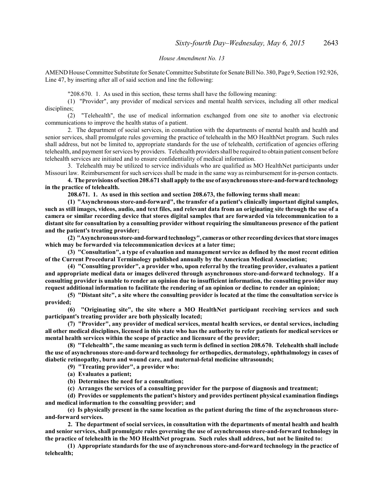#### *House Amendment No. 13*

AMEND House Committee Substitute for Senate Committee Substitute for Senate Bill No. 380, Page 9, Section 192.926, Line 47, by inserting after all of said section and line the following:

"208.670. 1. As used in this section, these terms shall have the following meaning:

(1) "Provider", any provider of medical services and mental health services, including all other medical disciplines;

(2) "Telehealth", the use of medical information exchanged from one site to another via electronic communications to improve the health status of a patient.

2. The department of social services, in consultation with the departments of mental health and health and senior services, shall promulgate rules governing the practice of telehealth in the MO HealthNet program. Such rules shall address, but not be limited to, appropriate standards for the use of telehealth, certification of agencies offering telehealth, and payment for services by providers. Telehealth providers shall be required to obtain patient consent before telehealth services are initiated and to ensure confidentiality of medical information.

3. Telehealth may be utilized to service individuals who are qualified as MO HealthNet participants under Missouri law. Reimbursement for such services shall be made in the same way as reimbursement for in-person contacts.

**4. The provisions of section 208.671 shall apply to the use of asynchronous store-and-forward technology in the practice of telehealth.**

**208.671. 1. As used in this section and section 208.673, the following terms shall mean:**

**(1) "Asynchronous store-and-forward", the transfer of a patient's clinically important digital samples, such as still images, videos, audio, and text files, and relevant data from an originating site through the use of a camera or similar recording device that stores digital samples that are forwarded via telecommunication to a distant site for consultation by a consulting provider without requiring the simultaneous presence of the patient and the patient's treating provider;**

**(2) "Asynchronousstore-and-forwardtechnology", cameras or other recording devices that store images which may be forwarded via telecommunication devices at a later time;**

**(3) "Consultation", a type of evaluation and management service as defined by the most recent edition of the Current Procedural Terminology published annually by the American Medical Association;**

**(4) "Consulting provider", a provider who, upon referral by the treating provider, evaluates a patient and appropriate medical data or images delivered through asynchronous store-and-forward technology. If a consulting provider is unable to render an opinion due to insufficient information, the consulting provider may request additional information to facilitate the rendering of an opinion or decline to render an opinion;**

**(5) "Distant site", a site where the consulting provider is located at the time the consultation service is provided;**

**(6) "Originating site", the site where a MO HealthNet participant receiving services and such participant's treating provider are both physically located;**

**(7) "Provider", any provider of medical services, mental health services, or dental services, including all other medical disciplines, licensed in this state who has the authority to refer patients for medical services or mental health services within the scope of practice and licensure of the provider;**

**(8) "Telehealth", the same meaning as such term is defined in section 208.670. Telehealth shall include the use of asynchronous store-and-forward technology for orthopedics, dermatology, ophthalmology in cases of diabetic retinopathy, burn and wound care, and maternal-fetal medicine ultrasounds;**

**(9) "Treating provider", a provider who:**

**(a) Evaluates a patient;**

**(b) Determines the need for a consultation;**

**(c) Arranges the services of a consulting provider for the purpose of diagnosis and treatment;**

**(d) Provides or supplements the patient's history and provides pertinent physical examination findings and medical information to the consulting provider; and**

**(e) Is physically present in the same location as the patient during the time of the asynchronous storeand-forward services.**

**2. The department of social services, in consultation with the departments of mental health and health and senior services, shall promulgate rules governing the use of asynchronous store-and-forward technology in the practice of telehealth in the MO HealthNet program. Such rules shall address, but not be limited to:**

**(1) Appropriate standards for the use of asynchronous store-and-forward technology in the practice of telehealth;**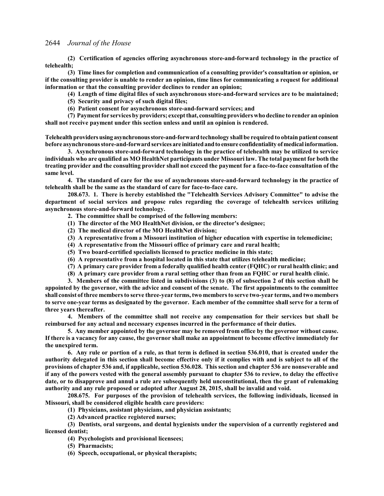**(2) Certification of agencies offering asynchronous store-and-forward technology in the practice of telehealth;**

**(3) Time lines for completion and communication of a consulting provider's consultation or opinion, or if the consulting provider is unable to render an opinion, time lines for communicating a request for additional information or that the consulting provider declines to render an opinion;**

**(4) Length of time digital files of such asynchronous store-and-forward services are to be maintained;**

**(5) Security and privacy of such digital files;**

**(6) Patient consent for asynchronous store-and-forward services; and**

**(7) Payment for services by providers; except that, consulting providers who decline to render an opinion shall not receive payment under this section unless and until an opinion is rendered.**

**Telehealthprovidersusing asynchronousstore-and-forward technology shall be required to obtain patient consent before asynchronous store-and-forward services are initiatedandto ensure confidentiality ofmedical information.**

**3. Asynchronous store-and-forward technology in the practice of telehealth may be utilized to service individuals who are qualified as MO HealthNet participants under Missouri law. The total payment for both the treating provider and the consulting provider shall not exceed the payment for a face-to-face consultation of the same level.**

**4. The standard of care for the use of asynchronous store-and-forward technology in the practice of telehealth shall be the same as the standard of care for face-to-face care.**

**208.673. 1. There is hereby established the "Telehealth Services Advisory Committee" to advise the department of social services and propose rules regarding the coverage of telehealth services utilizing asynchronous store-and-forward technology.**

**2. The committee shall be comprised of the following members:**

- **(1) The director of the MO HealthNet division, or the director's designee;**
- **(2) The medical director of the MO HealthNet division;**
- **(3) A representative from a Missouri institution of higher education with expertise in telemedicine;**
- **(4) A representative from the Missouri office of primary care and rural health;**
- **(5) Two board-certified specialists licensed to practice medicine in this state;**
- **(6) A representative from a hospital located in this state that utilizes telehealth medicine;**
- **(7) A primary care provider from a federally qualified health center (FQHC) or rural health clinic; and**
- **(8) A primary care provider from a rural setting other than from an FQHC or rural health clinic.**

**3. Members of the committee listed in subdivisions (3) to (8) of subsection 2 of this section shall be appointed by the governor, with the advice and consent of the senate. The first appointments to the committee shall consist of three members to serve three-year terms, two members to serve two-year terms, and two members to serve one-year terms as designated by the governor. Each member of the committee shall serve for a term of three years thereafter.**

**4. Members of the committee shall not receive any compensation for their services but shall be reimbursed for any actual and necessary expenses incurred in the performance of their duties.**

**5. Any member appointed by the governor may be removed from office by the governor without cause. If there is a vacancy for any cause, the governor shall make an appointment to become effective immediately for the unexpired term.**

**6. Any rule or portion of a rule, as that term is defined in section 536.010, that is created under the authority delegated in this section shall become effective only if it complies with and is subject to all of the provisions of chapter 536 and, if applicable, section 536.028. This section and chapter 536 are nonseverable and if any of the powers vested with the general assembly pursuant to chapter 536 to review, to delay the effective date, or to disapprove and annul a rule are subsequently held unconstitutional, then the grant of rulemaking authority and any rule proposed or adopted after August 28, 2015, shall be invalid and void.**

**208.675. For purposes of the provision of telehealth services, the following individuals, licensed in Missouri, shall be considered eligible health care providers:**

**(1) Physicians, assistant physicians, and physician assistants;**

**(2) Advanced practice registered nurses;**

**(3) Dentists, oral surgeons, and dental hygienists under the supervision of a currently registered and licensed dentist;**

**(4) Psychologists and provisional licensees;**

**(5) Pharmacists;**

**(6) Speech, occupational, or physical therapists;**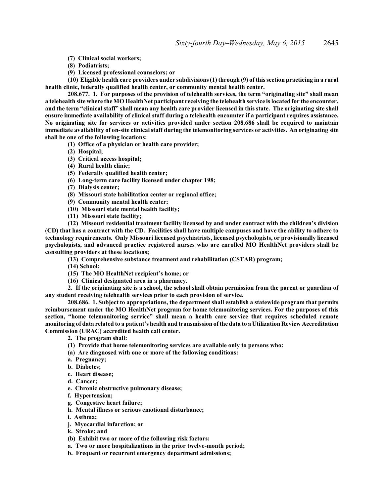**(7) Clinical social workers;**

- **(8) Podiatrists;**
- **(9) Licensed professional counselors; or**

**(10) Eligible health care providers under subdivisions (1) through (9) of this section practicing in a rural health clinic, federally qualified health center, or community mental health center.**

**208.677. 1. For purposes of the provision of telehealth services, the term "originating site" shall mean a telehealth site where the MO HealthNet participant receiving the telehealth service is located for the encounter, and the term "clinical staff" shall mean any health care provider licensed in this state. The originating site shall ensure immediate availability of clinical staff during a telehealth encounter if a participant requires assistance. No originating site for services or activities provided under section 208.686 shall be required to maintain immediate availability of on-site clinical staff during the telemonitoring services or activities. An originating site shall be one of the following locations:**

- **(1) Office of a physician or health care provider;**
- **(2) Hospital;**
- **(3) Critical access hospital;**
- **(4) Rural health clinic;**
- **(5) Federally qualified health center;**
- **(6) Long-term care facility licensed under chapter 198;**
- **(7) Dialysis center;**
- **(8) Missouri state habilitation center or regional office;**
- **(9) Community mental health center;**
- **(10) Missouri state mental health facility;**
- **(11) Missouri state facility;**

**(12) Missouri residential treatment facility licensed by and under contract with the children's division (CD) that has a contract with the CD. Facilities shall have multiple campuses and have the ability to adhere to technology requirements. Only Missouri licensed psychiatrists, licensed psychologists, or provisionally licensed psychologists, and advanced practice registered nurses who are enrolled MO HealthNet providers shall be consulting providers at these locations;**

**(13) Comprehensive substance treatment and rehabilitation (CSTAR) program;**

**(14) School;**

- **(15) The MO HealthNet recipient's home; or**
- **(16) Clinical designated area in a pharmacy.**

**2. If the originating site is a school, the school shall obtain permission from the parent or guardian of any student receiving telehealth services prior to each provision of service.**

**208.686. 1. Subject to appropriations, the department shall establish a statewide program that permits reimbursement under the MO HealthNet program for home telemonitoring services. For the purposes of this section, "home telemonitoring service" shall mean a health care service that requires scheduled remote monitoring of data related to a patient's health and transmission of the data to a Utilization Review Accreditation Commission (URAC) accredited health call center.**

**2. The program shall:**

- **(1) Provide that home telemonitoring services are available only to persons who:**
- **(a) Are diagnosed with one or more of the following conditions:**
- **a. Pregnancy;**
- **b. Diabetes;**
- **c. Heart disease;**
- **d. Cancer;**
- **e. Chronic obstructive pulmonary disease;**
- **f. Hypertension;**
- **g. Congestive heart failure;**
- **h. Mental illness or serious emotional disturbance;**
- **i. Asthma;**
- **j. Myocardial infarction; or**
- **k. Stroke; and**
- **(b) Exhibit two or more of the following risk factors:**
- **a. Two or more hospitalizations in the prior twelve-month period;**
- **b. Frequent or recurrent emergency department admissions;**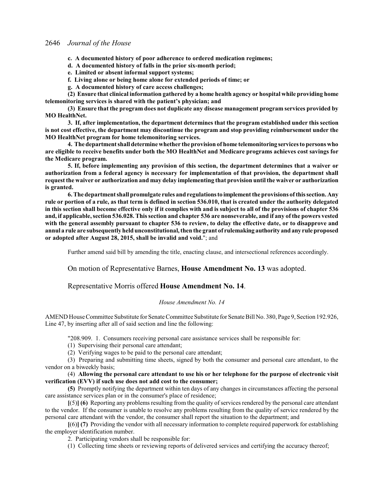- **c. A documented history of poor adherence to ordered medication regimens;**
- **d. A documented history of falls in the prior six-month period;**
- **e. Limited or absent informal support systems;**
- **f. Living alone or being home alone for extended periods of time; or**
- **g. A documented history of care access challenges;**

**(2) Ensure that clinical information gathered by a home health agency or hospital while providing home telemonitoring services is shared with the patient's physician; and**

**(3) Ensure that the program does not duplicate any disease management program services provided by MO HealthNet.**

**3. If, after implementation, the department determines that the program established under this section is not cost effective, the department may discontinue the program and stop providing reimbursement under the MO HealthNet program for home telemonitoring services.**

**4. The department shall determine whether the provision of home telemonitoring services to persons who are eligible to receive benefits under both the MO HealthNet and Medicare programs achieves cost savings for the Medicare program.**

**5. If, before implementing any provision of this section, the department determines that a waiver or authorization from a federal agency is necessary for implementation of that provision, the department shall request the waiver or authorization and may delay implementing that provision until the waiver or authorization is granted.**

**6. The department shall promulgate rules and regulationsto implement the provisions of this section. Any rule or portion of a rule, as that term is defined in section 536.010, that is created under the authority delegated in this section shall become effective only if it complies with and is subject to all of the provisions of chapter 536 and, if applicable, section 536.028. This section and chapter 536 are nonseverable, and if any of the powers vested with the general assembly pursuant to chapter 536 to review, to delay the effective date, or to disapprove and annul a rule are subsequently held unconstitutional, then the grant of rulemaking authority andany rule proposed or adopted after August 28, 2015, shall be invalid and void.**"; and

Further amend said bill by amending the title, enacting clause, and intersectional references accordingly.

On motion of Representative Barnes, **House Amendment No. 13** was adopted.

## Representative Morris offered **House Amendment No. 14**.

#### *House Amendment No. 14*

AMEND House Committee Substitute for Senate Committee Substitute for Senate Bill No. 380, Page 9, Section 192.926, Line 47, by inserting after all of said section and line the following:

"208.909. 1. Consumers receiving personal care assistance services shall be responsible for:

- (1) Supervising their personal care attendant;
- (2) Verifying wages to be paid to the personal care attendant;

(3) Preparing and submitting time sheets, signed by both the consumer and personal care attendant, to the vendor on a biweekly basis;

(4) **Allowing the personal care attendant to use his or her telephone for the purpose of electronic visit verification (EVV) if such use does not add cost to the consumer;**

**(5)** Promptly notifying the department within ten days of any changes in circumstances affecting the personal care assistance services plan or in the consumer's place of residence;

**[**(5)**] (6)** Reporting any problems resulting from the quality ofservices rendered by the personal care attendant to the vendor. If the consumer is unable to resolve any problems resulting from the quality of service rendered by the personal care attendant with the vendor, the consumer shall report the situation to the department; and

**[**(6)**] (7)** Providing the vendor with all necessary information to complete required paperwork for establishing the employer identification number.

2. Participating vendors shall be responsible for:

(1) Collecting time sheets or reviewing reports of delivered services and certifying the accuracy thereof;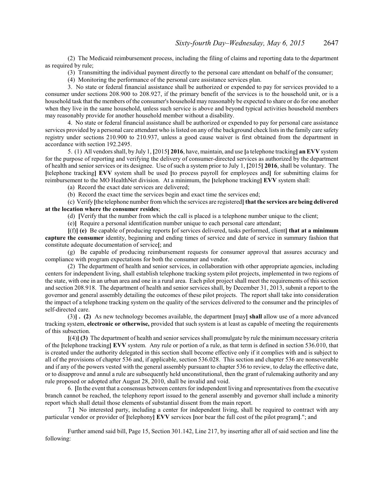(2) The Medicaid reimbursement process, including the filing of claims and reporting data to the department as required by rule;

(3) Transmitting the individual payment directly to the personal care attendant on behalf of the consumer;

(4) Monitoring the performance of the personal care assistance services plan.

3. No state or federal financial assistance shall be authorized or expended to pay for services provided to a consumer under sections 208.900 to 208.927, if the primary benefit of the services is to the household unit, or is a household task that the members of the consumer's household may reasonably be expected to share or do for one another when they live in the same household, unless such service is above and beyond typical activities household members may reasonably provide for another household member without a disability.

4. No state or federal financial assistance shall be authorized or expended to pay for personal care assistance services provided by a personal care attendant who is listed on any of the background check lists in the family care safety registry under sections 210.900 to 210.937, unless a good cause waiver is first obtained from the department in accordance with section 192.2495.

5. (1) All vendors shall, by July 1, **[**2015**] 2016**, have, maintain, and use **[**a telephone tracking**] an EVV** system for the purpose of reporting and verifying the delivery of consumer-directed services as authorized by the department of health and senior services or its designee. Use of such a system prior to July 1, **[**2015**] 2016**, shall be voluntary. The **[**telephone tracking**] EVV** system shall be used **[**to process payroll for employees and**]** for submitting claims for reimbursement to the MO HealthNet division. At a minimum, the **[**telephone tracking**] EVV** system shall:

(a) Record the exact date services are delivered;

(b) Record the exact time the services begin and exact time the services end;

(c) Verify **[**the telephone number fromwhich the services are registered**] that the services are being delivered at the location where the consumer resides**;

(d) **[**Verify that the number from which the call is placed is a telephone number unique to the client;

(e)**]** Require a personal identification number unique to each personal care attendant;

**[**(f)**] (e)** Be capable of producing reports **[**of services delivered, tasks performed, client**] that at a minimum capture the consumer** identity, beginning and ending times of service and date of service in summary fashion that constitute adequate documentation of service**[**; and

(g) Be capable of producing reimbursement requests for consumer approval that assures accuracy and compliance with program expectations for both the consumer and vendor.

(2) The department of health and senior services, in collaboration with other appropriate agencies, including centers for independent living, shall establish telephone tracking system pilot projects, implemented in two regions of the state, with one in an urban area and one in a rural area. Each pilot project shall meet the requirements of this section and section 208.918. The department of health and senior services shall, by December 31, 2013, submit a report to the governor and general assembly detailing the outcomes of these pilot projects. The report shall take into consideration the impact of a telephone tracking system on the quality of the services delivered to the consumer and the principles of self-directed care.

(3)**] . (2)** As new technology becomes available, the department **[**may**] shall** allow use of a more advanced tracking system, **electronic or otherwise,** provided that such system is at least as capable of meeting the requirements of this subsection.

**[**(4)**] (3)** The department of health and senior services shall promulgate by rule the minimum necessary criteria of the **[**telephone tracking**] EVV** system. Any rule or portion of a rule, as that term is defined in section 536.010, that is created under the authority delegated in this section shall become effective only if it complies with and is subject to all of the provisions of chapter 536 and, if applicable, section 536.028. This section and chapter 536 are nonseverable and if any of the powers vested with the general assembly pursuant to chapter 536 to review, to delay the effective date, or to disapprove and annul a rule are subsequently held unconstitutional, then the grant of rulemaking authority and any rule proposed or adopted after August 28, 2010, shall be invalid and void.

6. **[**In the event that a consensus between centers for independent living and representatives from the executive branch cannot be reached, the telephony report issued to the general assembly and governor shall include a minority report which shall detail those elements of substantial dissent from the main report.

7.**]** No interested party, including a center for independent living, shall be required to contract with any particular vendor or provider of **[**telephony**] EVV** services **[**nor bear the full cost of the pilot program**]**."; and

Further amend said bill, Page 15, Section 301.142, Line 217, by inserting after all of said section and line the following: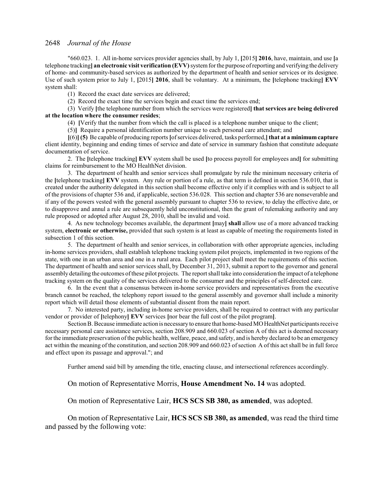"660.023. 1. All in-home services provider agencies shall, by July 1, **[**2015**] 2016**, have, maintain, and use **[**a telephone tracking] **an electronic visit verification (EVV)** system for the purpose of reporting and verifying the delivery of home- and community-based services as authorized by the department of health and senior services or its designee. Use of such system prior to July 1, **[**2015**] 2016**, shall be voluntary. At a minimum, the **[**telephone tracking**] EVV** system shall:

(1) Record the exact date services are delivered;

(2) Record the exact time the services begin and exact time the services end;

(3) Verify **[**the telephone number from which the services were registered**] that services are being delivered at the location where the consumer resides**;

(4) **[**Verify that the number from which the call is placed is a telephone number unique to the client;

(5)**]** Require a personal identification number unique to each personal care attendant; and

**[**(6)**] (5)** Be capable of producing reports **[**ofservices delivered, tasks performed,**] that at a minimum capture** client identity, beginning and ending times of service and date of service in summary fashion that constitute adequate documentation of service.

2. The **[**telephone tracking**] EVV** system shall be used **[**to process payroll for employees and**]** for submitting claims for reimbursement to the MO HealthNet division.

3. The department of health and senior services shall promulgate by rule the minimum necessary criteria of the **[**telephone tracking**] EVV** system. Any rule or portion of a rule, as that term is defined in section 536.010, that is created under the authority delegated in this section shall become effective only if it complies with and is subject to all of the provisions of chapter 536 and, if applicable, section 536.028. This section and chapter 536 are nonseverable and if any of the powers vested with the general assembly pursuant to chapter 536 to review, to delay the effective date, or to disapprove and annul a rule are subsequently held unconstitutional, then the grant of rulemaking authority and any rule proposed or adopted after August 28, 2010, shall be invalid and void.

4. As new technology becomes available, the department **[**may**] shall** allow use of a more advanced tracking system, **electronic or otherwise,** provided that such system is at least as capable of meeting the requirements listed in subsection 1 of this section.

5. The department of health and senior services, in collaboration with other appropriate agencies, including in-home services providers, shall establish telephone tracking system pilot projects, implemented in two regions of the state, with one in an urban area and one in a rural area. Each pilot project shall meet the requirements of this section. The department of health and senior services shall, by December 31, 2013, submit a report to the governor and general assembly detailing the outcomes ofthese pilot projects. The report shall take into consideration the impact of a telephone tracking system on the quality of the services delivered to the consumer and the principles of self-directed care.

6. In the event that a consensus between in-home service providers and representatives from the executive branch cannot be reached, the telephony report issued to the general assembly and governor shall include a minority report which will detail those elements of substantial dissent from the main report.

7. No interested party, including in-home service providers, shall be required to contract with any particular vendor or provider of **[**telephony**] EVV** services **[**nor bear the full cost of the pilot program**]**.

Section B. Because immediate action is necessary to ensure that home-based MO HealthNet participants receive necessary personal care assistance services, section 208.909 and 660.023 of section A of this act is deemed necessary for the immediate preservation ofthe public health, welfare, peace, and safety, and is hereby declared to be an emergency act within the meaning of the constitution, and section 208.909 and 660.023 ofsection A of this act shall be in full force and effect upon its passage and approval."; and

Further amend said bill by amending the title, enacting clause, and intersectional references accordingly.

On motion of Representative Morris, **House Amendment No. 14** was adopted.

On motion of Representative Lair, **HCS SCS SB 380, as amended**, was adopted.

On motion of Representative Lair, **HCS SCS SB 380, as amended**, was read the third time and passed by the following vote: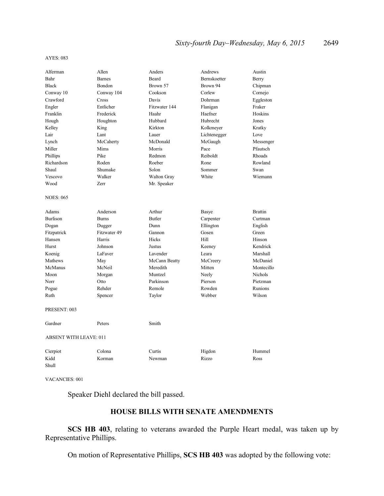#### AYES: 083

| Alferman                      | Allen         | Anders        | Andrews      | Austin         |
|-------------------------------|---------------|---------------|--------------|----------------|
| Bahr                          | <b>Barnes</b> | Beard         | Bernskoetter | Berry          |
| <b>Black</b>                  | Bondon        | Brown 57      | Brown 94     | Chipman        |
| Conway 10                     | Conway 104    | Cookson       | Corlew       | Cornejo        |
| Crawford                      | Cross         | Davis         | Dohrman      | Eggleston      |
| Engler                        | Entlicher     | Fitzwater 144 | Flanigan     | Fraker         |
| Franklin                      | Frederick     | Haahr         | Haefner      | Hoskins        |
| Hough                         | Houghton      | Hubbard       | Hubrecht     | Jones          |
| Kelley                        | King          | Kirkton       | Kolkmeyer    | Kratky         |
| Lair                          | Lant          | Lauer         | Lichtenegger | Love           |
| Lynch                         | McCaherty     | McDonald      | McGaugh      | Messenger      |
| Miller                        | Mims          | Morris        | Pace         | Pfautsch       |
| Phillips                      | Pike          | Redmon        | Reiboldt     | Rhoads         |
| Richardson                    | Roden         | Roeber        | Rone         | Rowland        |
| Shaul                         | Shumake       | Solon         | Sommer       | Swan           |
| Vescovo                       | Walker        | Walton Gray   | White        | Wiemann        |
| Wood                          | Zerr          | Mr. Speaker   |              |                |
| <b>NOES: 065</b>              |               |               |              |                |
| Adams                         | Anderson      | Arthur        | Basye        | <b>Brattin</b> |
| <b>Burlison</b>               | <b>Burns</b>  | <b>Butler</b> | Carpenter    | Curtman        |
| Dogan                         | Dugger        | Dunn          | Ellington    | English        |
| Fitzpatrick                   | Fitzwater 49  | Gannon        | Gosen        | Green          |
| Hansen                        | Harris        | Hicks         | Hill         | Hinson         |
| Hurst                         | Johnson       | Justus        | Keeney       | Kendrick       |
| Koenig                        | LaFaver       | Lavender      | Leara        | Marshall       |
| Mathews                       | May           | McCann Beatty | McCreery     | McDaniel       |
| McManus                       | McNeil        | Meredith      | Mitten       | Montecillo     |
| Moon                          | Morgan        | Muntzel       | Neely        | <b>Nichols</b> |
| Norr                          | Otto          | Parkinson     | Pierson      | Pietzman       |
| Pogue                         | Rehder        | Remole        | Rowden       | Runions        |
| Ruth                          | Spencer       | Taylor        | Webber       | Wilson         |
| PRESENT: 003                  |               |               |              |                |
| Gardner                       | Peters        | Smith         |              |                |
| <b>ABSENT WITH LEAVE: 011</b> |               |               |              |                |
| Cierpiot                      | Colona        | Curtis        | Higdon       | Hummel         |
| Kidd<br>Shull                 | Korman        | Newman        | Rizzo        | Ross           |

VACANCIES: 001

Speaker Diehl declared the bill passed.

## **HOUSE BILLS WITH SENATE AMENDMENTS**

**SCS HB 403**, relating to veterans awarded the Purple Heart medal, was taken up by Representative Phillips.

On motion of Representative Phillips, **SCS HB 403** was adopted by the following vote: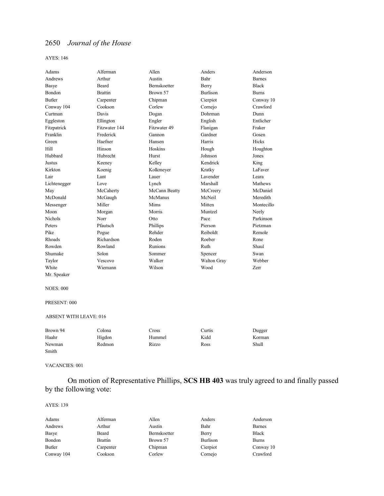AYES: 146

| Adams          | Alferman       | Allen               | Anders          | Anderson      |
|----------------|----------------|---------------------|-----------------|---------------|
| Andrews        | Arthur         | Austin              | Bahr            | <b>Barnes</b> |
| Basye          | Beard          | <b>Bernskoetter</b> | Berry           | <b>Black</b>  |
| <b>Bondon</b>  | <b>Brattin</b> | Brown 57            | <b>Burlison</b> | <b>Burns</b>  |
| <b>Butler</b>  | Carpenter      | Chipman             | Cierpiot        | Conway 10     |
| Conway 104     | Cookson        | Corlew              | Cornejo         | Crawford      |
| Curtman        | Davis          | Dogan               | Dohrman         | Dunn          |
| Eggleston      | Ellington      | Engler              | English         | Entlicher     |
| Fitzpatrick    | Fitzwater 144  | Fitzwater 49        | Flanigan        | Fraker        |
| Franklin       | Frederick      | Gannon              | Gardner         | Gosen         |
| Green          | Haefner        | Hansen              | Harris          | <b>Hicks</b>  |
| Hill           | Hinson         | Hoskins             | Hough           | Houghton      |
| Hubbard        | Hubrecht       | Hurst               | Johnson         | Jones         |
| Justus         | Keeney         | Kelley              | Kendrick        | King          |
| Kirkton        | Koenig         | Kolkmeyer           | Kratky          | LaFaver       |
| Lair           | Lant           | Lauer               | Lavender        | Leara         |
| Lichtenegger   | Love           | Lynch               | Marshall        | Mathews       |
| May            | McCaherty      | McCann Beatty       | McCreery        | McDaniel      |
| McDonald       | McGaugh        | McManus             | McNeil          | Meredith      |
| Messenger      | Miller         | Mims                | Mitten          | Montecillo    |
| Moon           | Morgan         | Morris              | Muntzel         | Neely         |
| <b>Nichols</b> | Norr           | Otto                | Pace            | Parkinson     |
| Peters         | Pfautsch       | Phillips            | Pierson         | Pietzman      |
| Pike           | Pogue          | Rehder              | Reiboldt        | Remole        |
| Rhoads         | Richardson     | Roden               | Roeber          | Rone          |
| Rowden         | Rowland        | Runions             | Ruth            | Shaul         |
| Shumake        | Solon          | Sommer              | Spencer         | Swan          |
| Taylor         | Vescovo        | Walker              | Walton Gray     | Webber        |
| White          | Wiemann        | Wilson              | Wood            | Zerr          |

### NOES: 000

Mr. Speaker

#### PRESENT: 000

## ABSENT WITH LEAVE: 016

| Brown 94 | Colona | Cross  | Curtis | Dugger |
|----------|--------|--------|--------|--------|
| Haahr    | Higdon | Hummel | Kidd   | Korman |
| Newman   | Redmon | Rizzo  | Ross   | Shull  |
| Smith    |        |        |        |        |

### VACANCIES: 001

On motion of Representative Phillips, **SCS HB 403** was truly agreed to and finally passed by the following vote:

#### AYES: 139

| Adams      | Alferman       | Allen        | Anders   | Anderson      |
|------------|----------------|--------------|----------|---------------|
| Andrews    | Arthur         | Austin       | Bahr     | <b>Barnes</b> |
| Basye      | Beard          | Bernskoetter | Berry    | <b>Black</b>  |
| Bondon     | <b>Brattin</b> | Brown 57     | Burlison | <b>Burns</b>  |
| Butler     | Carpenter      | Chipman      | Cierpiot | Conway 10     |
| Conway 104 | Cookson        | Corlew       | Cornejo  | Crawford      |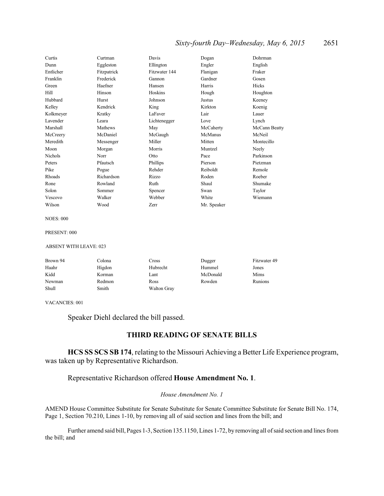## *Sixty-fourth Day–Wednesday, May 6, 2015* 2651

| Curtis    | Curtman     | Davis         | Dogan       | Dohrman       |
|-----------|-------------|---------------|-------------|---------------|
| Dunn      | Eggleston   | Ellington     | Engler      | English       |
| Entlicher | Fitzpatrick | Fitzwater 144 | Flanigan    | Fraker        |
| Franklin  | Frederick   | Gannon        | Gardner     | Gosen         |
| Green     | Haefner     | Hansen        | Harris      | Hicks         |
| Hill      | Hinson      | Hoskins       | Hough       | Houghton      |
| Hubbard   | Hurst       | Johnson       | Justus      | Keeney        |
| Kelley    | Kendrick    | King          | Kirkton     | Koenig        |
| Kolkmeyer | Kratky      | LaFaver       | Lair        | Lauer         |
| Lavender  | Leara       | Lichtenegger  | Love        | Lynch         |
| Marshall  | Mathews     | May           | McCaherty   | McCann Beatty |
| McCreery  | McDaniel    | McGaugh       | McManus     | McNeil        |
| Meredith  | Messenger   | Miller        | Mitten      | Montecillo    |
| Moon      | Morgan      | Morris        | Muntzel     | Neely         |
| Nichols   | Norr        | Otto          | Pace        | Parkinson     |
| Peters    | Pfautsch    | Phillips      | Pierson     | Pietzman      |
| Pike      | Pogue       | Rehder        | Reiboldt    | Remole        |
| Rhoads    | Richardson  | Rizzo         | Roden       | Roeber        |
| Rone      | Rowland     | Ruth          | Shaul       | Shumake       |
| Solon     | Sommer      | Spencer       | Swan        | Taylor        |
| Vescovo   | Walker      | Webber        | White       | Wiemann       |
| Wilson    | Wood        | Zerr          | Mr. Speaker |               |

NOES: 000

#### PRESENT: 000

#### ABSENT WITH LEAVE: 023

| Brown 94 | Colona | Cross       | Dugger   | Fitzwater 49 |
|----------|--------|-------------|----------|--------------|
| Haahr    | Higdon | Hubrecht    | Hummel   | Jones        |
| Kidd     | Korman | Lant        | McDonald | Mims         |
| Newman   | Redmon | Ross        | Rowden   | Runions      |
| Shull    | Smith  | Walton Gray |          |              |

VACANCIES: 001

Speaker Diehl declared the bill passed.

## **THIRD READING OF SENATE BILLS**

**HCS SS SCS SB 174**, relating to the Missouri Achieving a Better Life Experience program, was taken up by Representative Richardson.

## Representative Richardson offered **House Amendment No. 1**.

### *House Amendment No. 1*

AMEND House Committee Substitute for Senate Substitute for Senate Committee Substitute for Senate Bill No. 174, Page 1, Section 70.210, Lines 1-10, by removing all of said section and lines from the bill; and

Further amend said bill, Pages 1-3, Section 135.1150, Lines 1-72, by removing all ofsaid section and lines from the bill; and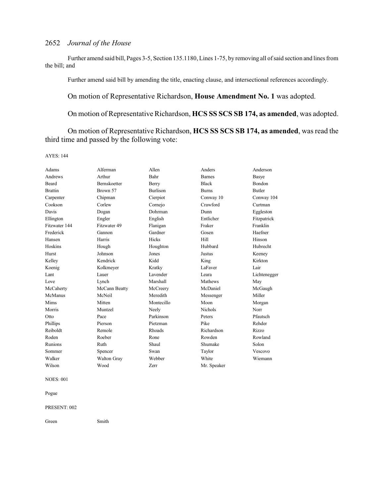Further amend said bill, Pages 3-5, Section 135.1180, Lines 1-75, by removing all ofsaid section and lines from the bill; and

Further amend said bill by amending the title, enacting clause, and intersectional references accordingly.

## On motion of Representative Richardson, **House Amendment No. 1** was adopted.

On motion of Representative Richardson, **HCS SS SCS SB 174, as amended**, was adopted.

On motion of Representative Richardson, **HCS SS SCS SB 174, as amended**, was read the third time and passed by the following vote:

AYES: 144

| Adams          | Alferman            | Allen           | Anders         | Anderson      |
|----------------|---------------------|-----------------|----------------|---------------|
| Andrews        | Arthur              | Bahr            | <b>Barnes</b>  | Basye         |
| Beard          | <b>Bernskoetter</b> | Berry           | <b>Black</b>   | <b>Bondon</b> |
| <b>Brattin</b> | Brown 57            | <b>Burlison</b> | <b>Burns</b>   | Butler        |
| Carpenter      | Chipman             | Cierpiot        | Conway 10      | Conway 104    |
| Cookson        | Corlew              | Cornejo         | Crawford       | Curtman       |
| Davis          | Dogan               | Dohrman         | Dunn           | Eggleston     |
| Ellington      | Engler              | English         | Entlicher      | Fitzpatrick   |
| Fitzwater 144  | Fitzwater 49        | Flanigan        | Fraker         | Franklin      |
| Frederick      | Gannon              | Gardner         | Gosen          | Haefner       |
| Hansen         | Harris              | Hicks           | Hill           | Hinson        |
| Hoskins        | Hough               | Houghton        | Hubbard        | Hubrecht      |
| Hurst          | Johnson             | Jones           | Justus         | Keeney        |
| Kelley         | Kendrick            | Kidd            | King           | Kirkton       |
| Koenig         | Kolkmeyer           | Kratky          | LaFaver        | Lair          |
| Lant           | Lauer               | Lavender        | Leara          | Lichtenegger  |
| Love           | Lynch               | Marshall        | Mathews        | May           |
| McCaherty      | McCann Beatty       | McCreery        | McDaniel       | McGaugh       |
| McManus        | McNeil              | Meredith        | Messenger      | Miller        |
| Mims           | Mitten              | Montecillo      | Moon           | Morgan        |
| Morris         | Muntzel             | Neely           | <b>Nichols</b> | Norr          |
| Otto           | Pace                | Parkinson       | Peters         | Pfautsch      |
| Phillips       | Pierson             | Pietzman        | Pike           | Rehder        |
| Reiboldt       | Remole              | Rhoads          | Richardson     | Rizzo         |
| Roden          | Roeber              | Rone            | Rowden         | Rowland       |
| Runions        | Ruth                | Shaul           | Shumake        | Solon         |
| Sommer         | Spencer             | Swan            | Taylor         | Vescovo       |
| Walker         | Walton Gray         | Webber          | White          | Wiemann       |
| Wilson         | Wood                | Zerr            | Mr. Speaker    |               |

NOES: 001

Pogue

#### PRESENT: 002

Green Smith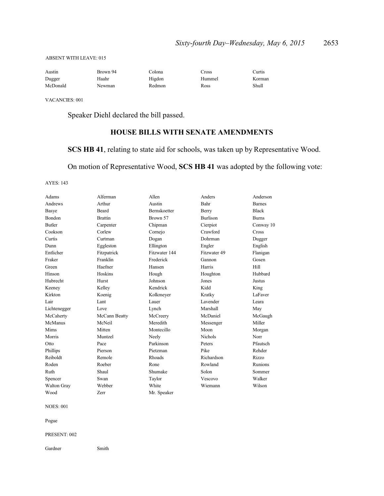#### ABSENT WITH LEAVE: 015

| Austin   | Brown 94 | Colona | Pross  | Curtis |
|----------|----------|--------|--------|--------|
| Dugger   | Haahr    | Higdon | Hummel | Korman |
| McDonald | Newman   | Redmon | Ross   | Shull  |

VACANCIES: 001

Speaker Diehl declared the bill passed.

## **HOUSE BILLS WITH SENATE AMENDMENTS**

## **SCS HB 41**, relating to state aid for schools, was taken up by Representative Wood.

On motion of Representative Wood, **SCS HB 41** was adopted by the following vote:

AYES: 143

| Adams         | Alferman       | Allen               | Anders          | Anderson       |
|---------------|----------------|---------------------|-----------------|----------------|
| Andrews       | Arthur         | Austin              | Bahr            | <b>Barnes</b>  |
| Basye         | Beard          | <b>Bernskoetter</b> | Berry           | <b>Black</b>   |
| <b>Bondon</b> | <b>Brattin</b> | Brown 57            | <b>Burlison</b> | <b>Burns</b>   |
| <b>Butler</b> | Carpenter      | Chipman             | Cierpiot        | Conway 10      |
| Cookson       | Corlew         | Cornejo             | Crawford        | <b>Cross</b>   |
| Curtis        | Curtman        | Dogan               | Dohrman         | Dugger         |
| Dunn          | Eggleston      | Ellington           | Engler          | English        |
| Entlicher     | Fitzpatrick    | Fitzwater 144       | Fitzwater 49    | Flanigan       |
| Fraker        | Franklin       | Frederick           | Gannon          | Gosen          |
| Green         | Haefner        | Hansen              | Harris          | Hill           |
| Hinson        | Hoskins        | Hough               | Houghton        | Hubbard        |
| Hubrecht      | Hurst          | Johnson             | Jones           | Justus         |
| Keeney        | Kelley         | Kendrick            | Kidd            | King           |
| Kirkton       | Koenig         | Kolkmeyer           | Kratky          | LaFaver        |
| Lair          | Lant           | Lauer               | Lavender        | Leara          |
| Lichtenegger  | Love           | Lynch               | Marshall        | May            |
| McCaherty     | McCann Beatty  | McCreery            | McDaniel        | McGaugh        |
| McManus       | McNeil         | Meredith            | Messenger       | Miller         |
| Mims          | Mitten         | Montecillo          | Moon            | Morgan         |
| Morris        | Muntzel        | Neely               | <b>Nichols</b>  | Norr           |
| Otto          | Pace           | Parkinson           | Peters          | Pfautsch       |
| Phillips      | Pierson        | Pietzman            | Pike            | Rehder         |
| Reiboldt      | Remole         | Rhoads              | Richardson      | Rizzo          |
| Roden         | Roeber         | Rone                | Rowland         | <b>Runions</b> |
| Ruth          | Shaul          | Shumake             | Solon           | Sommer         |
| Spencer       | Swan           | Taylor              | Vescovo         | Walker         |
| Walton Gray   | Webber         | White               | Wiemann         | Wilson         |
| Wood          | Zerr           | Mr. Speaker         |                 |                |
|               |                |                     |                 |                |

NOES: 001

Pogue

PRESENT: 002

Gardner Smith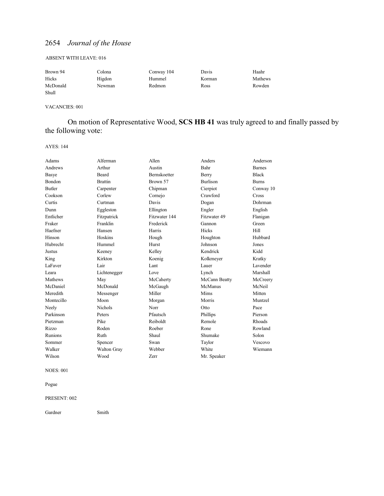#### ABSENT WITH LEAVE: 016

| Brown 94 | Colona | Conway 104 | Davis  | Haahr   |
|----------|--------|------------|--------|---------|
| Hicks    | Higdon | Hummel     | Korman | Mathews |
| McDonald | Newman | Redmon     | Ross   | Rowden  |
| Shull    |        |            |        |         |

#### VACANCIES: 001

On motion of Representative Wood, **SCS HB 41** was truly agreed to and finally passed by the following vote:

AYES: 144

| Adams         | Alferman       | Allen         | Anders          | Anderson      |
|---------------|----------------|---------------|-----------------|---------------|
| Andrews       | Arthur         | Austin        | Bahr            | <b>Barnes</b> |
| Basye         | Beard          | Bernskoetter  | Berry           | <b>Black</b>  |
| Bondon        | <b>Brattin</b> | Brown 57      | <b>Burlison</b> | <b>Burns</b>  |
| <b>Butler</b> | Carpenter      | Chipman       | Cierpiot        | Conway 10     |
| Cookson       | Corlew         | Cornejo       | Crawford        | Cross         |
| Curtis        | Curtman        | Davis         | Dogan           | Dohrman       |
| Dunn          | Eggleston      | Ellington     | Engler          | English       |
| Entlicher     | Fitzpatrick    | Fitzwater 144 | Fitzwater 49    | Flanigan      |
| Fraker        | Franklin       | Frederick     | Gannon          | Green         |
| Haefner       | Hansen         | Harris        | Hicks           | Hill          |
| Hinson        | Hoskins        | Hough         | Houghton        | Hubbard       |
| Hubrecht      | Hummel         | Hurst         | Johnson         | Jones         |
| Justus        | Keeney         | Kelley        | Kendrick        | Kidd          |
| King          | Kirkton        | Koenig        | Kolkmeyer       | Kratky        |
| LaFaver       | Lair           | Lant          | Lauer           | Lavender      |
| Leara         | Lichtenegger   | Love          | Lynch           | Marshall      |
| Mathews       | May            | McCaherty     | McCann Beatty   | McCreery      |
| McDaniel      | McDonald       | McGaugh       | McManus         | McNeil        |
| Meredith      | Messenger      | Miller        | Mims            | Mitten        |
| Montecillo    | Moon           | Morgan        | Morris          | Muntzel       |
| Neely         | <b>Nichols</b> | Norr          | Otto            | Pace          |
| Parkinson     | Peters         | Pfautsch      | Phillips        | Pierson       |
| Pietzman      | Pike           | Reiboldt      | Remole          | Rhoads        |
| Rizzo         | Roden          | Roeber        | Rone            | Rowland       |
| Runions       | Ruth           | Shaul         | Shumake         | Solon         |
| Sommer        | Spencer        | Swan          | Taylor          | Vescovo       |
| Walker        | Walton Gray    | Webber        | White           | Wiemann       |
| Wilson        | Wood           | Zerr          | Mr. Speaker     |               |

NOES: 001

Pogue

#### PRESENT: 002

Gardner Smith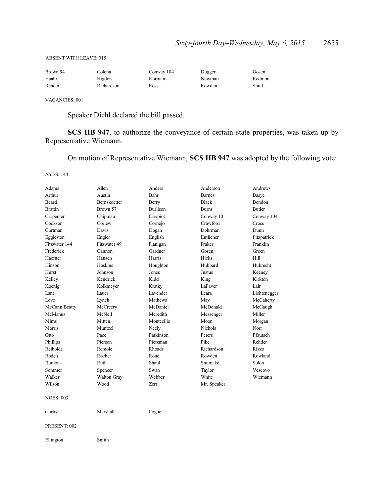#### ABSENT WITH LEAVE: 015

| Brown 94 | ⊡olona     | Conway 104 | Dugger | Gosen  |
|----------|------------|------------|--------|--------|
| Haahr    | Higdon     | Korman     | Newman | Redmon |
| Rehder   | Richardson | Ross       | Rowden | Shull  |

VACANCIES: 001

Speaker Diehl declared the bill passed.

**SCS HB 947**, to authorize the conveyance of certain state properties, was taken up by Representative Wiemann.

On motion of Representative Wiemann, **SCS HB 947** was adopted by the following vote:

AYES: 144

| Adams            | Allen        | Anders          | Anderson       | Andrews       |
|------------------|--------------|-----------------|----------------|---------------|
| Arthur           | Austin       | Bahr            | <b>Barnes</b>  | Basye         |
| Beard            | Bernskoetter | Berry           | <b>Black</b>   | Bondon        |
| <b>Brattin</b>   | Brown 57     | <b>Burlison</b> | <b>Burns</b>   | <b>Butler</b> |
| Carpenter        | Chipman      | Cierpiot        | Conway 10      | Conway 104    |
| Cookson          | Corlew       | Cornejo         | Crawford       | Cross         |
| Curtman          | Davis        | Dogan           | Dohrman        | Dunn          |
| Eggleston        | Engler       | English         | Entlicher      | Fitzpatrick   |
| Fitzwater 144    | Fitzwater 49 | Flanigan        | Fraker         | Franklin      |
| Frederick        | Gannon       | Gardner         | Gosen          | Green         |
| Haefner          | Hansen       | Harris          | Hicks          | Hill          |
| Hinson           | Hoskins      | Houghton        | Hubbard        | Hubrecht      |
| Hurst            | Johnson      | Jones           | Justus         | Keeney        |
| Kelley           | Kendrick     | Kidd            | King           | Kirkton       |
| Koenig           | Kolkmeyer    | Kratky          | LaFaver        | Lair          |
| Lant             | Lauer        | Lavender        | Leara          | Lichtenegger  |
| Love             | Lynch        | Mathews         | May            | McCaherty     |
| McCann Beatty    | McCreery     | McDaniel        | McDonald       | McGaugh       |
| McManus          | McNeil       | Meredith        | Messenger      | Miller        |
| Mims             | Mitten       | Montecillo      | Moon           | Morgan        |
| Morris           | Muntzel      | Neely           | <b>Nichols</b> | Norr          |
| Otto             | Pace         | Parkinson       | Peters         | Pfautsch      |
| Phillips         | Pierson      | Pietzman        | Pike           | Rehder        |
| Reiboldt         | Remole       | Rhoads          | Richardson     | Rizzo         |
| Roden            | Roeber       | Rone            | Rowden         | Rowland       |
| Runions          | Ruth         | Shaul           | Shumake        | Solon         |
| Sommer           | Spencer      | Swan            | Taylor         | Vescovo       |
| Walker           | Walton Gray  | Webber          | White          | Wiemann       |
| Wilson           | Wood         | Zerr            | Mr. Speaker    |               |
| <b>NOES: 003</b> |              |                 |                |               |
| Curtis           | Marshall     | Pogue           |                |               |
| PRESENT: 002     |              |                 |                |               |
| Ellington        | Smith        |                 |                |               |
|                  |              |                 |                |               |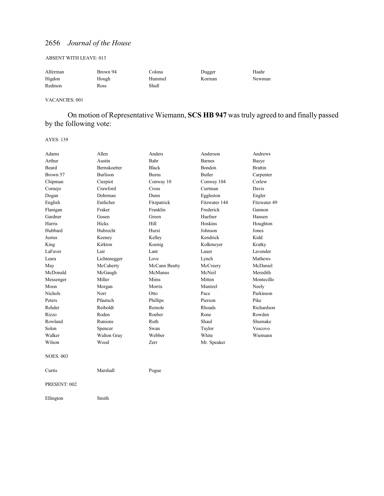#### ABSENT WITH LEAVE: 013

| Alferman | Brown 94 | Colona | Dugger | Haahr  |
|----------|----------|--------|--------|--------|
| Higdon   | Hough    | Hummel | Korman | Newman |
| Redmon   | Ross     | Shull  |        |        |

#### VACANCIES: 001

On motion of Representative Wiemann, **SCS HB 947** was truly agreed to and finally passed by the following vote:

AYES: 139

| Adams            | Allen           | Anders        | Anderson      | Andrews        |
|------------------|-----------------|---------------|---------------|----------------|
| Arthur           | Austin          | Bahr          | <b>Barnes</b> | Basye          |
| Beard            | Bernskoetter    | <b>Black</b>  | Bondon        | <b>Brattin</b> |
| Brown 57         | <b>Burlison</b> | <b>Burns</b>  | <b>Butler</b> | Carpenter      |
| Chipman          | Cierpiot        | Conway 10     | Conway 104    | Corlew         |
| Cornejo          | Crawford        | Cross         | Curtman       | Davis          |
| Dogan            | Dohrman         | Dunn          | Eggleston     | Engler         |
| English          | Entlicher       | Fitzpatrick   | Fitzwater 144 | Fitzwater 49   |
| Flanigan         | Fraker          | Franklin      | Frederick     | Gannon         |
| Gardner          | Gosen           | Green         | Haefner       | Hansen         |
| Harris           | Hicks           | Hill          | Hoskins       | Houghton       |
| Hubbard          | Hubrecht        | Hurst         | Johnson       | Jones          |
| Justus           | Keeney          | Kelley        | Kendrick      | Kidd           |
| King             | Kirkton         | Koenig        | Kolkmeyer     | Kratky         |
| LaFaver          | Lair            | Lant          | Lauer         | Lavender       |
| Leara            | Lichtenegger    | Love          | Lynch         | Mathews        |
| May              | McCaherty       | McCann Beatty | McCreery      | McDaniel       |
| McDonald         | McGaugh         | McManus       | McNeil        | Meredith       |
| Messenger        | Miller          | Mims          | Mitten        | Montecillo     |
| Moon             | Morgan          | Morris        | Muntzel       | Neely          |
| <b>Nichols</b>   | Norr            | Otto          | Pace          | Parkinson      |
| Peters           | Pfautsch        | Phillips      | Pierson       | Pike           |
| Rehder           | Reiboldt        | Remole        | Rhoads        | Richardson     |
| Rizzo            | Roden           | Roeber        | Rone          | Rowden         |
| Rowland          | Runions         | Ruth          | Shaul         | Shumake        |
| Solon            | Spencer         | Swan          | Taylor        | Vescovo        |
| Walker           | Walton Gray     | Webber        | White         | Wiemann        |
| Wilson           | Wood            | Zerr          | Mr. Speaker   |                |
| <b>NOES: 003</b> |                 |               |               |                |
| Curtis           | Marshall        | Pogue         |               |                |
| PRESENT: 002     |                 |               |               |                |
| Ellington        | Smith           |               |               |                |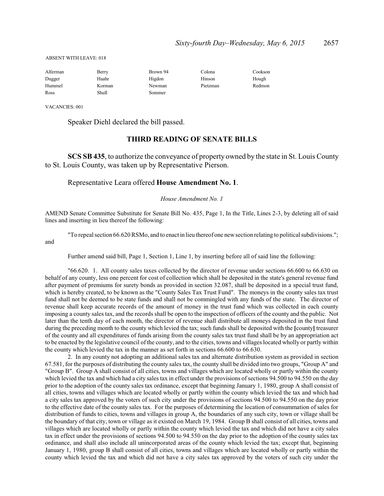#### ABSENT WITH LEAVE: 018

| Alferman | Berry  | Brown 94 | Colona   | Cookson |
|----------|--------|----------|----------|---------|
| Dugger   | Haahr  | Higdon   | Hinson   | Hough   |
| Hummel   | Korman | Newman   | Pietzman | Redmon  |
| Ross     | Shull  | Sommer   |          |         |

VACANCIES: 001

and

Speaker Diehl declared the bill passed.

#### **THIRD READING OF SENATE BILLS**

**SCS SB 435**, to authorize the conveyance of property owned by the state in St. Louis County to St. Louis County, was taken up by Representative Pierson.

#### Representative Leara offered **House Amendment No. 1**.

#### *House Amendment No. 1*

AMEND Senate Committee Substitute for Senate Bill No. 435, Page 1, In the Title, Lines 2-3, by deleting all of said lines and inserting in lieu thereof the following:

"To repeal section 66.620RSMo, and to enact in lieu thereof one newsection relating to political subdivisions.";

Further amend said bill, Page 1, Section 1, Line 1, by inserting before all of said line the following:

"66.620. 1. All county sales taxes collected by the director of revenue under sections 66.600 to 66.630 on behalf of any county, less one percent for cost of collection which shall be deposited in the state's general revenue fund after payment of premiums for surety bonds as provided in section 32.087, shall be deposited in a special trust fund, which is hereby created, to be known as the "County Sales Tax Trust Fund". The moneys in the county sales tax trust fund shall not be deemed to be state funds and shall not be commingled with any funds of the state. The director of revenue shall keep accurate records of the amount of money in the trust fund which was collected in each county imposing a county sales tax, and the records shall be open to the inspection of officers of the county and the public. Not later than the tenth day of each month, the director of revenue shall distribute all moneys deposited in the trust fund during the preceding month to the county which levied the tax; such funds shall be deposited with the **[**county**]** treasurer of the county and all expenditures of funds arising from the county sales tax trust fund shall be by an appropriation act to be enacted by the legislative council of the county, and to the cities, towns and villages located wholly or partly within the county which levied the tax in the manner as set forth in sections 66.600 to 66.630.

2. In any county not adopting an additional sales tax and alternate distribution system as provided in section 67.581, for the purposes of distributing the county sales tax, the county shall be divided into two groups, "Group A" and "Group B". Group A shall consist of all cities, towns and villages which are located wholly or partly within the county which levied the tax and which had a city sales tax in effect under the provisions of sections 94.500 to 94.550 on the day prior to the adoption of the county sales tax ordinance, except that beginning January 1, 1980, group A shall consist of all cities, towns and villages which are located wholly or partly within the county which levied the tax and which had a city sales tax approved by the voters of such city under the provisions of sections 94.500 to 94.550 on the day prior to the effective date of the county sales tax. For the purposes of determining the location of consummation of sales for distribution of funds to cities, towns and villages in group A, the boundaries of any such city, town or village shall be the boundary of that city, town or village as it existed on March 19, 1984. Group B shall consist of all cities, towns and villages which are located wholly or partly within the county which levied the tax and which did not have a city sales tax in effect under the provisions of sections 94.500 to 94.550 on the day prior to the adoption of the county sales tax ordinance, and shall also include all unincorporated areas of the county which levied the tax; except that, beginning January 1, 1980, group B shall consist of all cities, towns and villages which are located wholly or partly within the county which levied the tax and which did not have a city sales tax approved by the voters of such city under the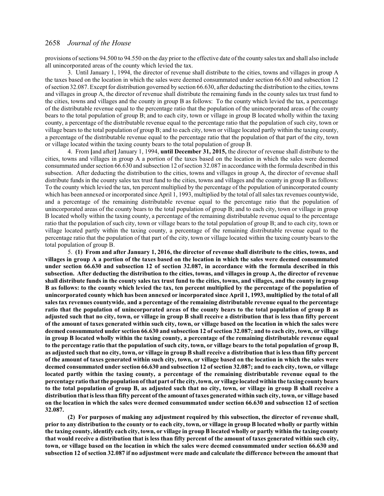provisions ofsections 94.500 to 94.550 on the day prior to the effective date of the county sales tax and shall also include all unincorporated areas of the county which levied the tax.

3. Until January 1, 1994, the director of revenue shall distribute to the cities, towns and villages in group A the taxes based on the location in which the sales were deemed consummated under section 66.630 and subsection 12 ofsection 32.087. Except for distribution governed by section 66.630, after deducting the distribution to the cities, towns and villages in group A, the director of revenue shall distribute the remaining funds in the county sales tax trust fund to the cities, towns and villages and the county in group B as follows: To the county which levied the tax, a percentage of the distributable revenue equal to the percentage ratio that the population of the unincorporated areas of the county bears to the total population of group B; and to each city, town or village in group B located wholly within the taxing county, a percentage of the distributable revenue equal to the percentage ratio that the population of such city, town or village bears to the total population of group B; and to each city, town or village located partly within the taxing county, a percentage of the distributable revenue equal to the percentage ratio that the population of that part of the city, town or village located within the taxing county bears to the total population of group B.

4. From **[**and after**]** January 1, 1994, **until December 31, 2015,** the director of revenue shall distribute to the cities, towns and villages in group A a portion of the taxes based on the location in which the sales were deemed consummated under section 66.630 and subsection 12 of section 32.087 in accordance with the formula described in this subsection. After deducting the distribution to the cities, towns and villages in group A, the director of revenue shall distribute funds in the county sales tax trust fund to the cities, towns and villages and the county in group B as follows: To the county which levied the tax, ten percent multiplied by the percentage of the population of unincorporated county which has been annexed or incorporated since April 1, 1993, multiplied by the total of all sales tax revenues countywide, and a percentage of the remaining distributable revenue equal to the percentage ratio that the population of unincorporated areas of the county bears to the total population of group B; and to each city, town or village in group B located wholly within the taxing county, a percentage of the remaining distributable revenue equal to the percentage ratio that the population of such city, town or village bears to the total population of group B; and to each city, town or village located partly within the taxing county, a percentage of the remaining distributable revenue equal to the percentage ratio that the population of that part of the city, town or village located within the taxing county bears to the total population of group B.

5. **(1) From and after January 1, 2016, the director of revenue shall distribute to the cities, towns, and villages in group A a portion of the taxes based on the location in which the sales were deemed consummated under section 66.630 and subsection 12 of section 32.087, in accordance with the formula described in this subsection. After deducting the distribution to the cities, towns, and villages in group A, the director of revenue shall distribute funds in the county sales tax trust fund to the cities, towns, and villages, and the county in group B as follows: to the county which levied the tax, ten percent multiplied by the percentage of the population of unincorporated county which has been annexed or incorporated since April 1, 1993, multiplied by the total of all sales tax revenues countywide, and a percentage of the remaining distributable revenue equal to the percentage ratio that the population of unincorporated areas of the county bears to the total population of group B as adjusted such that no city, town, or village in group B shall receive a distribution that is less than fifty percent of the amount of taxes generated within such city, town, or village based on the location in which the sales were deemed consummated under section 66.630 and subsection 12 of section 32.087; and to each city, town, or village in group B located wholly within the taxing county, a percentage of the remaining distributable revenue equal to the percentage ratio that the population of such city, town, or village bears to the total population of group B, as adjusted such that no city, town, or village in group B shall receive a distribution that is less than fifty percent of the amount of taxes generated within such city, town, or village based on the location in which the sales were deemed consummated under section 66.630 and subsection 12 of section 32.087; and to each city, town, or village located partly within the taxing county, a percentage of the remaining distributable revenue equal to the percentage ratio that the population of that part of the city, town, or village located within the taxing county bears to the total population of group B, as adjusted such that no city, town, or village in group B shall receive a distribution that is less than fifty percent of the amount of taxes generated within such city, town, or village based on the location in which the sales were deemed consummated under section 66.630 and subsection 12 of section 32.087.**

**(2) For purposes of making any adjustment required by this subsection, the director of revenue shall, prior to any distribution to the county or to each city, town, or village in group B located wholly or partly within the taxing county, identify each city, town, or village in group B located wholly or partly within the taxing county that would receive a distribution that is less than fifty percent of the amount of taxes generated within such city, town, or village based on the location in which the sales were deemed consummated under section 66.630 and subsection 12 of section 32.087 if no adjustment were made and calculate the difference between the amount that**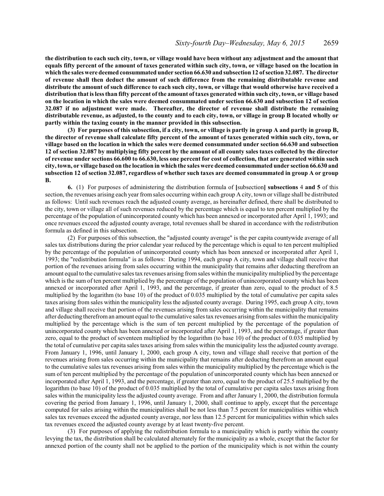**the distribution to each such city, town, or village would have been without any adjustment and the amount that equals fifty percent of the amount of taxes generated within such city, town, or village based on the location in which the sales were deemed consummated under section 66.630 and subsection 12 of section 32.087. The director of revenue shall then deduct the amount of such difference from the remaining distributable revenue and distribute the amount of such difference to each such city, town, or village that would otherwise have received a distribution that is less than fifty percent of the amount of taxes generated within such city, town, or village based on the location in which the sales were deemed consummated under section 66.630 and subsection 12 of section 32.087 if no adjustment were made. Thereafter, the director of revenue shall distribute the remaining distributable revenue, as adjusted, to the county and to each city, town, or village in group B located wholly or partly within the taxing county in the manner provided in this subsection.**

**(3) For purposes of this subsection, if a city, town, or village is partly in group A and partly in group B, the director of revenue shall calculate fifty percent of the amount of taxes generated within such city, town, or village based on the location in which the sales were deemed consummated under section 66.630 and subsection 12 of section 32.087 by multiplying fifty percent by the amount of all county sales taxes collected by the director of revenue under sections 66.600 to 66.630, less one percent for cost of collection, that are generated within such city, town, or village based on the location in which the sales were deemed consummated under section 66.630 and subsection 12 of section 32.087, regardless of whether such taxes are deemed consummated in group A or group B.**

**6.** (1) For purposes of administering the distribution formula of **[**subsection**] subsections** 4 **and 5** of this section, the revenues arising each year fromsales occurring within each group A city, town or village shall be distributed as follows: Until such revenues reach the adjusted county average, as hereinafter defined, there shall be distributed to the city, town or village all of such revenues reduced by the percentage which is equal to ten percent multiplied by the percentage of the population of unincorporated county which has been annexed or incorporated after April 1, 1993; and once revenues exceed the adjusted county average, total revenues shall be shared in accordance with the redistribution formula as defined in this subsection.

(2) For purposes of this subsection, the "adjusted county average" is the per capita countywide average of all sales tax distributions during the prior calendar year reduced by the percentage which is equal to ten percent multiplied by the percentage of the population of unincorporated county which has been annexed or incorporated after April 1, 1993; the "redistribution formula" is as follows: During 1994, each group A city, town and village shall receive that portion of the revenues arising from sales occurring within the municipality that remains after deducting therefrom an amount equal to the cumulative sales tax revenues arising fromsales within the municipalitymultiplied by the percentage which is the sum of ten percent multiplied by the percentage of the population of unincorporated county which has been annexed or incorporated after April 1, 1993, and the percentage, if greater than zero, equal to the product of 8.5 multiplied by the logarithm (to base 10) of the product of 0.035 multiplied by the total of cumulative per capita sales taxes arising from sales within the municipality less the adjusted county average. During 1995, each group A city, town and village shall receive that portion of the revenues arising from sales occurring within the municipality that remains after deducting therefroman amount equal to the cumulative sales tax revenues arising fromsales within the municipality multiplied by the percentage which is the sum of ten percent multiplied by the percentage of the population of unincorporated county which has been annexed or incorporated after April 1, 1993, and the percentage, if greater than zero, equal to the product of seventeen multiplied by the logarithm (to base 10) of the product of 0.035 multiplied by the total of cumulative per capita sales taxes arising from sales within the municipality less the adjusted county average. From January 1, 1996, until January 1, 2000, each group A city, town and village shall receive that portion of the revenues arising from sales occurring within the municipality that remains after deducting therefrom an amount equal to the cumulative sales tax revenues arising from sales within the municipality multiplied by the percentage which is the sum of ten percent multiplied by the percentage of the population of unincorporated county which has been annexed or incorporated after April 1, 1993, and the percentage, if greater than zero, equal to the product of 25.5 multiplied by the logarithm (to base 10) of the product of 0.035 multiplied by the total of cumulative per capita sales taxes arising from sales within the municipality less the adjusted county average. From and after January 1, 2000, the distribution formula covering the period from January 1, 1996, until January 1, 2000, shall continue to apply, except that the percentage computed for sales arising within the municipalities shall be not less than 7.5 percent for municipalities within which sales tax revenues exceed the adjusted county average, nor less than 12.5 percent for municipalities within which sales tax revenues exceed the adjusted county average by at least twenty-five percent.

(3) For purposes of applying the redistribution formula to a municipality which is partly within the county levying the tax, the distribution shall be calculated alternately for the municipality as a whole, except that the factor for annexed portion of the county shall not be applied to the portion of the municipality which is not within the county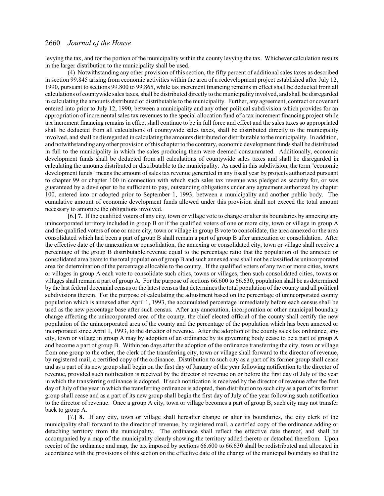levying the tax, and for the portion of the municipality within the county levying the tax. Whichever calculation results in the larger distribution to the municipality shall be used.

(4) Notwithstanding any other provision of this section, the fifty percent of additional sales taxes as described in section 99.845 arising from economic activities within the area of a redevelopment project established after July 12, 1990, pursuant to sections 99.800 to 99.865, while tax increment financing remains in effect shall be deducted from all calculations of countywide sales taxes, shall be distributed directly to the municipality involved, and shall be disregarded in calculating the amounts distributed or distributable to the municipality. Further, any agreement, contract or covenant entered into prior to July 12, 1990, between a municipality and any other political subdivision which provides for an appropriation of incremental sales tax revenues to the special allocation fund of a tax increment financing project while tax increment financing remains in effect shall continue to be in full force and effect and the sales taxes so appropriated shall be deducted from all calculations of countywide sales taxes, shall be distributed directly to the municipality involved, and shall be disregarded in calculating the amounts distributed or distributable to the municipality. In addition, and notwithstanding any other provision ofthis chapter to the contrary, economic development funds shall be distributed in full to the municipality in which the sales producing them were deemed consummated. Additionally, economic development funds shall be deducted from all calculations of countywide sales taxes and shall be disregarded in calculating the amounts distributed or distributable to the municipality. As used in this subdivision, the term "economic development funds" means the amount of sales tax revenue generated in any fiscal year by projects authorized pursuant to chapter 99 or chapter 100 in connection with which such sales tax revenue was pledged as security for, or was guaranteed by a developer to be sufficient to pay, outstanding obligations under any agreement authorized by chapter 100, entered into or adopted prior to September 1, 1993, between a municipality and another public body. The cumulative amount of economic development funds allowed under this provision shall not exceed the total amount necessary to amortize the obligations involved.

**[**6.**] 7.** If the qualified voters of any city, town or village vote to change or alter its boundaries by annexing any unincorporated territory included in group B or if the qualified voters of one or more city, town or village in group A and the qualified voters of one or more city, town or village in group B vote to consolidate, the area annexed or the area consolidated which had been a part of group B shall remain a part of group B after annexation or consolidation. After the effective date of the annexation or consolidation, the annexing or consolidated city, town or village shall receive a percentage of the group B distributable revenue equal to the percentage ratio that the population of the annexed or consolidated area bears to the total population of group B and such annexed area shall not be classified as unincorporated area for determination of the percentage allocable to the county. If the qualified voters of any two or more cities, towns or villages in group A each vote to consolidate such cities, towns or villages, then such consolidated cities, towns or villages shall remain a part of group A. For the purpose of sections  $66.600$  to  $66.630$ , population shall be as determined by the last federal decennial census or the latest census that determines the total population of the county and all political subdivisions therein. For the purpose of calculating the adjustment based on the percentage of unincorporated county population which is annexed after April 1, 1993, the accumulated percentage immediately before each census shall be used as the new percentage base after such census. After any annexation, incorporation or other municipal boundary change affecting the unincorporated area of the county, the chief elected official of the county shall certify the new population of the unincorporated area of the county and the percentage of the population which has been annexed or incorporated since April 1, 1993, to the director of revenue. After the adoption of the county sales tax ordinance, any city, town or village in group A may by adoption of an ordinance by its governing body cease to be a part of group A and become a part of group B. Within ten days after the adoption of the ordinance transferring the city, town or village from one group to the other, the clerk of the transferring city, town or village shall forward to the director of revenue, by registered mail, a certified copy of the ordinance. Distribution to such city as a part of its former group shall cease and as a part of its new group shall begin on the first day of January of the year following notification to the director of revenue, provided such notification is received by the director of revenue on or before the first day of July of the year in which the transferring ordinance is adopted. If such notification is received by the director of revenue after the first day of July of the year in which the transferring ordinance is adopted, then distribution to such city as a part of its former group shall cease and as a part of its new group shall begin the first day of July of the year following such notification to the director of revenue. Once a group A city, town or village becomes a part of group B, such city may not transfer back to group A.

**[**7.**] 8.** If any city, town or village shall hereafter change or alter its boundaries, the city clerk of the municipality shall forward to the director of revenue, by registered mail, a certified copy of the ordinance adding or detaching territory from the municipality. The ordinance shall reflect the effective date thereof, and shall be accompanied by a map of the municipality clearly showing the territory added thereto or detached therefrom. Upon receipt of the ordinance and map, the tax imposed by sections 66.600 to 66.630 shall be redistributed and allocated in accordance with the provisions of this section on the effective date of the change of the municipal boundary so that the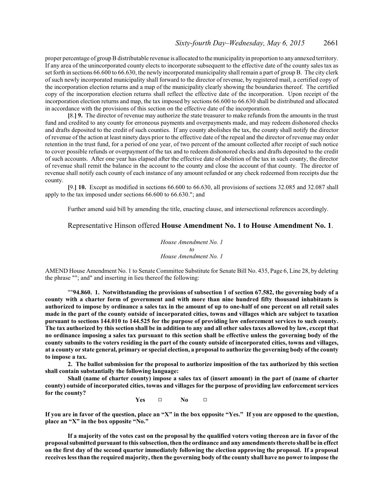proper percentage of groupB distributable revenue is allocated to the municipalityin proportion to any annexed territory. If any area of the unincorporated county elects to incorporate subsequent to the effective date of the county sales tax as set forth in sections 66.600 to 66.630, the newly incorporated municipality shall remain a part of group B. The city clerk of such newly incorporated municipality shall forward to the director of revenue, by registered mail, a certified copy of the incorporation election returns and a map of the municipality clearly showing the boundaries thereof. The certified copy of the incorporation election returns shall reflect the effective date of the incorporation. Upon receipt of the incorporation election returns and map, the tax imposed by sections 66.600 to 66.630 shall be distributed and allocated in accordance with the provisions of this section on the effective date of the incorporation.

**[**8.**] 9.** The director of revenue may authorize the state treasurer to make refunds from the amounts in the trust fund and credited to any county for erroneous payments and overpayments made, and may redeem dishonored checks and drafts deposited to the credit of such counties. If any county abolishes the tax, the county shall notify the director of revenue of the action at least ninety days prior to the effective date of the repeal and the director of revenue may order retention in the trust fund, for a period of one year, of two percent of the amount collected after receipt of such notice to cover possible refunds or overpayment of the tax and to redeem dishonored checks and drafts deposited to the credit of such accounts. After one year has elapsed after the effective date of abolition of the tax in such county, the director of revenue shall remit the balance in the account to the county and close the account of that county. The director of revenue shall notify each county of each instance of any amount refunded or any check redeemed from receipts due the county.

**[**9.**] 10.** Except as modified in sections 66.600 to 66.630, all provisions of sections 32.085 and 32.087 shall apply to the tax imposed under sections 66.600 to 66.630."; and

Further amend said bill by amending the title, enacting clause, and intersectional references accordingly.

#### Representative Hinson offered **House Amendment No. 1 to House Amendment No. 1**.

*House Amendment No. 1 to House Amendment No. 1*

AMEND House Amendment No. 1 to Senate Committee Substitute for Senate Bill No. 435, Page 6, Line 28, by deleting the phrase ""; and" and inserting in lieu thereof the following:

""**94.860. 1. Notwithstanding the provisions of subsection 1 of section 67.582, the governing body of a county with a charter form of government and with more than nine hundred fifty thousand inhabitants is authorized to impose by ordinance a sales tax in the amount of up to one-half of one percent on all retail sales made in the part of the county outside of incorporated cities, towns and villages which are subject to taxation pursuant to sections 144.010 to 144.525 for the purpose of providing law enforcement services to such county. The tax authorized by this section shall be in addition to any and all other sales taxes allowed by law, except that no ordinance imposing a sales tax pursuant to this section shall be effective unless the governing body of the county submits to the voters residing in the part of the county outside of incorporated cities, towns and villages, at a county or state general, primary or special election, a proposal to authorize the governing body of the county to impose a tax.**

**2. The ballot submission for the proposal to authorize imposition of the tax authorized by this section shall contain substantially the following language:**

**Shall (name of charter county) impose a sales tax of (insert amount) in the part of (name of charter county) outside of incorporated cities, towns and villages for the purpose of providing law enforcement services for the county?**

**Yes** □ **No** □

**If you are in favor of the question, place an "X" in the box opposite "Yes." If you are opposed to the question, place an "X" in the box opposite "No."**

**If a majority of the votes cast on the proposal by the qualified voters voting thereon are in favor of the proposal submitted pursuant to this subsection, then the ordinance and any amendments thereto shall be in effect on the first day of the second quarter immediately following the election approving the proposal. If a proposal receives less than the required majority, then the governing body of the county shall have no power to impose the**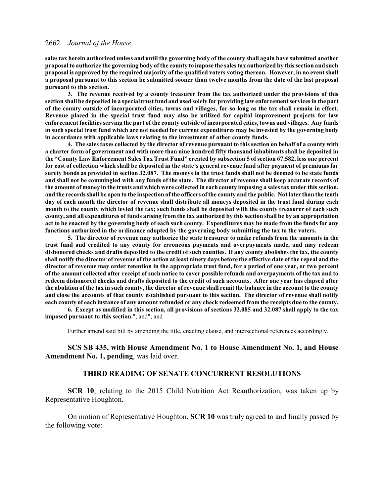**sales tax herein authorized unless and until the governing body of the county shall again have submitted another proposal to authorize the governing body of the county to impose the sales tax authorized by this section and such proposal is approved by the required majority of the qualified voters voting thereon. However, in no event shall a proposal pursuant to this section be submitted sooner than twelve months from the date of the last proposal pursuant to this section.**

**3. The revenue received by a county treasurer from the tax authorized under the provisions of this section shall be deposited in a special trust fund and used solely for providing law enforcement services in the part of the county outside of incorporated cities, towns and villages, for so long as the tax shall remain in effect. Revenue placed in the special trust fund may also be utilized for capital improvement projects for law enforcement facilities serving the part of the county outside of incorporated cities, towns and villages. Any funds in such special trust fund which are not needed for current expenditures may be invested by the governing body in accordance with applicable laws relating to the investment of other county funds.**

**4. The sales taxes collected by the director of revenue pursuant to this section on behalf of a county with a charter form of government and with more than nine hundred fifty thousand inhabitants shall be deposited in the "County Law Enforcement Sales Tax Trust Fund" created by subsection 5 of section 67.582, less one percent for cost of collection which shall be deposited in the state's general revenue fund after payment of premiums for surety bonds as provided in section 32.087. The moneys in the trust funds shall not be deemed to be state funds and shall not be commingled with any funds of the state. The director of revenue shall keep accurate records of the amount of money in the trusts and which were collected in each county imposing a sales tax under this section, and the records shall be open to the inspection of the officers of the county and the public. Not later than the tenth day of each month the director of revenue shall distribute all moneys deposited in the trust fund during each month to the county which levied the tax; such funds shall be deposited with the county treasurer of each such county, and all expenditures of funds arising from the tax authorized by this section shall be by an appropriation act to be enacted by the governing body of each such county. Expenditures may be made from the funds for any functions authorized in the ordinance adopted by the governing body submitting the tax to the voters.**

**5. The director of revenue may authorize the state treasurer to make refunds from the amounts in the trust fund and credited to any county for erroneous payments and overpayments made, and may redeem dishonored checks and drafts deposited to the credit of such counties. If any county abolishes the tax, the county shall notify the director of revenue of the action at least ninety days before the effective date of the repeal and the director of revenue may order retention in the appropriate trust fund, for a period of one year, or two percent of the amount collected after receipt of such notice to cover possible refunds and overpayments of the tax and to redeem dishonored checks and drafts deposited to the credit of such accounts. After one year has elapsed after the abolition of the tax in such county, the director of revenue shall remit the balance in the account to the county and close the accounts of that county established pursuant to this section. The director of revenue shall notify each county of each instance of any amount refunded or any check redeemed from the receipts due to the county.**

**6. Except as modified in this section, all provisions of sections 32.085 and 32.087 shall apply to the tax imposed pursuant to this section.**"; and"; and

Further amend said bill by amending the title, enacting clause, and intersectional references accordingly.

**SCS SB 435, with House Amendment No. 1 to House Amendment No. 1, and House Amendment No. 1, pending**, was laid over.

## **THIRD READING OF SENATE CONCURRENT RESOLUTIONS**

**SCR 10**, relating to the 2015 Child Nutrition Act Reauthorization, was taken up by Representative Houghton.

On motion of Representative Houghton, **SCR 10** was truly agreed to and finally passed by the following vote: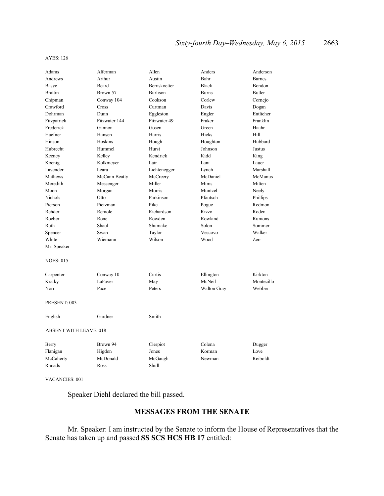#### AYES: 126

| Adams                         | Alferman      | Allen               | Anders             | Anderson      |
|-------------------------------|---------------|---------------------|--------------------|---------------|
| Andrews                       | Arthur        | Austin              | Bahr               | <b>Barnes</b> |
| Basye                         | Beard         | <b>Bernskoetter</b> | <b>Black</b>       | Bondon        |
| <b>Brattin</b>                | Brown 57      | <b>Burlison</b>     | <b>Burns</b>       | <b>Butler</b> |
| Chipman                       | Conway 104    | Cookson             | Corlew             | Cornejo       |
| Crawford                      | Cross         | Curtman             | Davis              | Dogan         |
| Dohrman                       | Dunn          | Eggleston           | Engler             | Entlicher     |
| Fitzpatrick                   | Fitzwater 144 | Fitzwater 49        | Fraker             | Franklin      |
| Frederick                     | Gannon        | Gosen               | Green              | Haahr         |
| Haefner                       | Hansen        | Harris              | Hicks              | Hill          |
| Hinson                        | Hoskins       | Hough               | Houghton           | Hubbard       |
| Hubrecht                      | Hummel        | Hurst               | Johnson            | Justus        |
| Keeney                        | Kelley        | Kendrick            | Kidd               | King          |
| Koenig                        | Kolkmeyer     | Lair                | Lant               | Lauer         |
| Lavender                      | Leara         | Lichtenegger        | Lynch              | Marshall      |
| Mathews                       | McCann Beatty | McCreery            | McDaniel           | McManus       |
| Meredith                      | Messenger     | Miller              | Mims               | Mitten        |
| Moon                          | Morgan        | Morris              | Muntzel            | Neely         |
| Nichols                       | Otto          | Parkinson           | Pfautsch           | Phillips      |
| Pierson                       | Pietzman      | Pike                | Pogue              | Redmon        |
| Rehder                        | Remole        | Richardson          | Rizzo              | Roden         |
| Roeber                        | Rone          | Rowden              | Rowland            | Runions       |
| Ruth                          | Shaul         | Shumake             | Solon              | Sommer        |
| Spencer                       | Swan          | Taylor              | Vescovo            | Walker        |
| White                         | Wiemann       | Wilson              | Wood               | Zerr          |
| Mr. Speaker                   |               |                     |                    |               |
| <b>NOES: 015</b>              |               |                     |                    |               |
| Carpenter                     | Conway 10     | Curtis              | Ellington          | Kirkton       |
| Kratky                        | LaFaver       | May                 | McNeil             | Montecillo    |
| Norr                          | Pace          | Peters              | <b>Walton Gray</b> | Webber        |
| PRESENT: 003                  |               |                     |                    |               |
| English                       | Gardner       | Smith               |                    |               |
| <b>ABSENT WITH LEAVE: 018</b> |               |                     |                    |               |
| Berry                         | Brown 94      | Cierpiot            | Colona             | Dugger        |
| Flanigan                      | Higdon        | Jones               | Korman             | Love          |
| McCaherty                     | McDonald      | McGaugh             | Newman             | Reiboldt      |
| Rhoads                        | Ross          | Shull               |                    |               |

VACANCIES: 001

Speaker Diehl declared the bill passed.

## **MESSAGES FROM THE SENATE**

Mr. Speaker: I am instructed by the Senate to inform the House of Representatives that the Senate has taken up and passed **SS SCS HCS HB 17** entitled: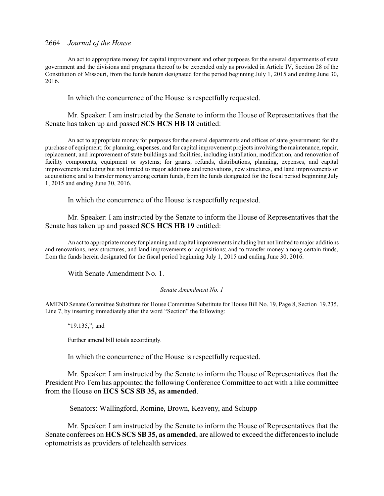An act to appropriate money for capital improvement and other purposes for the several departments of state government and the divisions and programs thereof to be expended only as provided in Article IV, Section 28 of the Constitution of Missouri, from the funds herein designated for the period beginning July 1, 2015 and ending June 30, 2016.

In which the concurrence of the House is respectfully requested.

Mr. Speaker: I am instructed by the Senate to inform the House of Representatives that the Senate has taken up and passed **SCS HCS HB 18** entitled:

An act to appropriate money for purposes for the several departments and offices of state government; for the purchase of equipment; for planning, expenses, and for capital improvement projects involving the maintenance, repair, replacement, and improvement of state buildings and facilities, including installation, modification, and renovation of facility components, equipment or systems; for grants, refunds, distributions, planning, expenses, and capital improvements including but not limited to major additions and renovations, new structures, and land improvements or acquisitions; and to transfer money among certain funds, from the funds designated for the fiscal period beginning July 1, 2015 and ending June 30, 2016.

In which the concurrence of the House is respectfully requested.

Mr. Speaker: I am instructed by the Senate to inform the House of Representatives that the Senate has taken up and passed **SCS HCS HB 19** entitled:

An act to appropriate money for planning and capital improvements including but not limited to major additions and renovations, new structures, and land improvements or acquisitions; and to transfer money among certain funds, from the funds herein designated for the fiscal period beginning July 1, 2015 and ending June 30, 2016.

With Senate Amendment No. 1.

#### *Senate Amendment No. 1*

AMEND Senate Committee Substitute for House Committee Substitute for House Bill No. 19, Page 8, Section 19.235, Line 7, by inserting immediately after the word "Section" the following:

"19.135,"; and

Further amend bill totals accordingly.

In which the concurrence of the House is respectfully requested.

Mr. Speaker: I am instructed by the Senate to inform the House of Representatives that the President Pro Tem has appointed the following Conference Committee to act with a like committee from the House on **HCS SCS SB 35, as amended**.

Senators: Wallingford, Romine, Brown, Keaveny, and Schupp

Mr. Speaker: I am instructed by the Senate to inform the House of Representatives that the Senate conferees on **HCS SCS SB 35, as amended**, are allowed to exceed the differences to include optometrists as providers of telehealth services.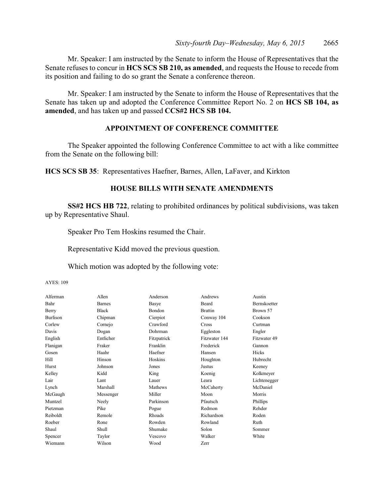Mr. Speaker: I am instructed by the Senate to inform the House of Representatives that the Senate refuses to concur in **HCS SCS SB 210, as amended**, and requests the House to recede from its position and failing to do so grant the Senate a conference thereon.

Mr. Speaker: I am instructed by the Senate to inform the House of Representatives that the Senate has taken up and adopted the Conference Committee Report No. 2 on **HCS SB 104, as amended**, and has taken up and passed **CCS#2 HCS SB 104.**

## **APPOINTMENT OF CONFERENCE COMMITTEE**

The Speaker appointed the following Conference Committee to act with a like committee from the Senate on the following bill:

**HCS SCS SB 35**: Representatives Haefner, Barnes, Allen, LaFaver, and Kirkton

#### **HOUSE BILLS WITH SENATE AMENDMENTS**

**SS#2 HCS HB 722**, relating to prohibited ordinances by political subdivisions, was taken up by Representative Shaul.

Speaker Pro Tem Hoskins resumed the Chair.

Representative Kidd moved the previous question.

Which motion was adopted by the following vote:

#### AYES: 109

| Alferman        | Allen         | Anderson    | Andrews        | Austin       |
|-----------------|---------------|-------------|----------------|--------------|
| Bahr            | <b>Barnes</b> | Basye       | Beard          | Bernskoetter |
| Berry           | <b>Black</b>  | Bondon      | <b>Brattin</b> | Brown 57     |
| <b>Burlison</b> | Chipman       | Cierpiot    | Conway 104     | Cookson      |
| Corlew          | Cornejo       | Crawford    | Cross          | Curtman      |
| Davis           | Dogan         | Dohrman     | Eggleston      | Engler       |
| English         | Entlicher     | Fitzpatrick | Fitzwater 144  | Fitzwater 49 |
| Flanigan        | Fraker        | Franklin    | Frederick      | Gannon       |
| Gosen           | Haahr         | Haefner     | Hansen         | Hicks        |
| Hill            | Hinson        | Hoskins     | Houghton       | Hubrecht     |
| Hurst           | Johnson       | Jones       | Justus         | Keeney       |
| Kelley          | Kidd          | King        | Koenig         | Kolkmeyer    |
| Lair            | Lant          | Lauer       | Leara          | Lichtenegger |
| Lynch           | Marshall      | Mathews     | McCaherty      | McDaniel     |
| McGaugh         | Messenger     | Miller      | Moon           | Morris       |
| Muntzel         | Neely         | Parkinson   | Pfautsch       | Phillips     |
| Pietzman        | Pike          | Pogue       | Redmon         | Rehder       |
| Reiboldt        | Remole        | Rhoads      | Richardson     | Roden        |
| Roeber          | Rone          | Rowden      | Rowland        | Ruth         |
| Shaul           | Shull         | Shumake     | Solon          | Sommer       |
| Spencer         | Taylor        | Vescovo     | Walker         | White        |
| Wiemann         | Wilson        | Wood        | Zerr           |              |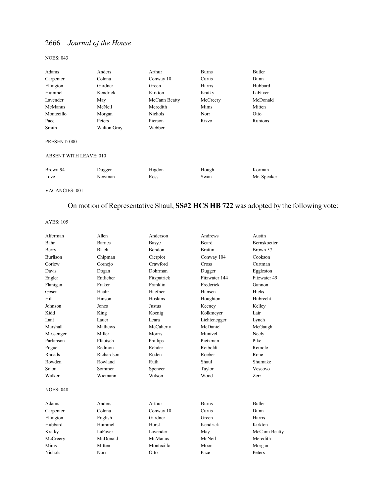#### NOES: 043

| Adams                         | Anders      | Arthur         | <b>Burns</b> | Butler      |
|-------------------------------|-------------|----------------|--------------|-------------|
| Carpenter                     | Colona      | Conway 10      | Curtis       | Dunn        |
| Ellington                     | Gardner     | Green          | Harris       | Hubbard     |
| Hummel                        | Kendrick    | Kirkton        | Kratky       | LaFaver     |
| Lavender                      | May         | McCann Beatty  | McCreery     | McDonald    |
| McManus                       | McNeil      | Meredith       | Mims         | Mitten      |
| Montecillo                    | Morgan      | <b>Nichols</b> | Norr         | Otto        |
| Pace                          | Peters      | Pierson        | Rizzo        | Runions     |
| Smith                         | Walton Gray | Webber         |              |             |
| PRESENT: 000                  |             |                |              |             |
| <b>ABSENT WITH LEAVE: 010</b> |             |                |              |             |
| Brown 94                      | Dugger      | Higdon         | Hough        | Korman      |
| Love                          | Newman      | Ross           | Swan         | Mr. Speaker |
|                               |             |                |              |             |

VACANCIES: 001

# On motion of Representative Shaul, **SS#2 HCS HB 722** was adopted by the following vote:

#### AYES: 105

| Alferman         | Allen         | Anderson    | Andrews        | Austin              |
|------------------|---------------|-------------|----------------|---------------------|
| Bahr             | <b>Barnes</b> | Basye       | <b>Beard</b>   | <b>Bernskoetter</b> |
| Berry            | <b>Black</b>  | Bondon      | <b>Brattin</b> | Brown 57            |
| <b>Burlison</b>  | Chipman       | Cierpiot    | Conway 104     | Cookson             |
| Corlew           | Cornejo       | Crawford    | Cross          | Curtman             |
| Davis            | Dogan         | Dohrman     | Dugger         | Eggleston           |
| Engler           | Entlicher     | Fitzpatrick | Fitzwater 144  | Fitzwater 49        |
| Flanigan         | Fraker        | Franklin    | Frederick      | Gannon              |
| Gosen            | Haahr         | Haefner     | Hansen         | Hicks               |
| Hill             | Hinson        | Hoskins     | Houghton       | Hubrecht            |
| Johnson          | Jones         | Justus      | Keeney         | Kelley              |
| Kidd             | King          | Koenig      | Kolkmeyer      | Lair                |
| Lant             | Lauer         | Leara       | Lichtenegger   | Lynch               |
| Marshall         | Mathews       | McCaherty   | McDaniel       | McGaugh             |
| Messenger        | Miller        | Morris      | Muntzel        | Neely               |
| Parkinson        | Pfautsch      | Phillips    | Pietzman       | Pike                |
| Pogue            | Redmon        | Rehder      | Reiboldt       | Remole              |
| Rhoads           | Richardson    | Roden       | Roeber         | Rone                |
| Rowden           | Rowland       | Ruth        | Shaul          | Shumake             |
| Solon            | Sommer        | Spencer     | Taylor         | Vescovo             |
| Walker           | Wiemann       | Wilson      | Wood           | Zerr                |
| <b>NOES: 048</b> |               |             |                |                     |
| Adams            | Anders        | Arthur      | <b>Burns</b>   | <b>Butler</b>       |
| Carpenter        | Colona        | Conway 10   | Curtis         | Dunn                |
| Ellington        | English       | Gardner     | Green          | Harris              |
| Hubbard          | Hummel        | Hurst       | Kendrick       | Kirkton             |
| Kratky           | LaFaver       | Lavender    | May            | McCann Beatty       |
| McCreery         | McDonald      | McManus     | McNeil         | Meredith            |
| Mims             | Mitten        | Montecillo  | Moon           | Morgan              |
| <b>Nichols</b>   | Norr          | Otto        | Pace           | Peters              |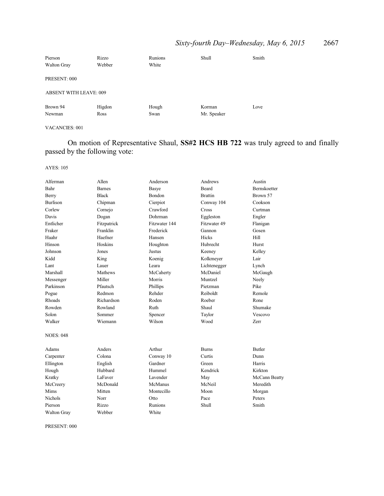# *Sixty-fourth Day–Wednesday, May 6, 2015* 2667

| Pierson<br><b>Walton Gray</b> | Rizzo<br>Webber | Runions<br>White | Shull       | Smith |
|-------------------------------|-----------------|------------------|-------------|-------|
| PRESENT: 000                  |                 |                  |             |       |
| <b>ABSENT WITH LEAVE: 009</b> |                 |                  |             |       |
| Brown 94                      | Higdon          | Hough            | Korman      | Love  |
| Newman                        | Ross            | Swan             | Mr. Speaker |       |

#### VACANCIES: 001

On motion of Representative Shaul, **SS#2 HCS HB 722** was truly agreed to and finally passed by the following vote:

#### AYES: 105

| Alferman           | Allen         | Anderson      | Andrews        | Austin              |
|--------------------|---------------|---------------|----------------|---------------------|
| Bahr               | <b>Barnes</b> | Basye         | <b>Beard</b>   | <b>Bernskoetter</b> |
| Berry              | <b>Black</b>  | Bondon        | <b>Brattin</b> | Brown 57            |
| <b>Burlison</b>    | Chipman       | Cierpiot      | Conway 104     | Cookson             |
| Corlew             | Cornejo       | Crawford      | Cross          | Curtman             |
| Davis              | Dogan         | Dohrman       | Eggleston      | Engler              |
| Entlicher          | Fitzpatrick   | Fitzwater 144 | Fitzwater 49   | Flanigan            |
| Fraker             | Franklin      | Frederick     | Gannon         | Gosen               |
| Haahr              | Haefner       | Hansen        | Hicks          | Hill                |
| Hinson             | Hoskins       | Houghton      | Hubrecht       | Hurst               |
| Johnson            | Jones         | Justus        | Keeney         | Kelley              |
| Kidd               | King          | Koenig        | Kolkmeyer      | Lair                |
| Lant               | Lauer         | Leara         | Lichtenegger   | Lynch               |
| Marshall           | Mathews       | McCaherty     | McDaniel       | McGaugh             |
| Messenger          | Miller        | Morris        | Muntzel        | Neely               |
| Parkinson          | Pfautsch      | Phillips      | Pietzman       | Pike                |
| Pogue              | Redmon        | Rehder        | Reiboldt       | Remole              |
| Rhoads             | Richardson    | Roden         | Roeber         | Rone                |
| Rowden             | Rowland       | Ruth          | Shaul          | Shumake             |
| Solon              | Sommer        | Spencer       | Taylor         | Vescovo             |
| Walker             | Wiemann       | Wilson        | Wood           | Zerr                |
| <b>NOES: 048</b>   |               |               |                |                     |
| Adams              | Anders        | Arthur        | <b>Burns</b>   | <b>Butler</b>       |
| Carpenter          | Colona        | Conway 10     | Curtis         | Dunn                |
| Ellington          | English       | Gardner       | Green          | Harris              |
| Hough              | Hubbard       | Hummel        | Kendrick       | Kirkton             |
| Kratky             | LaFaver       | Lavender      | May            | McCann Beatty       |
| McCreery           | McDonald      | McManus       | McNeil         | Meredith            |
| Mims               | Mitten        | Montecillo    | Moon           | Morgan              |
| <b>Nichols</b>     | Norr          | Otto          | Pace           | Peters              |
| Pierson            | Rizzo         | Runions       | Shull          | Smith               |
| <b>Walton Gray</b> | Webber        | White         |                |                     |

PRESENT: 000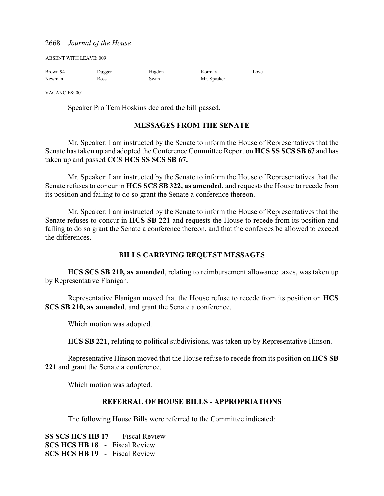ABSENT WITH LEAVE: 009

| Brown 94 | Dugger      | Higdon | Korman      | Love |
|----------|-------------|--------|-------------|------|
| Newman   | <b>Ross</b> | Swan   | Mr. Speaker |      |

VACANCIES: 001

Speaker Pro Tem Hoskins declared the bill passed.

## **MESSAGES FROM THE SENATE**

Mr. Speaker: I am instructed by the Senate to inform the House of Representatives that the Senate has taken up and adopted the Conference Committee Report on **HCS SS SCS SB 67** and has taken up and passed **CCS HCS SS SCS SB 67.**

Mr. Speaker: I am instructed by the Senate to inform the House of Representatives that the Senate refuses to concur in **HCS SCS SB 322, as amended**, and requests the House to recede from its position and failing to do so grant the Senate a conference thereon.

Mr. Speaker: I am instructed by the Senate to inform the House of Representatives that the Senate refuses to concur in **HCS SB 221** and requests the House to recede from its position and failing to do so grant the Senate a conference thereon, and that the conferees be allowed to exceed the differences.

## **BILLS CARRYING REQUEST MESSAGES**

**HCS SCS SB 210, as amended**, relating to reimbursement allowance taxes, was taken up by Representative Flanigan.

Representative Flanigan moved that the House refuse to recede from its position on **HCS SCS SB 210, as amended**, and grant the Senate a conference.

Which motion was adopted.

**HCS SB 221**, relating to political subdivisions, was taken up by Representative Hinson.

Representative Hinson moved that the House refuse to recede from its position on **HCS SB 221** and grant the Senate a conference.

Which motion was adopted.

## **REFERRAL OF HOUSE BILLS - APPROPRIATIONS**

The following House Bills were referred to the Committee indicated:

**SS SCS HCS HB 17** - Fiscal Review **SCS HCS HB 18** - Fiscal Review **SCS HCS HB 19** - Fiscal Review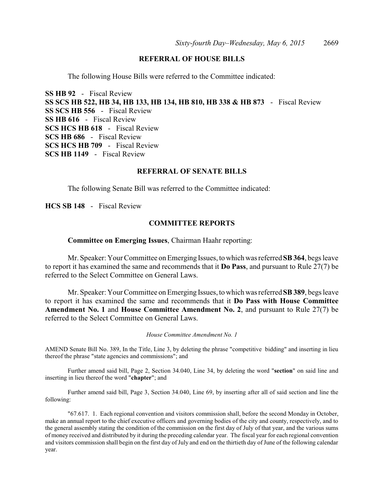## **REFERRAL OF HOUSE BILLS**

The following House Bills were referred to the Committee indicated:

**SS HB 92** - Fiscal Review **SS SCS HB 522, HB 34, HB 133, HB 134, HB 810, HB 338 & HB 873** - Fiscal Review **SS SCS HB 556** - Fiscal Review **SS HB 616** - Fiscal Review **SCS HCS HB 618** - Fiscal Review **SCS HB 686** - Fiscal Review **SCS HCS HB 709** - Fiscal Review **SCS HB 1149** - Fiscal Review

#### **REFERRAL OF SENATE BILLS**

The following Senate Bill was referred to the Committee indicated:

**HCS SB 148** - Fiscal Review

#### **COMMITTEE REPORTS**

**Committee on Emerging Issues**, Chairman Haahr reporting:

Mr. Speaker: Your Committee on Emerging Issues, to which was referred **SB 364**, begs leave to report it has examined the same and recommends that it **Do Pass**, and pursuant to Rule 27(7) be referred to the Select Committee on General Laws.

Mr. Speaker: Your Committee on Emerging Issues, to which was referred **SB 389**, begs leave to report it has examined the same and recommends that it **Do Pass with House Committee Amendment No. 1** and **House Committee Amendment No. 2**, and pursuant to Rule 27(7) be referred to the Select Committee on General Laws.

*House Committee Amendment No. 1*

AMEND Senate Bill No. 389, In the Title, Line 3, by deleting the phrase "competitive bidding" and inserting in lieu thereof the phrase "state agencies and commissions"; and

Further amend said bill, Page 2, Section 34.040, Line 34, by deleting the word "**section**" on said line and inserting in lieu thereof the word "**chapter**"; and

Further amend said bill, Page 3, Section 34.040, Line 69, by inserting after all of said section and line the following:

"67.617. 1. Each regional convention and visitors commission shall, before the second Monday in October, make an annual report to the chief executive officers and governing bodies of the city and county, respectively, and to the general assembly stating the condition of the commission on the first day of July of that year, and the various sums of money received and distributed by it during the preceding calendar year. The fiscal year for each regional convention and visitors commission shall begin on the first day of July and end on the thirtieth day of June of the following calendar year.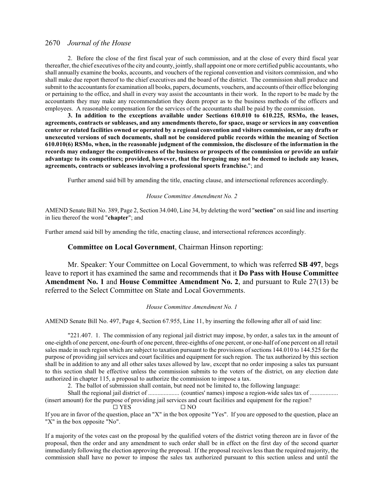2. Before the close of the first fiscal year of such commission, and at the close of every third fiscal year thereafter, the chief executives ofthe city and county, jointly, shall appoint one or more certified public accountants, who shall annually examine the books, accounts, and vouchers of the regional convention and visitors commission, and who shall make due report thereof to the chief executives and the board of the district. The commission shall produce and submit to the accountants for examination all books, papers, documents, vouchers, and accounts oftheir office belonging or pertaining to the office, and shall in every way assist the accountants in their work. In the report to be made by the accountants they may make any recommendation they deem proper as to the business methods of the officers and employees. A reasonable compensation for the services of the accountants shall be paid by the commission.

**3. In addition to the exceptions available under Sections 610.010 to 610.225, RSMo, the leases, agreements, contracts or subleases, and any amendments thereto, for space, usage or services in any convention center or related facilities owned or operated by a regional convention and visitors commission, or any drafts or unexecuted versions of such documents, shall not be considered public records within the meaning of Section 610.010(6) RSMo, when, in the reasonable judgment of the commission, the disclosure of the information in the records may endanger the competitiveness of the business or prospects of the commission or provide an unfair advantage to its competitors; provided, however, that the foregoing may not be deemed to include any leases, agreements, contracts or subleases involving a professional sports franchise.**"; and

Further amend said bill by amending the title, enacting clause, and intersectional references accordingly.

#### *House Committee Amendment No. 2*

AMEND Senate Bill No. 389, Page 2, Section 34.040, Line 34, by deleting the word "**section**" on said line and inserting in lieu thereof the word "**chapter**"; and

Further amend said bill by amending the title, enacting clause, and intersectional references accordingly.

#### **Committee on Local Government**, Chairman Hinson reporting:

Mr. Speaker: Your Committee on Local Government, to which was referred **SB 497**, begs leave to report it has examined the same and recommends that it **Do Pass with House Committee Amendment No. 1** and **House Committee Amendment No. 2**, and pursuant to Rule 27(13) be referred to the Select Committee on State and Local Governments.

#### *House Committee Amendment No. 1*

AMEND Senate Bill No. 497, Page 4, Section 67.955, Line 11, by inserting the following after all of said line:

"221.407. 1. The commission of any regional jail district may impose, by order, a sales tax in the amount of one-eighth of one percent, one-fourth of one percent, three-eighths of one percent, or one-half of one percent on all retail sales made in such region which are subject to taxation pursuant to the provisions ofsections 144.010 to 144.525 for the purpose of providing jail services and court facilities and equipment for such region. The tax authorized by this section shall be in addition to any and all other sales taxes allowed by law, except that no order imposing a sales tax pursuant to this section shall be effective unless the commission submits to the voters of the district, on any election date authorized in chapter 115, a proposal to authorize the commission to impose a tax.

2. The ballot of submission shall contain, but need not be limited to, the following language:

Shall the regional jail district of .................... (counties' names) impose a region-wide sales tax of .................. (insert amount) for the purpose of providing jail services and court facilities and equipment for the region?  $\Box$  YES  $\Box$  NO

If you are in favor of the question, place an "X" in the box opposite "Yes". If you are opposed to the question, place an "X" in the box opposite "No".

If a majority of the votes cast on the proposal by the qualified voters of the district voting thereon are in favor of the proposal, then the order and any amendment to such order shall be in effect on the first day of the second quarter immediately following the election approving the proposal. If the proposal receives less than the required majority, the commission shall have no power to impose the sales tax authorized pursuant to this section unless and until the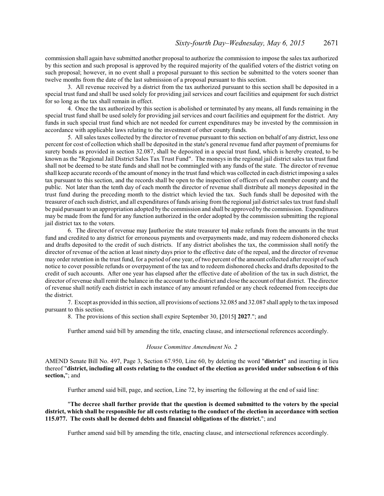commission shall again have submitted another proposal to authorize the commission to impose the sales tax authorized by this section and such proposal is approved by the required majority of the qualified voters of the district voting on such proposal; however, in no event shall a proposal pursuant to this section be submitted to the voters sooner than twelve months from the date of the last submission of a proposal pursuant to this section.

3. All revenue received by a district from the tax authorized pursuant to this section shall be deposited in a special trust fund and shall be used solely for providing jail services and court facilities and equipment for such district for so long as the tax shall remain in effect.

4. Once the tax authorized by this section is abolished or terminated by any means, all funds remaining in the special trust fund shall be used solely for providing jail services and court facilities and equipment for the district. Any funds in such special trust fund which are not needed for current expenditures may be invested by the commission in accordance with applicable laws relating to the investment of other county funds.

5. All sales taxes collected by the director of revenue pursuant to this section on behalf of any district, less one percent for cost of collection which shall be deposited in the state's general revenue fund after payment of premiums for surety bonds as provided in section 32.087, shall be deposited in a special trust fund, which is hereby created, to be known as the "Regional Jail District Sales Tax Trust Fund". The moneys in the regional jail district sales tax trust fund shall not be deemed to be state funds and shall not be commingled with any funds of the state. The director of revenue shall keep accurate records of the amount of money in the trust fund which was collected in each district imposing a sales tax pursuant to this section, and the records shall be open to the inspection of officers of each member county and the public. Not later than the tenth day of each month the director of revenue shall distribute all moneys deposited in the trust fund during the preceding month to the district which levied the tax. Such funds shall be deposited with the treasurer of each such district, and all expenditures of funds arising from the regional jail district sales tax trust fund shall be paid pursuant to an appropriation adopted by the commission and shall be approved by the commission. Expenditures may be made from the fund for any function authorized in the order adopted by the commission submitting the regional jail district tax to the voters.

6. The director of revenue may **[**authorize the state treasurer to**]** make refunds from the amounts in the trust fund and credited to any district for erroneous payments and overpayments made, and may redeem dishonored checks and drafts deposited to the credit of such districts. If any district abolishes the tax, the commission shall notify the director of revenue of the action at least ninety days prior to the effective date of the repeal, and the director of revenue may order retention in the trust fund, for a period of one year, of two percent of the amount collected after receipt ofsuch notice to cover possible refunds or overpayment of the tax and to redeem dishonored checks and drafts deposited to the credit of such accounts. After one year has elapsed after the effective date of abolition of the tax in such district, the director of revenue shall remit the balance in the account to the district and close the account ofthat district. The director of revenue shall notify each district in each instance of any amount refunded or any check redeemed from receipts due the district.

7. Except as provided in this section, all provisions ofsections 32.085 and 32.087 shall apply to the tax imposed pursuant to this section.

8. The provisions of this section shall expire September 30, **[**2015**] 2027**."; and

Further amend said bill by amending the title, enacting clause, and intersectional references accordingly.

#### *House Committee Amendment No. 2*

AMEND Senate Bill No. 497, Page 3, Section 67.950, Line 60, by deleting the word "**district**" and inserting in lieu thereof "**district, including all costs relating to the conduct of the election as provided under subsection 6 of this section,**"; and

Further amend said bill, page, and section, Line 72, by inserting the following at the end of said line:

"**The decree shall further provide that the question is deemed submitted to the voters by the special district, which shall be responsible for all costs relating to the conduct of the election in accordance with section 115.077. The costs shall be deemed debts and financial obligations of the district.**"; and

Further amend said bill by amending the title, enacting clause, and intersectional references accordingly.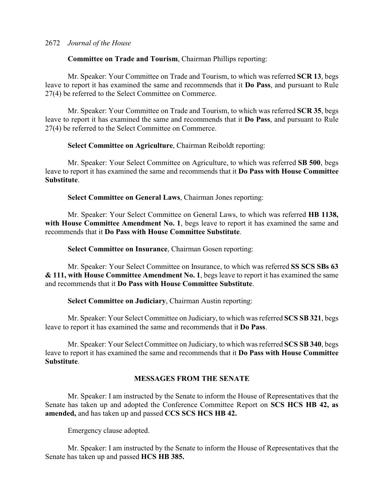## **Committee on Trade and Tourism**, Chairman Phillips reporting:

Mr. Speaker: Your Committee on Trade and Tourism, to which was referred **SCR 13**, begs leave to report it has examined the same and recommends that it **Do Pass**, and pursuant to Rule 27(4) be referred to the Select Committee on Commerce.

Mr. Speaker: Your Committee on Trade and Tourism, to which was referred **SCR 35**, begs leave to report it has examined the same and recommends that it **Do Pass**, and pursuant to Rule 27(4) be referred to the Select Committee on Commerce.

## **Select Committee on Agriculture**, Chairman Reiboldt reporting:

Mr. Speaker: Your Select Committee on Agriculture, to which was referred **SB 500**, begs leave to report it has examined the same and recommends that it **Do Pass with House Committee Substitute**.

## **Select Committee on General Laws**, Chairman Jones reporting:

Mr. Speaker: Your Select Committee on General Laws, to which was referred **HB 1138,** with House Committee Amendment No. 1, begs leave to report it has examined the same and recommends that it **Do Pass with House Committee Substitute**.

## **Select Committee on Insurance**, Chairman Gosen reporting:

Mr. Speaker: Your Select Committee on Insurance, to which was referred **SS SCS SBs 63 & 111, with House Committee Amendment No. 1**, begs leave to report it has examined the same and recommends that it **Do Pass with House Committee Substitute**.

## **Select Committee on Judiciary**, Chairman Austin reporting:

Mr. Speaker: Your Select Committee on Judiciary, to which was referred **SCS SB 321**, begs leave to report it has examined the same and recommends that it **Do Pass**.

Mr. Speaker: Your Select Committee on Judiciary, to which was referred **SCS SB 340**, begs leave to report it has examined the same and recommends that it **Do Pass with House Committee Substitute**.

## **MESSAGES FROM THE SENATE**

Mr. Speaker: I am instructed by the Senate to inform the House of Representatives that the Senate has taken up and adopted the Conference Committee Report on **SCS HCS HB 42, as amended,** and has taken up and passed **CCS SCS HCS HB 42.** 

Emergency clause adopted.

Mr. Speaker: I am instructed by the Senate to inform the House of Representatives that the Senate has taken up and passed **HCS HB 385.**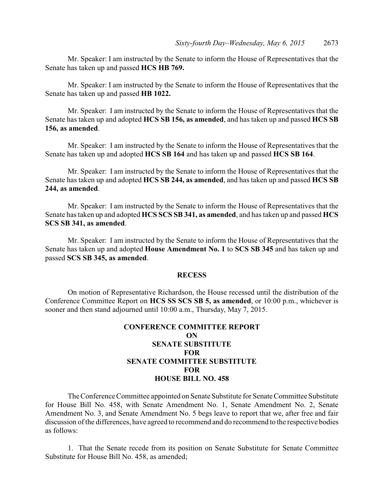Mr. Speaker: I am instructed by the Senate to inform the House of Representatives that the Senate has taken up and passed **HCS HB 769.** 

Mr. Speaker: I am instructed by the Senate to inform the House of Representatives that the Senate has taken up and passed **HB 1022.** 

Mr. Speaker: I am instructed by the Senate to inform the House of Representatives that the Senate has taken up and adopted **HCS SB 156, as amended**, and has taken up and passed **HCS SB 156, as amended**.

Mr. Speaker: I am instructed by the Senate to inform the House of Representatives that the Senate has taken up and adopted **HCS SB 164** and has taken up and passed **HCS SB 164**.

Mr. Speaker: I am instructed by the Senate to inform the House of Representatives that the Senate has taken up and adopted **HCS SB 244, as amended**, and has taken up and passed **HCS SB 244, as amended**.

Mr. Speaker: I am instructed by the Senate to inform the House of Representatives that the Senate has taken up and adopted **HCS SCS SB 341, as amended**, and has taken up and passed **HCS SCS SB 341, as amended**.

Mr. Speaker: I am instructed by the Senate to inform the House of Representatives that the Senate has taken up and adopted **House Amendment No. 1** to **SCS SB 345** and has taken up and passed **SCS SB 345, as amended**.

#### **RECESS**

On motion of Representative Richardson, the House recessed until the distribution of the Conference Committee Report on **HCS SS SCS SB 5, as amended**, or 10:00 p.m., whichever is sooner and then stand adjourned until 10:00 a.m., Thursday, May 7, 2015.

## **CONFERENCE COMMITTEE REPORT ON SENATE SUBSTITUTE FOR SENATE COMMITTEE SUBSTITUTE FOR HOUSE BILL NO. 458**

The Conference Committee appointed on Senate Substitute for Senate Committee Substitute for House Bill No. 458, with Senate Amendment No. 1, Senate Amendment No. 2, Senate Amendment No. 3, and Senate Amendment No. 5 begs leave to report that we, after free and fair discussion of the differences, have agreed to recommend and do recommend to the respective bodies as follows:

1. That the Senate recede from its position on Senate Substitute for Senate Committee Substitute for House Bill No. 458, as amended;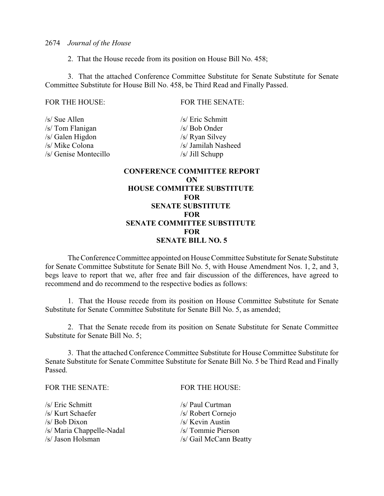2. That the House recede from its position on House Bill No. 458;

3. That the attached Conference Committee Substitute for Senate Substitute for Senate Committee Substitute for House Bill No. 458, be Third Read and Finally Passed.

FOR THE HOUSE: FOR THE SENATE:

/s/ Sue Allen /s/ Eric Schmitt /s/ Tom Flanigan /s/ Bob Onder /s/ Galen Higdon /s/ Ryan Silvey /s/ Mike Colona /s/ Jamilah Nasheed /s/ Genise Montecillo /s/ Jill Schupp

## **CONFERENCE COMMITTEE REPORT ON HOUSE COMMITTEE SUBSTITUTE FOR SENATE SUBSTITUTE FOR SENATE COMMITTEE SUBSTITUTE FOR SENATE BILL NO. 5**

The Conference Committee appointed on House Committee Substitute for Senate Substitute for Senate Committee Substitute for Senate Bill No. 5, with House Amendment Nos. 1, 2, and 3, begs leave to report that we, after free and fair discussion of the differences, have agreed to recommend and do recommend to the respective bodies as follows:

1. That the House recede from its position on House Committee Substitute for Senate Substitute for Senate Committee Substitute for Senate Bill No. 5, as amended;

2. That the Senate recede from its position on Senate Substitute for Senate Committee Substitute for Senate Bill No. 5;

3. That the attached Conference Committee Substitute for House Committee Substitute for Senate Substitute for Senate Committee Substitute for Senate Bill No. 5 be Third Read and Finally Passed.

#### FOR THE SENATE: FOR THE HOUSE:

| /s/ Eric Schmitt          |  |
|---------------------------|--|
| /s/ Kurt Schaefer         |  |
| /s/ Bob Dixon             |  |
| /s/ Maria Chappelle-Nadal |  |
| /s/ Jason Holsman         |  |
|                           |  |

 $/s/$  Paul Curtman /s/ Robert Cornejo  $/s$ / Kevin Austin /s/ Tommie Pierson /s/ Gail McCann Beatty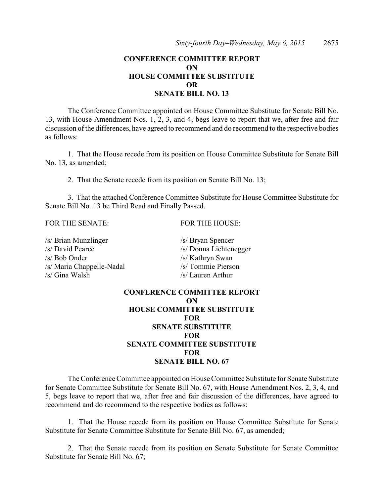## **CONFERENCE COMMITTEE REPORT ON HOUSE COMMITTEE SUBSTITUTE OR SENATE BILL NO. 13**

The Conference Committee appointed on House Committee Substitute for Senate Bill No. 13, with House Amendment Nos. 1, 2, 3, and 4, begs leave to report that we, after free and fair discussion of the differences, have agreed to recommend and do recommend to the respective bodies as follows:

1. That the House recede from its position on House Committee Substitute for Senate Bill No. 13, as amended;

2. That the Senate recede from its position on Senate Bill No. 13;

3. That the attached Conference Committee Substitute for House Committee Substitute for Senate Bill No. 13 be Third Read and Finally Passed.

FOR THE SENATE: FOR THE HOUSE:

| /s/ Brian Munzlinger      | /s/ Bryan Spencer      |
|---------------------------|------------------------|
| /s/ David Pearce          | /s/ Donna Lichtenegger |
| /s/ Bob Onder             | /s/ Kathryn Swan       |
| /s/ Maria Chappelle-Nadal | /s/ Tommie Pierson     |
| /s/ Gina Walsh            | /s/ Lauren Arthur      |

## **CONFERENCE COMMITTEE REPORT ON HOUSE COMMITTEE SUBSTITUTE FOR SENATE SUBSTITUTE FOR SENATE COMMITTEE SUBSTITUTE FOR SENATE BILL NO. 67**

The Conference Committee appointed on House Committee Substitute for Senate Substitute for Senate Committee Substitute for Senate Bill No. 67, with House Amendment Nos. 2, 3, 4, and 5, begs leave to report that we, after free and fair discussion of the differences, have agreed to recommend and do recommend to the respective bodies as follows:

1. That the House recede from its position on House Committee Substitute for Senate Substitute for Senate Committee Substitute for Senate Bill No. 67, as amended;

2. That the Senate recede from its position on Senate Substitute for Senate Committee Substitute for Senate Bill No. 67;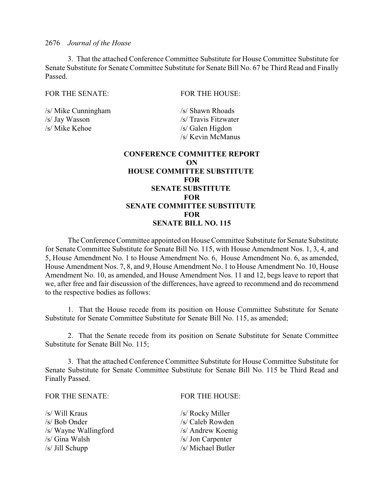3. That the attached Conference Committee Substitute for House Committee Substitute for Senate Substitute for Senate Committee Substitute for Senate Bill No. 67 be Third Read and Finally Passed.

## FOR THE SENATE: FOR THE HOUSE:

/s/ Mike Cunningham /s/ Shawn Rhoads /s/ Jay Wasson /s/ Travis Fitzwater /s/ Mike Kehoe /s/ Galen Higdon

/s/ Kevin McManus

## **CONFERENCE COMMITTEE REPORT ON HOUSE COMMITTEE SUBSTITUTE FOR SENATE SUBSTITUTE FOR SENATE COMMITTEE SUBSTITUTE FOR SENATE BILL NO. 115**

The Conference Committee appointed on House Committee Substitute for Senate Substitute for Senate Committee Substitute for Senate Bill No. 115, with House Amendment Nos. 1, 3, 4, and 5, House Amendment No. 1 to House Amendment No. 6, House Amendment No. 6, as amended, House Amendment Nos. 7, 8, and 9, House Amendment No. 1 to House Amendment No. 10, House Amendment No. 10, as amended, and House Amendment Nos. 11 and 12, begs leave to report that we, after free and fair discussion of the differences, have agreed to recommend and do recommend to the respective bodies as follows:

1. That the House recede from its position on House Committee Substitute for Senate Substitute for Senate Committee Substitute for Senate Bill No. 115, as amended;

2. That the Senate recede from its position on Senate Substitute for Senate Committee Substitute for Senate Bill No. 115;

3. That the attached Conference Committee Substitute for House Committee Substitute for Senate Substitute for Senate Committee Substitute for Senate Bill No. 115 be Third Read and Finally Passed.

| FOR THE SENATE:       | <b>FOR THE HOUSE:</b> |
|-----------------------|-----------------------|
| /s/ Will Kraus        | /s/ Rocky Miller      |
| /s/ Bob Onder         | /s/ Caleb Rowden      |
| /s/ Wayne Wallingford | /s/ Andrew Koenig     |
| /s/ Gina Walsh        | /s/ Jon Carpenter     |
| $/s/$ Jill Schupp     | /s/ Michael Butler    |
|                       |                       |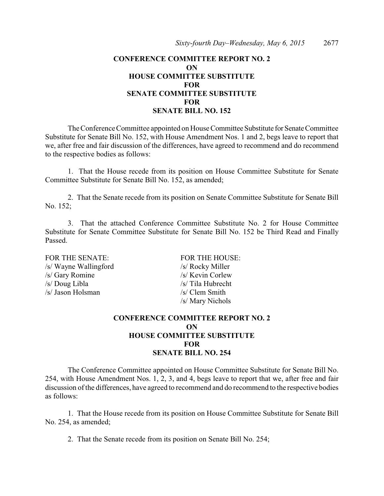## **CONFERENCE COMMITTEE REPORT NO. 2 ON HOUSE COMMITTEE SUBSTITUTE FOR SENATE COMMITTEE SUBSTITUTE FOR SENATE BILL NO. 152**

The Conference Committee appointed on House Committee Substitute for Senate Committee Substitute for Senate Bill No. 152, with House Amendment Nos. 1 and 2, begs leave to report that we, after free and fair discussion of the differences, have agreed to recommend and do recommend to the respective bodies as follows:

1. That the House recede from its position on House Committee Substitute for Senate Committee Substitute for Senate Bill No. 152, as amended;

2. That the Senate recede from its position on Senate Committee Substitute for Senate Bill No. 152;

3. That the attached Conference Committee Substitute No. 2 for House Committee Substitute for Senate Committee Substitute for Senate Bill No. 152 be Third Read and Finally Passed.

FOR THE SENATE: FOR THE HOUSE: /s/ Wayne Wallingford /s/ Rocky Miller /s/ Gary Romine /s/ Kevin Corlew /s/ Doug Libla /s/ Tila Hubrecht /s/ Jason Holsman /s/ Clem Smith

/s/ Mary Nichols

## **CONFERENCE COMMITTEE REPORT NO. 2 ON HOUSE COMMITTEE SUBSTITUTE FOR SENATE BILL NO. 254**

The Conference Committee appointed on House Committee Substitute for Senate Bill No. 254, with House Amendment Nos. 1, 2, 3, and 4, begs leave to report that we, after free and fair discussion of the differences, have agreed to recommend and do recommend to the respective bodies as follows:

1. That the House recede from its position on House Committee Substitute for Senate Bill No. 254, as amended;

2. That the Senate recede from its position on Senate Bill No. 254;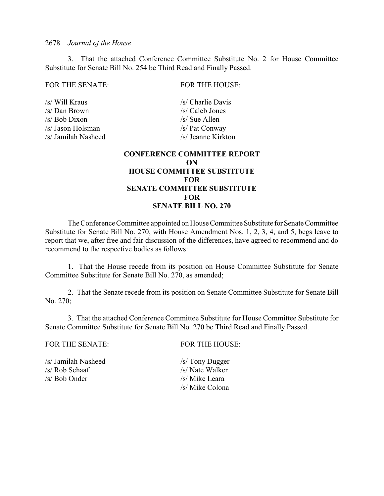3. That the attached Conference Committee Substitute No. 2 for House Committee Substitute for Senate Bill No. 254 be Third Read and Finally Passed.

#### FOR THE SENATE: FOR THE HOUSE:

/s/ Will Kraus /s/ Charlie Davis /s/ Dan Brown /s/ Caleb Jones /s/ Bob Dixon /s/ Sue Allen /s/ Jason Holsman /s/ Pat Conway /s/ Jamilah Nasheed /s/ Jeanne Kirkton

## **CONFERENCE COMMITTEE REPORT ON HOUSE COMMITTEE SUBSTITUTE FOR SENATE COMMITTEE SUBSTITUTE FOR SENATE BILL NO. 270**

The Conference Committee appointed on House Committee Substitute for Senate Committee Substitute for Senate Bill No. 270, with House Amendment Nos. 1, 2, 3, 4, and 5, begs leave to report that we, after free and fair discussion of the differences, have agreed to recommend and do recommend to the respective bodies as follows:

1. That the House recede from its position on House Committee Substitute for Senate Committee Substitute for Senate Bill No. 270, as amended;

2. That the Senate recede from its position on Senate Committee Substitute for Senate Bill No. 270;

3. That the attached Conference Committee Substitute for House Committee Substitute for Senate Committee Substitute for Senate Bill No. 270 be Third Read and Finally Passed.

FOR THE SENATE: FOR THE HOUSE:

/s/ Jamilah Nasheed /s/ Tony Dugger<br>/s/ Rob Schaaf /s/ Nate Walker  $/s/$  Rob Schaaf /s/ Bob Onder /s/ Mike Leara

/s/ Mike Colona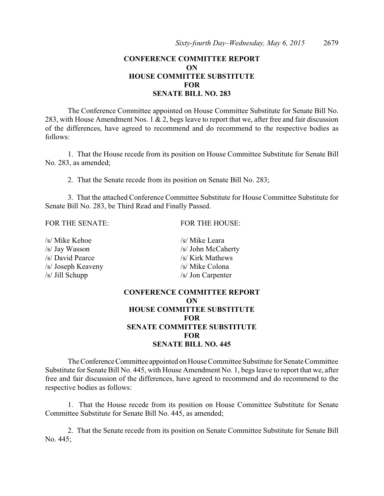## **CONFERENCE COMMITTEE REPORT ON HOUSE COMMITTEE SUBSTITUTE FOR SENATE BILL NO. 283**

The Conference Committee appointed on House Committee Substitute for Senate Bill No. 283, with House Amendment Nos. 1 & 2, begs leave to report that we, after free and fair discussion of the differences, have agreed to recommend and do recommend to the respective bodies as follows:

1. That the House recede from its position on House Committee Substitute for Senate Bill No. 283, as amended;

2. That the Senate recede from its position on Senate Bill No. 283;

3. That the attached Conference Committee Substitute for House Committee Substitute for Senate Bill No. 283, be Third Read and Finally Passed.

#### FOR THE SENATE: FOR THE HOUSE:

| /s/ Mike Kehoe     |
|--------------------|
| /s/ Jay Wasson     |
| /s/ David Pearce   |
| /s/ Joseph Keaveny |
| /s/ Jill Schupp    |

/s/ Kirk Mathews  $/s$ / Mike Colona /s/ Jon Carpenter **CONFERENCE COMMITTEE REPORT**

 $/s$ / Mike Leara /s/ John McCaherty

# **ON HOUSE COMMITTEE SUBSTITUTE FOR SENATE COMMITTEE SUBSTITUTE FOR SENATE BILL NO. 445**

The Conference Committee appointed on House Committee Substitute for Senate Committee Substitute for Senate Bill No. 445, with House Amendment No. 1, begs leave to report that we, after free and fair discussion of the differences, have agreed to recommend and do recommend to the respective bodies as follows:

1. That the House recede from its position on House Committee Substitute for Senate Committee Substitute for Senate Bill No. 445, as amended;

2. That the Senate recede from its position on Senate Committee Substitute for Senate Bill No. 445;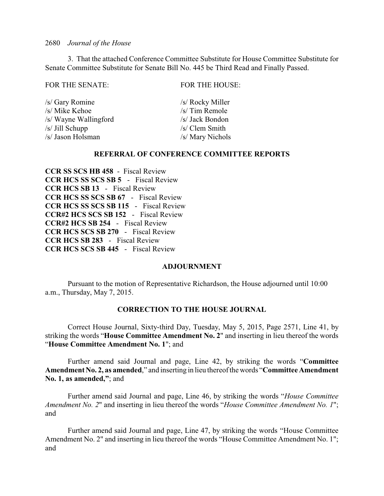3. That the attached Conference Committee Substitute for House Committee Substitute for Senate Committee Substitute for Senate Bill No. 445 be Third Read and Finally Passed.

| <b>FOR THE HOUSE:</b> |
|-----------------------|
| /s/ Rocky Miller      |
| /s/ Tim Remole        |
| /s/ Jack Bondon       |
| /s/ Clem Smith        |
| /s/ Mary Nichols      |
|                       |

#### **REFERRAL OF CONFERENCE COMMITTEE REPORTS**

**CCR SS SCS HB 458** - Fiscal Review **CCR HCS SS SCS SB 5** - Fiscal Review **CCR HCS SB 13** - Fiscal Review **CCR HCS SS SCS SB 67** - Fiscal Review **CCR HCS SS SCS SB 115** - Fiscal Review **CCR#2 HCS SCS SB 152** - Fiscal Review **CCR#2 HCS SB 254** - Fiscal Review **CCR HCS SCS SB 270** - Fiscal Review **CCR HCS SB 283** - Fiscal Review **CCR HCS SCS SB 445** - Fiscal Review

#### **ADJOURNMENT**

Pursuant to the motion of Representative Richardson, the House adjourned until 10:00 a.m., Thursday, May 7, 2015.

#### **CORRECTION TO THE HOUSE JOURNAL**

Correct House Journal, Sixty-third Day, Tuesday, May 5, 2015, Page 2571, Line 41, by striking the words "**House Committee Amendment No. 2**" and inserting in lieu thereof the words "**House Committee Amendment No. 1**"; and

Further amend said Journal and page, Line 42, by striking the words "**Committee Amendment No. 2, as amended**," and inserting in lieu thereof the words "**Committee Amendment No. 1, as amended,"**; and

Further amend said Journal and page, Line 46, by striking the words "*House Committee Amendment No. 2*" and inserting in lieu thereof the words "*House Committee Amendment No. 1*"; and

Further amend said Journal and page, Line 47, by striking the words "House Committee Amendment No. 2" and inserting in lieu thereof the words "House Committee Amendment No. 1"; and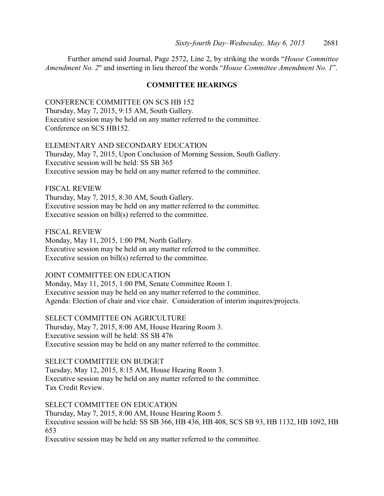Further amend said Journal, Page 2572, Line 2, by striking the words "*House Committee Amendment No. 2*" and inserting in lieu thereof the words "*House Committee Amendment No. 1*".

### **COMMITTEE HEARINGS**

CONFERENCE COMMITTEE ON SCS HB 152 Thursday, May 7, 2015, 9:15 AM, South Gallery. Executive session may be held on any matter referred to the committee. Conference on SCS HB152.

ELEMENTARY AND SECONDARY EDUCATION Thursday, May 7, 2015, Upon Conclusion of Morning Session, South Gallery. Executive session will be held: SS SB 365 Executive session may be held on any matter referred to the committee.

FISCAL REVIEW Thursday, May 7, 2015, 8:30 AM, South Gallery. Executive session may be held on any matter referred to the committee. Executive session on bill(s) referred to the committee.

FISCAL REVIEW Monday, May 11, 2015, 1:00 PM, North Gallery. Executive session may be held on any matter referred to the committee. Executive session on bill(s) referred to the committee.

JOINT COMMITTEE ON EDUCATION

Monday, May 11, 2015, 1:00 PM, Senate Committee Room 1. Executive session may be held on any matter referred to the committee. Agenda: Election of chair and vice chair. Consideration of interim inquires/projects.

SELECT COMMITTEE ON AGRICULTURE Thursday, May 7, 2015, 8:00 AM, House Hearing Room 3. Executive session will be held: SS SB 476 Executive session may be held on any matter referred to the committee.

SELECT COMMITTEE ON BUDGET Tuesday, May 12, 2015, 8:15 AM, House Hearing Room 3. Executive session may be held on any matter referred to the committee. Tax Credit Review.

SELECT COMMITTEE ON EDUCATION Thursday, May 7, 2015, 8:00 AM, House Hearing Room 5. Executive session will be held: SS SB 366, HB 436, HB 408, SCS SB 93, HB 1132, HB 1092, HB 653

Executive session may be held on any matter referred to the committee.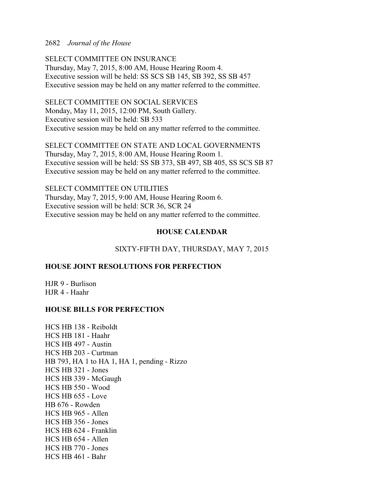SELECT COMMITTEE ON INSURANCE Thursday, May 7, 2015, 8:00 AM, House Hearing Room 4. Executive session will be held: SS SCS SB 145, SB 392, SS SB 457 Executive session may be held on any matter referred to the committee.

SELECT COMMITTEE ON SOCIAL SERVICES Monday, May 11, 2015, 12:00 PM, South Gallery. Executive session will be held: SB 533 Executive session may be held on any matter referred to the committee.

SELECT COMMITTEE ON STATE AND LOCAL GOVERNMENTS Thursday, May 7, 2015, 8:00 AM, House Hearing Room 1. Executive session will be held: SS SB 373, SB 497, SB 405, SS SCS SB 87 Executive session may be held on any matter referred to the committee.

SELECT COMMITTEE ON UTILITIES Thursday, May 7, 2015, 9:00 AM, House Hearing Room 6. Executive session will be held: SCR 36, SCR 24 Executive session may be held on any matter referred to the committee.

## **HOUSE CALENDAR**

## SIXTY-FIFTH DAY, THURSDAY, MAY 7, 2015

## **HOUSE JOINT RESOLUTIONS FOR PERFECTION**

HJR 9 - Burlison HJR 4 - Haahr

#### **HOUSE BILLS FOR PERFECTION**

HCS HB 138 - Reiboldt HCS HB 181 - Haahr HCS HB 497 - Austin HCS HB 203 - Curtman HB 793, HA 1 to HA 1, HA 1, pending - Rizzo HCS HB 321 - Jones HCS HB 339 - McGaugh HCS HB 550 - Wood HCS HB 655 - Love HB 676 - Rowden HCS HB 965 - Allen HCS HB 356 - Jones HCS HB 624 - Franklin HCS HB 654 - Allen HCS HB 770 - Jones HCS HB 461 - Bahr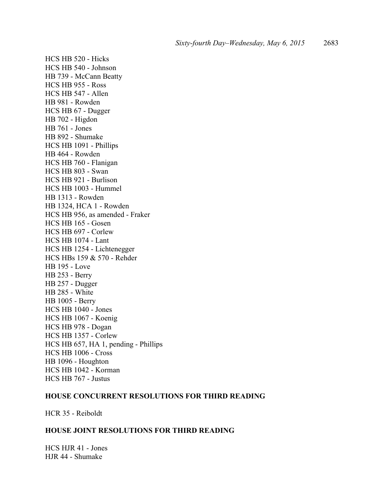HCS HB 520 - Hicks HCS HB 540 - Johnson HB 739 - McCann Beatty HCS HB 955 - Ross HCS HB 547 - Allen HB 981 - Rowden HCS HB 67 - Dugger HB 702 - Higdon HB 761 - Jones HB 892 - Shumake HCS HB 1091 - Phillips HB 464 - Rowden HCS HB 760 - Flanigan HCS HB 803 - Swan HCS HB 921 - Burlison HCS HB 1003 - Hummel HB 1313 - Rowden HB 1324, HCA 1 - Rowden HCS HB 956, as amended - Fraker HCS HB 165 - Gosen HCS HB 697 - Corlew HCS HB 1074 - Lant HCS HB 1254 - Lichtenegger HCS HBs 159 & 570 - Rehder HB 195 - Love HB 253 - Berry HB 257 - Dugger HB 285 - White HB 1005 - Berry HCS HB 1040 - Jones HCS HB 1067 - Koenig HCS HB 978 - Dogan HCS HB 1357 - Corlew HCS HB 657, HA 1, pending - Phillips HCS HB 1006 - Cross HB 1096 - Houghton HCS HB 1042 - Korman HCS HB 767 - Justus

## **HOUSE CONCURRENT RESOLUTIONS FOR THIRD READING**

HCR 35 - Reiboldt

## **HOUSE JOINT RESOLUTIONS FOR THIRD READING**

HCS HJR 41 - Jones HJR 44 - Shumake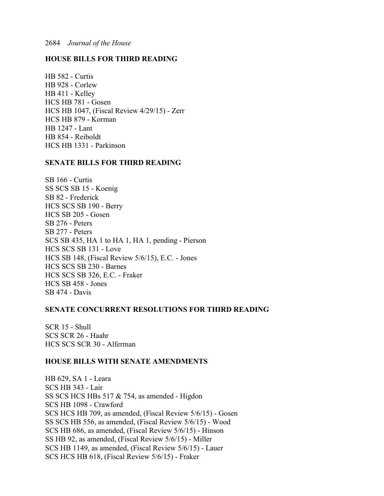## **HOUSE BILLS FOR THIRD READING**

HB 582 - Curtis HB 928 - Corlew HB 411 - Kelley HCS HB 781 - Gosen HCS HB 1047, (Fiscal Review 4/29/15) - Zerr HCS HB 879 - Korman HB 1247 - Lant HB 854 - Reiboldt HCS HB 1331 - Parkinson

## **SENATE BILLS FOR THIRD READING**

SB 166 - Curtis SS SCS SB 15 - Koenig SB 82 - Frederick HCS SCS SB 190 - Berry HCS SB 205 - Gosen SB 276 - Peters SB 277 - Peters SCS SB 435, HA 1 to HA 1, HA 1, pending - Pierson HCS SCS SB 131 - Love HCS SB 148, (Fiscal Review 5/6/15), E.C. - Jones HCS SCS SB 230 - Barnes HCS SCS SB 326, E.C. - Fraker HCS SB 458 - Jones SB 474 - Davis

#### **SENATE CONCURRENT RESOLUTIONS FOR THIRD READING**

SCR 15 - Shull SCS SCR 26 - Haahr HCS SCS SCR 30 - Alferman

#### **HOUSE BILLS WITH SENATE AMENDMENTS**

HB 629, SA 1 - Leara SCS HB 343 - Lair SS SCS HCS HBs 517 & 754, as amended - Higdon SCS HB 1098 - Crawford SCS HCS HB 709, as amended, (Fiscal Review 5/6/15) - Gosen SS SCS HB 556, as amended, (Fiscal Review 5/6/15) - Wood SCS HB 686, as amended, (Fiscal Review 5/6/15) - Hinson SS HB 92, as amended, (Fiscal Review 5/6/15) - Miller SCS HB 1149, as amended, (Fiscal Review 5/6/15) - Lauer SCS HCS HB 618, (Fiscal Review 5/6/15) - Fraker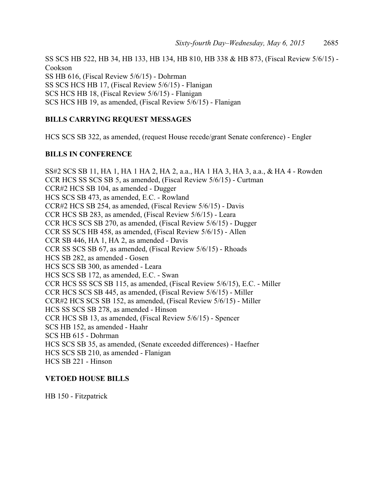SS SCS HB 522, HB 34, HB 133, HB 134, HB 810, HB 338 & HB 873, (Fiscal Review 5/6/15) - Cookson SS HB 616, (Fiscal Review 5/6/15) - Dohrman SS SCS HCS HB 17, (Fiscal Review 5/6/15) - Flanigan SCS HCS HB 18, (Fiscal Review 5/6/15) - Flanigan SCS HCS HB 19, as amended, (Fiscal Review 5/6/15) - Flanigan

## **BILLS CARRYING REQUEST MESSAGES**

HCS SCS SB 322, as amended, (request House recede/grant Senate conference) - Engler

#### **BILLS IN CONFERENCE**

SS#2 SCS SB 11, HA 1, HA 1 HA 2, HA 2, a.a., HA 1 HA 3, HA 3, a.a., & HA 4 - Rowden CCR HCS SS SCS SB 5, as amended, (Fiscal Review 5/6/15) - Curtman CCR#2 HCS SB 104, as amended - Dugger HCS SCS SB 473, as amended, E.C. - Rowland CCR#2 HCS SB 254, as amended, (Fiscal Review 5/6/15) - Davis CCR HCS SB 283, as amended, (Fiscal Review 5/6/15) - Leara CCR HCS SCS SB 270, as amended, (Fiscal Review 5/6/15) - Dugger CCR SS SCS HB 458, as amended, (Fiscal Review 5/6/15) - Allen CCR SB 446, HA 1, HA 2, as amended - Davis CCR SS SCS SB 67, as amended, (Fiscal Review 5/6/15) - Rhoads HCS SB 282, as amended - Gosen HCS SCS SB 300, as amended - Leara HCS SCS SB 172, as amended, E.C. - Swan CCR HCS SS SCS SB 115, as amended, (Fiscal Review 5/6/15), E.C. - Miller CCR HCS SCS SB 445, as amended, (Fiscal Review 5/6/15) - Miller CCR#2 HCS SCS SB 152, as amended, (Fiscal Review 5/6/15) - Miller HCS SS SCS SB 278, as amended - Hinson CCR HCS SB 13, as amended, (Fiscal Review 5/6/15) - Spencer SCS HB 152, as amended - Haahr SCS HB 615 - Dohrman HCS SCS SB 35, as amended, (Senate exceeded differences) - Haefner HCS SCS SB 210, as amended - Flanigan HCS SB 221 - Hinson

#### **VETOED HOUSE BILLS**

HB 150 - Fitzpatrick